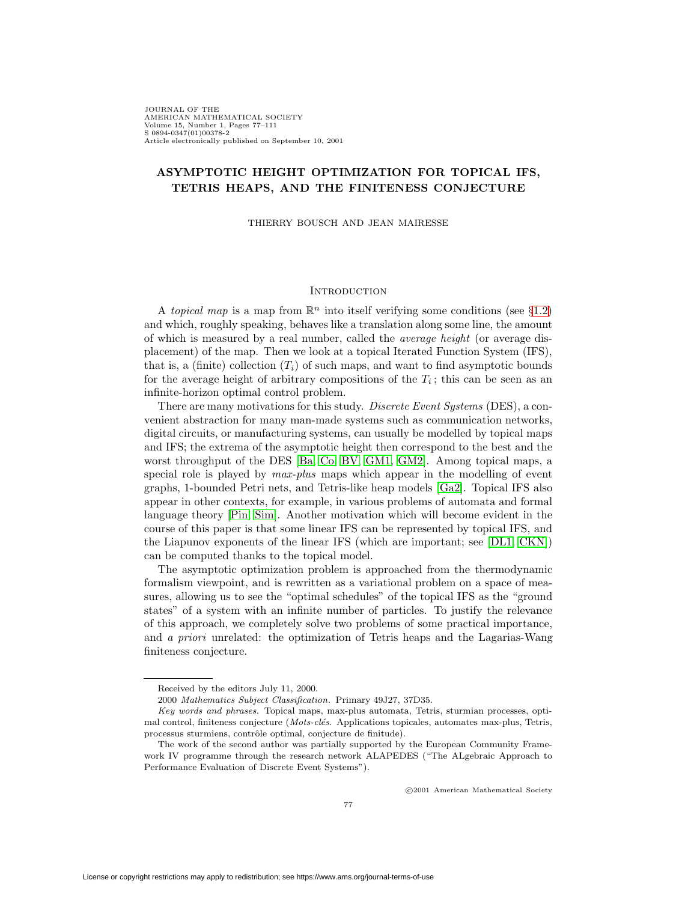JOURNAL OF THE AMERICAN MATHEMATICAL SOCIETY Volume 15, Number 1, Pages 77–111 S 0894-0347(01)00378-2 Article electronically published on September 10, 2001

## **ASYMPTOTIC HEIGHT OPTIMIZATION FOR TOPICAL IFS, TETRIS HEAPS, AND THE FINITENESS CONJECTURE**

THIERRY BOUSCH AND JEAN MAIRESSE

#### **INTRODUCTION**

A topical map is a map from  $\mathbb{R}^n$  into itself verifying some conditions (see §[1.2\)](#page-6-0) and which, roughly speaking, behaves like a translation along some line, the amount of which is measured by a real number, called the average height (or average displacement) of the map. Then we look at a topical Iterated Function System (IFS), that is, a (finite) collection  $(T_i)$  of such maps, and want to find asymptotic bounds for the average height of arbitrary compositions of the  $T_i$ ; this can be seen as an infinite-horizon optimal control problem.

There are many motivations for this study. Discrete Event Systems (DES), a convenient abstraction for many man-made systems such as communication networks, digital circuits, or manufacturing systems, can usually be modelled by topical maps and IFS; the extrema of the asymptotic height then correspond to the best and the worst throughput of the DES [\[Ba,](#page-33-0) [Co,](#page-33-1) [BV,](#page-33-2) [GM1,](#page-34-0) [GM2\]](#page-34-1). Among topical maps, a special role is played by  $max$ -plus maps which appear in the modelling of event graphs, 1-bounded Petri nets, and Tetris-like heap models [\[Ga2\]](#page-34-2). Topical IFS also appear in other contexts, for example, in various problems of automata and formal language theory [\[Pin,](#page-34-3) [Sim\]](#page-34-4). Another motivation which will become evident in the course of this paper is that some linear IFS can be represented by topical IFS, and the Liapunov exponents of the linear IFS (which are important; see [\[DL1,](#page-33-3) [CKN\]](#page-33-4)) can be computed thanks to the topical model.

The asymptotic optimization problem is approached from the thermodynamic formalism viewpoint, and is rewritten as a variational problem on a space of measures, allowing us to see the "optimal schedules" of the topical IFS as the "ground states" of a system with an infinite number of particles. To justify the relevance of this approach, we completely solve two problems of some practical importance, and a priori unrelated: the optimization of Tetris heaps and the Lagarias-Wang finiteness conjecture.

c 2001 American Mathematical Society

Received by the editors July 11, 2000.

<sup>2000</sup> Mathematics Subject Classification. Primary 49J27, 37D35.

Key words and phrases. Topical maps, max-plus automata, Tetris, sturmian processes, optimal control, finiteness conjecture (*Mots-clés.* Applications topicales, automates max-plus, Tetris, processus sturmiens, contrôle optimal, conjecture de finitude).

The work of the second author was partially supported by the European Community Framework IV programme through the research network ALAPEDES ("The ALgebraic Approach to Performance Evaluation of Discrete Event Systems").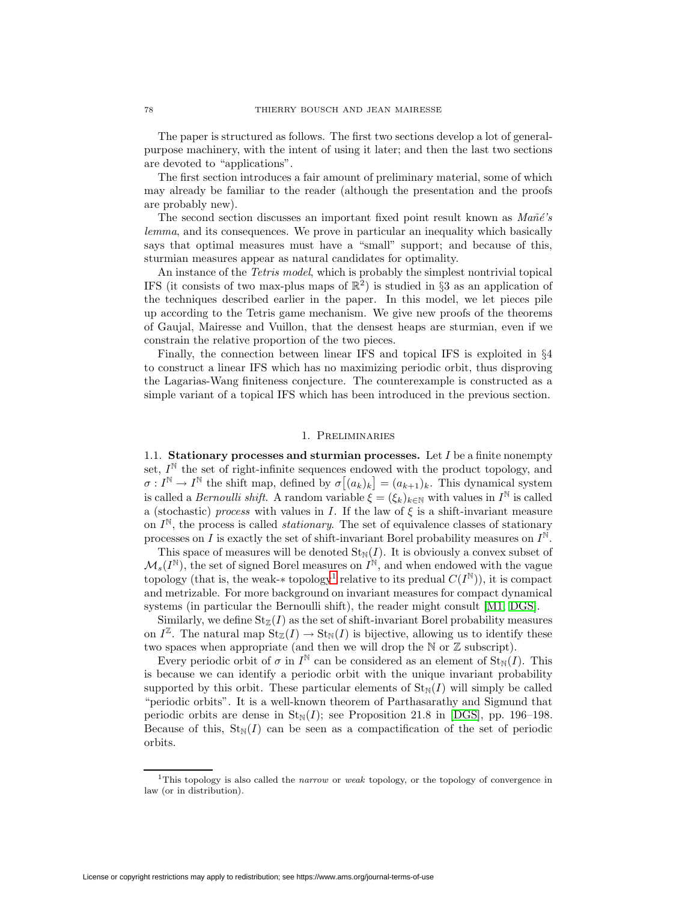The paper is structured as follows. The first two sections develop a lot of generalpurpose machinery, with the intent of using it later; and then the last two sections are devoted to "applications".

The first section introduces a fair amount of preliminary material, some of which may already be familiar to the reader (although the presentation and the proofs are probably new).

The second section discusses an important fixed point result known as  $Ma\tilde{n}\acute{e}$ 's lemma, and its consequences. We prove in particular an inequality which basically says that optimal measures must have a "small" support; and because of this, sturmian measures appear as natural candidates for optimality.

An instance of the *Tetris model*, which is probably the simplest nontrivial topical IFS (it consists of two max-plus maps of  $\mathbb{R}^2$ ) is studied in §3 as an application of the techniques described earlier in the paper. In this model, we let pieces pile up according to the Tetris game mechanism. We give new proofs of the theorems of Gaujal, Mairesse and Vuillon, that the densest heaps are sturmian, even if we constrain the relative proportion of the two pieces.

Finally, the connection between linear IFS and topical IFS is exploited in §4 to construct a linear IFS which has no maximizing periodic orbit, thus disproving the Lagarias-Wang finiteness conjecture. The counterexample is constructed as a simple variant of a topical IFS which has been introduced in the previous section.

#### 1. Preliminaries

1.1. **Stationary processes and sturmian processes.** Let I be a finite nonempty set,  $I^{\mathbb{N}}$  the set of right-infinite sequences endowed with the product topology, and  $\sigma: I^{\mathbb{N}} \to I^{\mathbb{N}}$  the shift map, defined by  $\sigma[(a_k)_k] = (a_{k+1})_k$ . This dynamical system is called a *Bernoulli shift*. A random variable  $\xi = (\xi_k)_{k \in \mathbb{N}}$  with values in  $I^{\mathbb{N}}$  is called a (stochastic) process with values in I. If the law of  $\xi$  is a shift-invariant measure on  $I^{\mathbb{N}}$ , the process is called *stationary*. The set of equivalence classes of stationary processes on I is exactly the set of shift-invariant Borel probability measures on  $I^{\mathbb{N}}$ .

This space of measures will be denoted  $\text{St}_{\mathbb{N}}(I)$ . It is obviously a convex subset of  $\mathcal{M}_s(I^{\mathbb{N}})$ , the set of signed Borel measures on  $I^{\mathbb{N}}$ , and when endowed with the vague topology (that is, the weak-∗ topology<sup>[1](#page-1-0)</sup> relative to its predual  $C(I^{\mathbb{N}})$ ), it is compact and metrizable. For more background on invariant measures for compact dynamical systems (in particular the Bernoulli shift), the reader might consult [\[M1,](#page-34-5) [DGS\]](#page-33-5).

Similarly, we define  $St_{\mathbb{Z}}(I)$  as the set of shift-invariant Borel probability measures on  $I^{\mathbb{Z}}$ . The natural map  $\text{St}_{\mathbb{Z}}(I) \to \text{St}_{\mathbb{N}}(I)$  is bijective, allowing us to identify these two spaces when appropriate (and then we will drop the  $\mathbb N$  or  $\mathbb Z$  subscript).

Every periodic orbit of  $\sigma$  in  $I^{\mathbb{N}}$  can be considered as an element of  $\text{St}_{\mathbb{N}}(I)$ . This is because we can identify a periodic orbit with the unique invariant probability supported by this orbit. These particular elements of  $\text{St}_{\mathbb{N}}(I)$  will simply be called "periodic orbits". It is a well-known theorem of Parthasarathy and Sigmund that periodic orbits are dense in  $St_N(I)$ ; see Proposition 21.8 in [\[DGS\]](#page-33-5), pp. 196–198. Because of this,  $\text{St}_{\mathbb{N}}(I)$  can be seen as a compactification of the set of periodic orbits.

<span id="page-1-0"></span><sup>&</sup>lt;sup>1</sup>This topology is also called the *narrow* or *weak* topology, or the topology of convergence in law (or in distribution).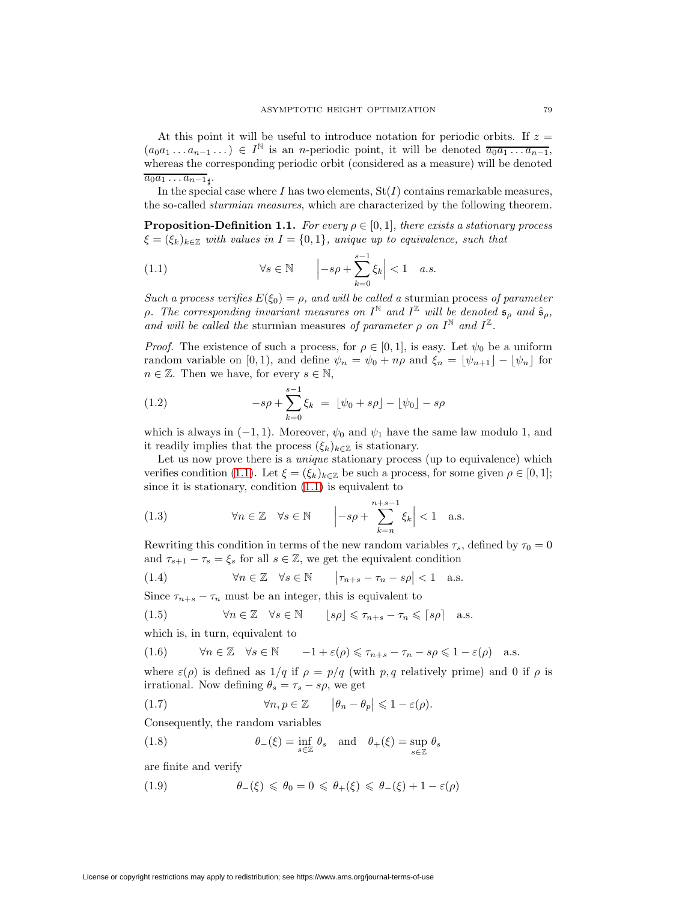At this point it will be useful to introduce notation for periodic orbits. If  $z =$  $(a_0a_1 \ldots a_{n-1} \ldots) \in I^{\mathbb{N}}$  is an *n*-periodic point, it will be denoted  $\overline{a_0a_1 \ldots a_{n-1}}$ , whereas the corresponding periodic orbit (considered as a measure) will be denoted  $\overline{a_0a_1\ldots a_{n-1}}$ <sub>t</sub>.

In the special case where I has two elements,  $St(I)$  contains remarkable measures, the so-called sturmian measures, which are characterized by the following theorem.

**Proposition-Definition 1.1.** For every  $\rho \in [0,1]$ , there exists a stationary process  $\xi = (\xi_k)_{k \in \mathbb{Z}}$  with values in  $I = \{0, 1\}$ , unique up to equivalence, such that

<span id="page-2-0"></span>(1.1) 
$$
\forall s \in \mathbb{N} \qquad \left| -s\rho + \sum_{k=0}^{s-1} \xi_k \right| < 1 \quad a.s.
$$

Such a process verifies  $E(\xi_0) = \rho$ , and will be called a sturmian process of parameter ρ. The corresponding invariant measures on  $I^{\mathbb{N}}$  and  $I^{\mathbb{Z}}$  will be denoted  $\mathfrak{s}_{\rho}$  and  $\hat{\mathfrak{s}}_{\rho}$ , and will be called the sturmian measures of parameter  $\rho$  on  $I^{\mathbb{N}}$  and  $I^{\mathbb{Z}}$ .

*Proof.* The existence of such a process, for  $\rho \in [0, 1]$ , is easy. Let  $\psi_0$  be a uniform random variable on [0, 1), and define  $\psi_n = \psi_0 + n\rho$  and  $\xi_n = \lfloor \psi_{n+1} \rfloor - \lfloor \psi_n \rfloor$  for  $n \in \mathbb{Z}$ . Then we have, for every  $s \in \mathbb{N}$ ,

(1.2) 
$$
-s\rho + \sum_{k=0}^{s-1} \xi_k = \lfloor \psi_0 + s\rho \rfloor - \lfloor \psi_0 \rfloor - s\rho
$$

which is always in  $(-1, 1)$ . Moreover,  $\psi_0$  and  $\psi_1$  have the same law modulo 1, and it readily implies that the process  $(\xi_k)_{k\in\mathbb{Z}}$  is stationary.

Let us now prove there is a *unique* stationary process (up to equivalence) which verifies condition [\(1.1\)](#page-2-0). Let  $\xi = (\xi_k)_{k \in \mathbb{Z}}$  be such a process, for some given  $\rho \in [0,1]$ ; since it is stationary, condition [\(1.1\)](#page-2-0) is equivalent to

(1.3) 
$$
\forall n \in \mathbb{Z} \quad \forall s \in \mathbb{N} \qquad \left| -s\rho + \sum_{k=n}^{n+s-1} \xi_k \right| < 1 \quad \text{a.s.}
$$

Rewriting this condition in terms of the new random variables  $\tau_s$ , defined by  $\tau_0 = 0$ and  $\tau_{s+1} - \tau_s = \xi_s$  for all  $s \in \mathbb{Z}$ , we get the equivalent condition

(1.4) 
$$
\forall n \in \mathbb{Z} \quad \forall s \in \mathbb{N} \qquad \left| \tau_{n+s} - \tau_n - s\rho \right| < 1 \quad \text{a.s.}
$$

Since  $\tau_{n+s} - \tau_n$  must be an integer, this is equivalent to

(1.5) 
$$
\forall n \in \mathbb{Z} \quad \forall s \in \mathbb{N} \qquad \lfloor s \rho \rfloor \leq \tau_{n+s} - \tau_n \leqslant \lceil s \rho \rceil \quad \text{a.s.}
$$

which is, in turn, equivalent to

$$
(1.6) \qquad \forall n \in \mathbb{Z} \quad \forall s \in \mathbb{N} \qquad -1 + \varepsilon(\rho) \leq \tau_{n+s} - \tau_n - s\rho \leq 1 - \varepsilon(\rho) \quad \text{a.s.}
$$

where  $\varepsilon(\rho)$  is defined as  $1/q$  if  $\rho = p/q$  (with p, q relatively prime) and 0 if  $\rho$  is irrational. Now defining  $\theta_s = \tau_s - s\rho$ , we get

(1.7) 
$$
\forall n, p \in \mathbb{Z} \qquad \left| \theta_n - \theta_p \right| \leq 1 - \varepsilon(\rho).
$$

Consequently, the random variables

(1.8) 
$$
\theta_{-}(\xi) = \inf_{s \in \mathbb{Z}} \theta_{s} \text{ and } \theta_{+}(\xi) = \sup_{s \in \mathbb{Z}} \theta_{s}
$$

are finite and verify

(1.9) 
$$
\theta_{-}(\xi) \leq \theta_{0} = 0 \leq \theta_{+}(\xi) \leq \theta_{-}(\xi) + 1 - \varepsilon(\rho)
$$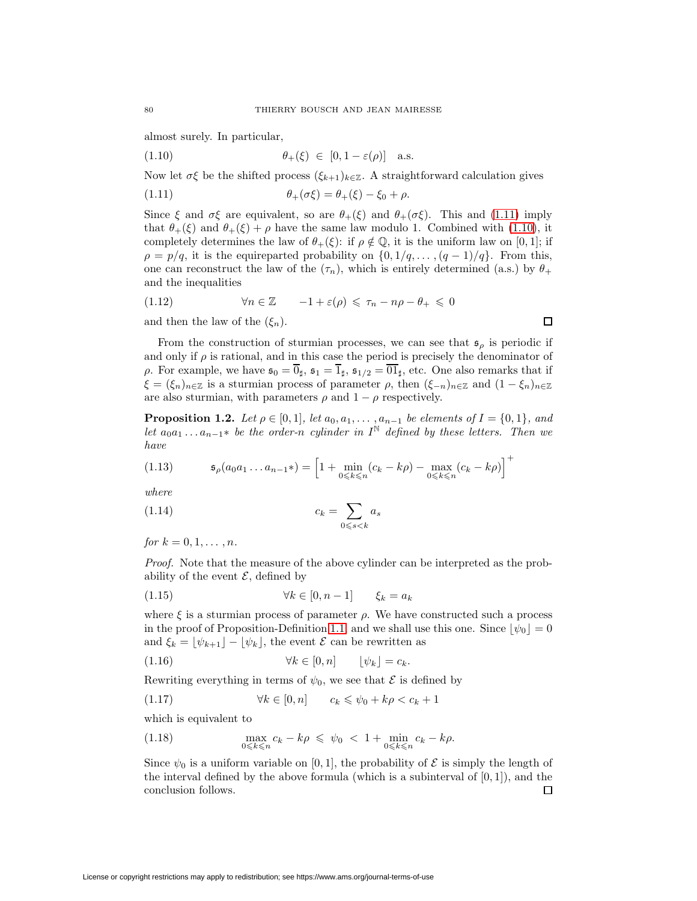<span id="page-3-1"></span>almost surely. In particular,

(1.10) 
$$
\theta_+(\xi) \in [0, 1 - \varepsilon(\rho)] \text{ a.s.}
$$

<span id="page-3-0"></span>Now let  $\sigma \xi$  be the shifted process  $(\xi_{k+1})_{k\in\mathbb{Z}}$ . A straightforward calculation gives

(1.11) 
$$
\theta_+(\sigma\xi) = \theta_+(\xi) - \xi_0 + \rho.
$$

Since  $\xi$  and  $\sigma\xi$  are equivalent, so are  $\theta_+(\xi)$  and  $\theta_+(\sigma\xi)$ . This and [\(1.11\)](#page-3-0) imply that  $\theta_+(\xi)$  and  $\theta_+(\xi) + \rho$  have the same law modulo 1. Combined with [\(1.10\)](#page-3-1), it completely determines the law of  $\theta_+(\xi)$ : if  $\rho \notin \mathbb{Q}$ , it is the uniform law on [0, 1]; if  $\rho = p/q$ , it is the equireparted probability on  $\{0, 1/q, \ldots, (q-1)/q\}$ . From this, one can reconstruct the law of the  $(\tau_n)$ , which is entirely determined (a.s.) by  $\theta_+$ and the inequalities

$$
(1.12) \qquad \forall n \in \mathbb{Z} \qquad -1 + \varepsilon(\rho) \leq \tau_n - n\rho - \theta_+ \leq 0
$$

and then the law of the  $(\xi_n)$ .

From the construction of sturmian processes, we can see that  $\mathfrak{s}_{\rho}$  is periodic if and only if  $\rho$  is rational, and in this case the period is precisely the denominator of ρ. For example, we have  $\mathfrak{s}_0 = \overline{0}_\sharp$ ,  $\mathfrak{s}_1 = \overline{1}_\sharp$ ,  $\mathfrak{s}_{1/2} = \overline{01}_\sharp$ , etc. One also remarks that if  $\xi = (\xi_n)_{n \in \mathbb{Z}}$  is a sturmian process of parameter  $\rho$ , then  $(\xi_{-n})_{n \in \mathbb{Z}}$  and  $(1 - \xi_n)_{n \in \mathbb{Z}}$ are also sturmian, with parameters  $\rho$  and  $1 - \rho$  respectively.

 $\Box$ 

**Proposition 1.2.** Let  $\rho \in [0,1]$ , let  $a_0, a_1, \ldots, a_{n-1}$  be elements of  $I = \{0,1\}$ , and let  $a_0a_1 \ldots a_{n-1}$ \* be the order-n cylinder in I<sup>N</sup> defined by these letters. Then we have

<span id="page-3-2"></span>(1.13) 
$$
\mathfrak{s}_{\rho}(a_0 a_1 \dots a_{n-1}*) = \left[1 + \min_{0 \le k \le n} (c_k - k\rho) - \max_{0 \le k \le n} (c_k - k\rho)\right]^+
$$

<span id="page-3-3"></span>where

$$
c_k = \sum_{0 \le s < k} a_s
$$

for  $k = 0, 1, ..., n$ .

Proof. Note that the measure of the above cylinder can be interpreted as the probability of the event  $\mathcal{E}$ , defined by

$$
(1.15) \t\t\t \forall k \in [0, n-1] \t\t \xi_k = a_k
$$

where  $\xi$  is a sturmian process of parameter  $\rho$ . We have constructed such a process in the proof of Proposition-Definition [1.1,](#page-2-0) and we shall use this one. Since  $|\psi_0| = 0$ and  $\xi_k = \lfloor \psi_{k+1} \rfloor - \lfloor \psi_k \rfloor$ , the event  $\mathcal E$  can be rewritten as

(1.16) 
$$
\forall k \in [0, n] \qquad [\psi_k] = c_k.
$$

Rewriting everything in terms of  $\psi_0$ , we see that  $\mathcal E$  is defined by

$$
(1.17) \t\t\t \forall k \in [0, n] \t\t c_k \leq \psi_0 + k\rho < c_k + 1
$$

which is equivalent to

(1.18) 
$$
\max_{0 \le k \le n} c_k - k\rho \le \psi_0 < 1 + \min_{0 \le k \le n} c_k - k\rho.
$$

Since  $\psi_0$  is a uniform variable on [0, 1], the probability of  $\mathcal E$  is simply the length of the interval defined by the above formula (which is a subinterval of  $[0, 1]$ ), and the conclusion follows.  $\Box$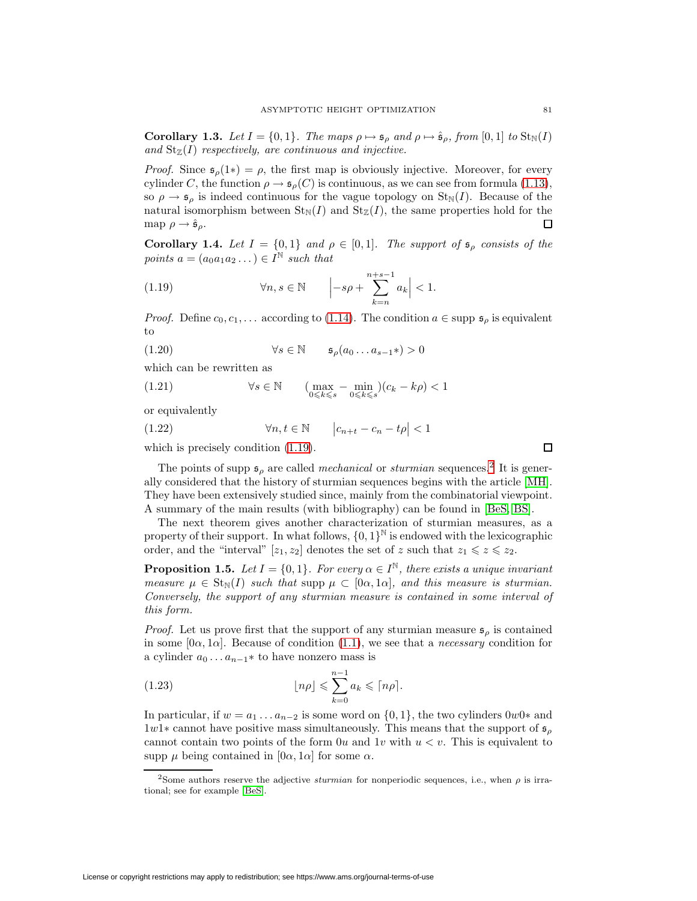**Corollary 1.3.** Let  $I = \{0, 1\}$ . The maps  $\rho \mapsto \mathfrak{s}_{\rho}$  and  $\rho \mapsto \hat{\mathfrak{s}}_{\rho}$ , from  $[0, 1]$  to  $\text{St}_{\mathbb{N}}(I)$ and  $St_{\mathbb{Z}}(I)$  respectively, are continuous and injective.

*Proof.* Since  $\mathfrak{s}_{\rho}(1*) = \rho$ , the first map is obviously injective. Moreover, for every cylinder C, the function  $\rho \to \mathfrak{s}_{\rho}(C)$  is continuous, as we can see from formula [\(1.13\)](#page-3-2), so  $\rho \rightarrow \mathfrak{s}_\rho$  is indeed continuous for the vague topology on  $\text{St}_{\mathbb{N}}(I)$ . Because of the natural isomorphism between  $\text{St}_{\mathbb{N}}(I)$  and  $\text{St}_{\mathbb{Z}}(I)$ , the same properties hold for the map  $\rho \rightarrow \hat{\mathfrak{s}}_{\rho}$ . П

**Corollary 1.4.** Let  $I = \{0,1\}$  and  $\rho \in [0,1]$ . The support of  $\mathfrak{s}_{\rho}$  consists of the points  $a = (a_0a_1a_2 \dots) \in I^{\mathbb{N}}$  such that

<span id="page-4-0"></span>(1.19) 
$$
\forall n, s \in \mathbb{N} \qquad \left| -s\rho + \sum_{k=n}^{n+s-1} a_k \right| < 1.
$$

*Proof.* Define  $c_0, c_1, \ldots$  according to [\(1.14\)](#page-3-3). The condition  $a \in \text{supp } \mathfrak{s}_\rho$  is equivalent to

(1.20) ∀s ∈ N sρ(a<sup>0</sup> ...a<sup>s</sup>−<sup>1</sup>∗) > 0

which can be rewritten as

(1.21) 
$$
\forall s \in \mathbb{N} \qquad (\max_{0 \leq k \leq s} - \min_{0 \leq k \leq s} ) (c_k - k\rho) < 1
$$

or equivalently

(1.22)  $\forall n, t \in \mathbb{N}$   $\left| c_{n+t} - c_n - t\rho \right| < 1$ 

which is precisely condition  $(1.19)$ .

The points of supp  $\mathfrak{s}_{\rho}$  are called *mechanical* or *sturmian* sequences.<sup>[2](#page-4-1)</sup> It is generally considered that the history of sturmian sequences begins with the article [\[MH\]](#page-34-6). They have been extensively studied since, mainly from the combinatorial viewpoint. A summary of the main results (with bibliography) can be found in [\[BeS,](#page-33-6) [BS\]](#page-33-7).

The next theorem gives another characterization of sturmian measures, as a property of their support. In what follows,  $\{0,1\}^{\mathbb{N}}$  is endowed with the lexicographic order, and the "interval" [ $z_1, z_2$ ] denotes the set of z such that  $z_1 \leqslant z \leqslant z_2$ .

<span id="page-4-2"></span>**Proposition 1.5.** Let  $I = \{0, 1\}$ . For every  $\alpha \in I^{\mathbb{N}}$ , there exists a unique invariant measure  $\mu \in St_{\mathbb{N}}(I)$  such that supp  $\mu \subset [0\alpha, 1\alpha]$ , and this measure is sturmian. Conversely, the support of any sturmian measure is contained in some interval of this form.

*Proof.* Let us prove first that the support of any sturmian measure  $\mathfrak{s}_{\rho}$  is contained in some  $[0\alpha, 1\alpha]$ . Because of condition [\(1.1\)](#page-2-0), we see that a *necessary* condition for a cylinder  $a_0 \ldots a_{n-1} *$  to have nonzero mass is

(1.23) 
$$
\lfloor n\rho \rfloor \leqslant \sum_{k=0}^{n-1} a_k \leqslant \lceil n\rho \rceil.
$$

In particular, if  $w = a_1 \dots a_{n-2}$  is some word on  $\{0, 1\}$ , the two cylinders 0w0∗ and  $1w1*$  cannot have positive mass simultaneously. This means that the support of  $\mathfrak{s}_{\rho}$ cannot contain two points of the form  $0u$  and  $1v$  with  $u < v$ . This is equivalent to supp  $\mu$  being contained in  $[0\alpha, 1\alpha]$  for some  $\alpha$ .

 $\Box$ 

<span id="page-4-1"></span><sup>&</sup>lt;sup>2</sup>Some authors reserve the adjective *sturmian* for nonperiodic sequences, i.e., when  $\rho$  is irrational; see for example [\[BeS\]](#page-33-6).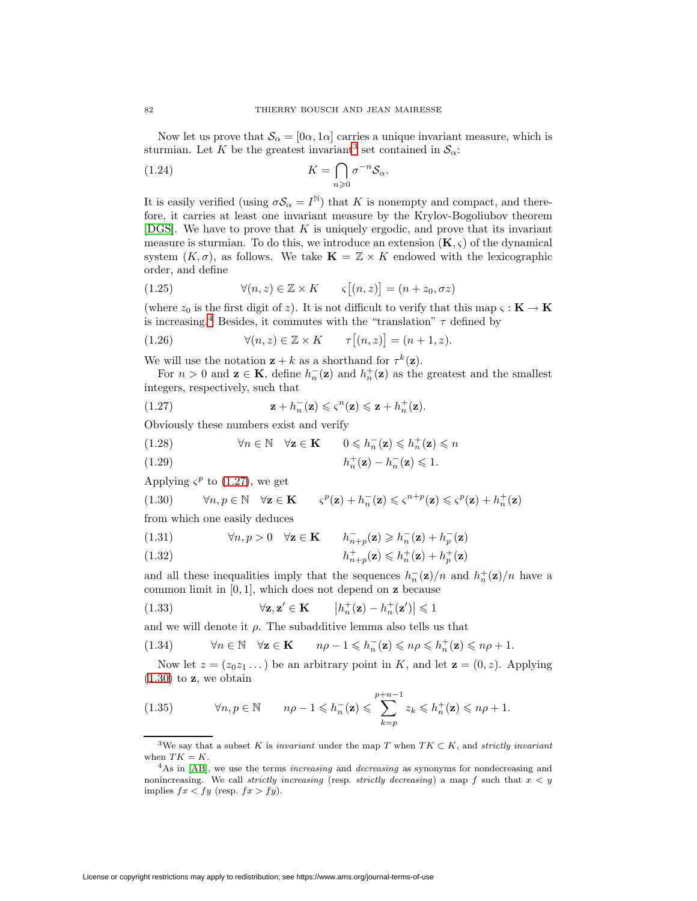Now let us prove that  $\mathcal{S}_{\alpha} = [0\alpha, 1\alpha]$  carries a unique invariant measure, which is sturmian. Let K be the greatest invariant<sup>[3](#page-5-0)</sup> set contained in  $\mathcal{S}_{\alpha}$ :

(1.24) 
$$
K = \bigcap_{n \geq 0} \sigma^{-n} \mathcal{S}_{\alpha}.
$$

It is easily verified (using  $\sigma S_{\alpha} = I^{\mathbb{N}}$ ) that K is nonempty and compact, and therefore, it carries at least one invariant measure by the Krylov-Bogoliubov theorem [\[DGS\]](#page-33-5). We have to prove that  $K$  is uniquely ergodic, and prove that its invariant measure is sturmian. To do this, we introduce an extension  $(K, \varsigma)$  of the dynamical system  $(K, \sigma)$ , as follows. We take  $\mathbf{K} = \mathbb{Z} \times K$  endowed with the lexicographic order, and define

(1.25) 
$$
\forall (n, z) \in \mathbb{Z} \times K \qquad \varsigma[(n, z)] = (n + z_0, \sigma z)
$$

(where  $z_0$  is the first digit of z). It is not difficult to verify that this map  $\varsigma : \mathbf{K} \to \mathbf{K}$ is increasing.<sup>[4](#page-5-1)</sup> Besides, it commutes with the "translation"  $\tau$  defined by

(1.26) 
$$
\forall (n, z) \in \mathbb{Z} \times K \qquad \tau[(n, z)] = (n + 1, z).
$$

We will use the notation  $z + k$  as a shorthand for  $\tau^k(z)$ .

<span id="page-5-2"></span>For  $n > 0$  and  $\mathbf{z} \in \mathbf{K}$ , define  $h_n^{-}(\mathbf{z})$  and  $h_n^{+}(\mathbf{z})$  as the greatest and the smallest integers, respectively, such that

(1.27) 
$$
\mathbf{z} + h_n^{-}(\mathbf{z}) \leqslant \varsigma^n(\mathbf{z}) \leqslant \mathbf{z} + h_n^{+}(\mathbf{z}).
$$

Obviously these numbers exist and verify

(1.28) 
$$
\forall n \in \mathbb{N} \quad \forall \mathbf{z} \in \mathbf{K} \qquad 0 \leqslant h_n^{-}(\mathbf{z}) \leqslant h_n^{+}(\mathbf{z}) \leqslant n
$$

h<sup>+</sup> <sup>n</sup> (**z**) − h<sup>−</sup> <sup>n</sup> (1.29) (**z**) 6 1.

<span id="page-5-3"></span>Applying  $\zeta^p$  to [\(1.27\)](#page-5-2), we get

(1.30) 
$$
\forall n, p \in \mathbb{N} \quad \forall \mathbf{z} \in \mathbf{K} \qquad \varsigma^p(\mathbf{z}) + h_n^{-}(\mathbf{z}) \leqslant \varsigma^{n+p}(\mathbf{z}) \leqslant \varsigma^p(\mathbf{z}) + h_n^{+}(\mathbf{z})
$$

from which one easily deduces

(1.31) 
$$
\forall n, p > 0 \quad \forall \mathbf{z} \in \mathbf{K} \qquad h_{n+p}^{-}(\mathbf{z}) \geq h_{n}^{-}(\mathbf{z}) + h_{p}^{-}(\mathbf{z})
$$

(1.32) 
$$
h_{n+p}^+(\mathbf{z}) \leq h_n^+(\mathbf{z}) + h_p^+(\mathbf{z})
$$

and all these inequalities imply that the sequences  $h_n^{-}(\mathbf{z})/n$  and  $h_n^{+}(\mathbf{z})/n$  have a common limit in [0, 1], which does not depend on **z** because

(1.33) 
$$
\forall \mathbf{z}, \mathbf{z}' \in \mathbf{K} \qquad \left| h_n^+(\mathbf{z}) - h_n^+(\mathbf{z}') \right| \leq 1
$$

and we will denote it  $\rho$ . The subadditive lemma also tells us that

(1.34) 
$$
\forall n \in \mathbb{N} \quad \forall \mathbf{z} \in \mathbf{K} \qquad n\rho - 1 \leqslant h_n^{-}(\mathbf{z}) \leqslant n\rho \leqslant h_n^{+}(\mathbf{z}) \leqslant n\rho + 1.
$$

Now let  $z = (z_0z_1 \dots)$  be an arbitrary point in K, and let  $z = (0, z)$ . Applying [\(1.30\)](#page-5-3) to **z**, we obtain

(1.35) 
$$
\forall n, p \in \mathbb{N} \qquad n\rho - 1 \leqslant h_n^{-}(\mathbf{z}) \leqslant \sum_{k=p}^{p+n-1} z_k \leqslant h_n^{+}(\mathbf{z}) \leqslant n\rho + 1.
$$

<span id="page-5-0"></span><sup>&</sup>lt;sup>3</sup>We say that a subset K is *invariant* under the map T when  $TK \subset K$ , and *strictly invariant* when  $TK = K$ .

<span id="page-5-1"></span> $4$ As in [\[AB\]](#page-33-8), we use the terms *increasing* and *decreasing* as synonyms for nondecreasing and nonincreasing. We call strictly increasing (resp. strictly decreasing) a map f such that  $x < y$ implies  $fx < fy$  (resp.  $fx > fy$ ).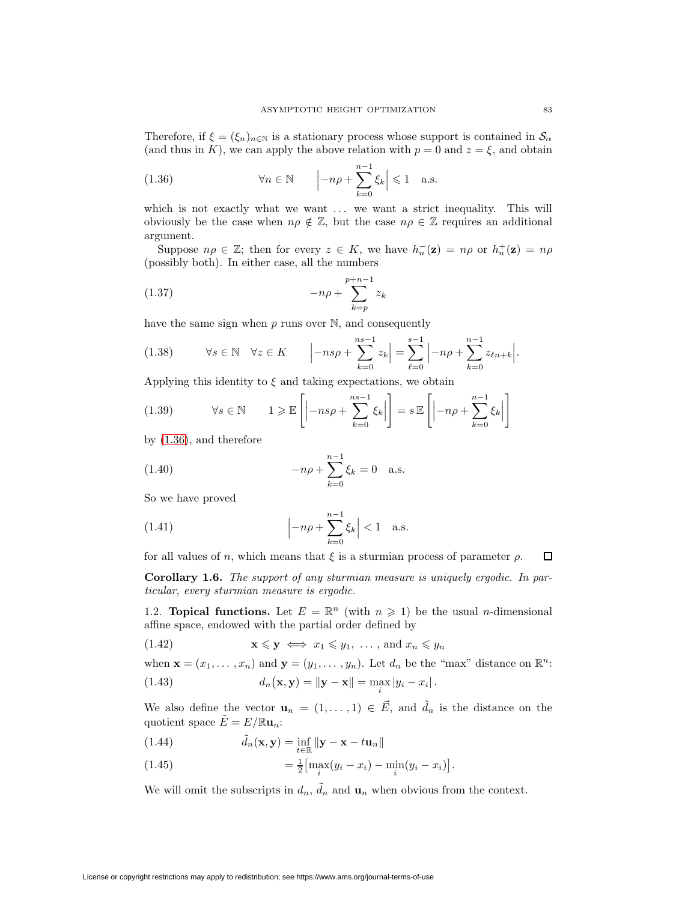Therefore, if  $\xi = (\xi_n)_{n \in \mathbb{N}}$  is a stationary process whose support is contained in  $\mathcal{S}_{\alpha}$ (and thus in K), we can apply the above relation with  $p = 0$  and  $z = \xi$ , and obtain

<span id="page-6-1"></span>(1.36) 
$$
\forall n \in \mathbb{N} \qquad \left| -n\rho + \sum_{k=0}^{n-1} \xi_k \right| \leq 1 \quad \text{a.s.}
$$

which is not exactly what we want ... we want a strict inequality. This will obviously be the case when  $n\rho \notin \mathbb{Z}$ , but the case  $n\rho \in \mathbb{Z}$  requires an additional argument.

Suppose  $n\rho \in \mathbb{Z}$ ; then for every  $z \in K$ , we have  $h_n^{-}(\mathbf{z}) = n\rho$  or  $h_n^{+}(\mathbf{z}) = n\rho$ (possibly both). In either case, all the numbers

(1.37) 
$$
-n\rho + \sum_{k=p}^{p+n-1} z_k
$$

have the same sign when  $p$  runs over  $\mathbb{N}$ , and consequently

$$
(1.38) \qquad \forall s \in \mathbb{N} \quad \forall z \in K \qquad \left| -n s \rho + \sum_{k=0}^{ns-1} z_k \right| = \sum_{\ell=0}^{s-1} \left| -n \rho + \sum_{k=0}^{n-1} z_{\ell n + k} \right|.
$$

Applying this identity to  $\xi$  and taking expectations, we obtain

(1.39) 
$$
\forall s \in \mathbb{N} \quad 1 \geqslant \mathbb{E}\left[\left|-n s \rho + \sum_{k=0}^{n s - 1} \xi_k\right|\right] = s \mathbb{E}\left[\left|-n \rho + \sum_{k=0}^{n-1} \xi_k\right|\right]
$$

by [\(1.36\)](#page-6-1), and therefore

(1.40) 
$$
-n\rho + \sum_{k=0}^{n-1} \xi_k = 0 \quad \text{a.s.}
$$

So we have proved

(1.41) 
$$
\left| -n\rho + \sum_{k=0}^{n-1} \xi_k \right| < 1
$$
 a.s.

for all values of n, which means that  $\xi$  is a sturmian process of parameter  $\rho$ .  $\Box$ 

**Corollary 1.6.** The support of any sturmian measure is uniquely ergodic. In particular, every sturmian measure is ergodic.

<span id="page-6-0"></span>1.2. **Topical functions.** Let  $E = \mathbb{R}^n$  (with  $n \geq 1$ ) be the usual *n*-dimensional affine space, endowed with the partial order defined by

$$
(1.42) \t\t \mathbf{x} \leq \mathbf{y} \iff x_1 \leq y_1, \dots, \text{ and } x_n \leq y_n
$$

when  $\mathbf{x} = (x_1, \ldots, x_n)$  and  $\mathbf{y} = (y_1, \ldots, y_n)$ . Let  $d_n$  be the "max" distance on  $\mathbb{R}^n$ :

(1.43) 
$$
d_n(\mathbf{x}, \mathbf{y}) = ||\mathbf{y} - \mathbf{x}|| = \max_i |y_i - x_i|.
$$

We also define the vector  $\mathbf{u}_n = (1, \ldots, 1) \in \mathbf{E}$ , and  $\tilde{d}_n$  is the distance on the quotient space  $\tilde{E} = E / \mathbb{R} \mathbf{u}_n$ :

(1.44) 
$$
\tilde{d}_n(\mathbf{x}, \mathbf{y}) = \inf_{t \in \mathbb{R}} ||\mathbf{y} - \mathbf{x} - t\mathbf{u}_n||
$$

(1.45) 
$$
= \frac{1}{2} \left[ \max_{i} (y_i - x_i) - \min_{i} (y_i - x_i) \right].
$$

We will omit the subscripts in  $d_n$ ,  $\tilde{d}_n$  and  $\mathbf{u}_n$  when obvious from the context.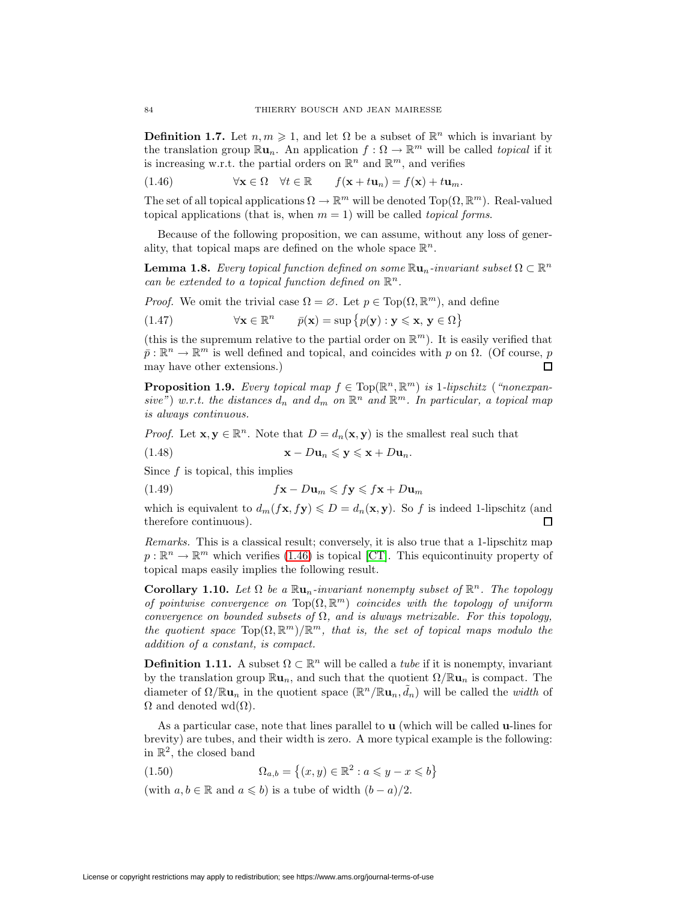<span id="page-7-0"></span>**Definition 1.7.** Let  $n, m \geq 1$ , and let  $\Omega$  be a subset of  $\mathbb{R}^n$  which is invariant by the translation group  $\mathbb{R}u_n$ . An application  $f: \Omega \to \mathbb{R}^m$  will be called *topical* if it is increasing w.r.t. the partial orders on  $\mathbb{R}^n$  and  $\mathbb{R}^m$ , and verifies

(1.46)  $\forall \mathbf{x} \in \Omega$   $\forall t \in \mathbb{R}$   $f(\mathbf{x} + t\mathbf{u}_n) = f(\mathbf{x}) + t\mathbf{u}_m$ .

The set of all topical applications  $\Omega \to \mathbb{R}^m$  will be denoted Top( $\Omega, \mathbb{R}^m$ ). Real-valued topical applications (that is, when  $m = 1$ ) will be called *topical forms*.

Because of the following proposition, we can assume, without any loss of generality, that topical maps are defined on the whole space  $\mathbb{R}^n$ .

**Lemma 1.8.** Every topical function defined on some  $\mathbb{R}u_n$ -invariant subset  $\Omega \subset \mathbb{R}^n$ can be extended to a topical function defined on  $\mathbb{R}^n$ .

*Proof.* We omit the trivial case  $\Omega = \emptyset$ . Let  $p \in Top(\Omega, \mathbb{R}^m)$ , and define

(1.47)  $\forall \mathbf{x} \in \mathbb{R}^n$   $\bar{p}(\mathbf{x}) = \sup \{p(\mathbf{y}) : \mathbf{y} \leqslant \mathbf{x}, \mathbf{y} \in \Omega\}$ 

(this is the supremum relative to the partial order on  $\mathbb{R}^m$ ). It is easily verified that  $\bar{p} : \mathbb{R}^n \to \mathbb{R}^m$  is well defined and topical, and coincides with p on  $\Omega$ . (Of course, p may have other extensions.)  $\Box$ 

**Proposition 1.9.** Every topical map  $f \in Top(\mathbb{R}^n, \mathbb{R}^m)$  is 1-lipschitz ("nonexpansive") w.r.t. the distances  $d_n$  and  $d_m$  on  $\mathbb{R}^n$  and  $\mathbb{R}^m$ . In particular, a topical map is always continuous.

*Proof.* Let  $\mathbf{x}, \mathbf{y} \in \mathbb{R}^n$ . Note that  $D = d_n(\mathbf{x}, \mathbf{y})$  is the smallest real such that

(1.48) **x** − D**u**<sup>n</sup> 6 **y** 6 **x** + D**u**n.

Since  $f$  is topical, this implies

(1.49) f**x** − D**u**<sup>m</sup> 6 f**y** 6 f**x** + D**u**<sup>m</sup>

which is equivalent to  $d_m(f\mathbf{x}, f\mathbf{y}) \le D = d_n(\mathbf{x}, \mathbf{y})$ . So f is indeed 1-lipschitz (and therefore continuous). П

Remarks. This is a classical result; conversely, it is also true that a 1-lipschitz map  $p : \mathbb{R}^n \to \mathbb{R}^m$  which verifies [\(1.46\)](#page-7-0) is topical [\[CT\]](#page-33-9). This equicontinuity property of topical maps easily implies the following result.

**Corollary 1.10.** Let  $\Omega$  be a  $\mathbb{R} \mathbf{u}_n$ -invariant nonempty subset of  $\mathbb{R}^n$ . The topology of pointwise convergence on  $Top(\Omega, \mathbb{R}^m)$  coincides with the topology of uniform convergence on bounded subsets of  $\Omega$ , and is always metrizable. For this topology, the quotient space  $\text{Top}(\Omega, \mathbb{R}^m)/\mathbb{R}^m$ , that is, the set of topical maps modulo the addition of a constant, is compact.

**Definition 1.11.** A subset  $\Omega \subset \mathbb{R}^n$  will be called a *tube* if it is nonempty, invariant by the translation group  $\mathbb{R}u_n$ , and such that the quotient  $\Omega/\mathbb{R}u_n$  is compact. The diameter of  $\Omega/\mathbb{R}$ **u**<sub>n</sub> in the quotient space  $(\mathbb{R}^n/\mathbb{R}$ **u**<sub>n</sub>,  $\tilde{d}_n)$  will be called the *width* of  $\Omega$  and denoted wd $(\Omega)$ .

<span id="page-7-1"></span>As a particular case, note that lines parallel to **u** (which will be called **u**-lines for brevity) are tubes, and their width is zero. A more typical example is the following: in  $\mathbb{R}^2$ , the closed band

(1.50)  $\Omega_{a,b} = \{(x, y) \in \mathbb{R}^2 : a \leq y - x \leq b\}$ 

(with  $a, b \in \mathbb{R}$  and  $a \leq b$ ) is a tube of width  $(b - a)/2$ .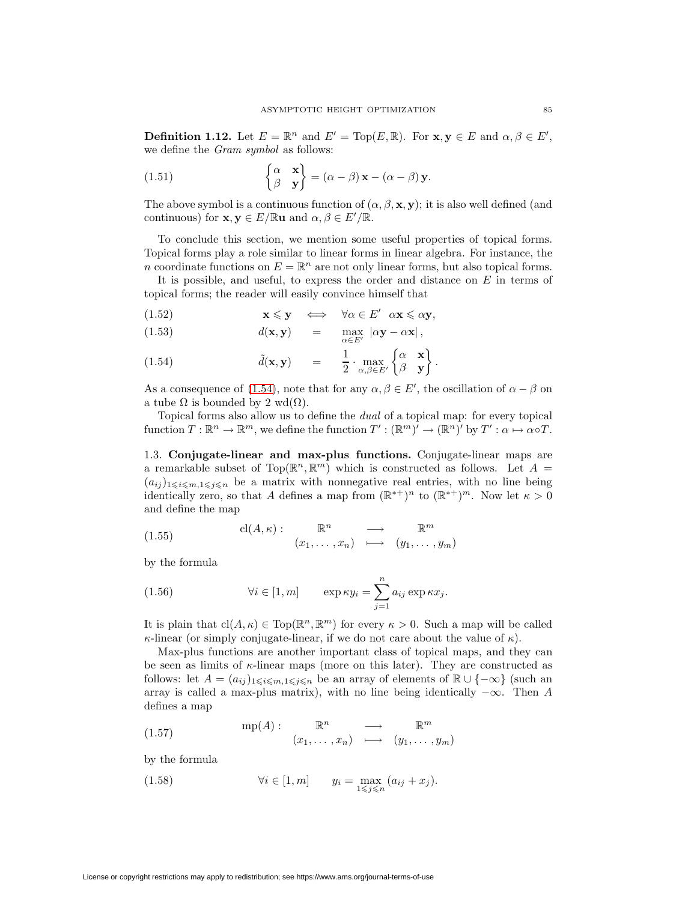**Definition 1.12.** Let  $E = \mathbb{R}^n$  and  $E' = \text{Top}(E, \mathbb{R})$ . For  $\mathbf{x}, \mathbf{y} \in E$  and  $\alpha, \beta \in E'$ , we define the Gram symbol as follows:

(1.51) 
$$
\begin{Bmatrix} \alpha & \mathbf{x} \\ \beta & \mathbf{y} \end{Bmatrix} = (\alpha - \beta) \mathbf{x} - (\alpha - \beta) \mathbf{y}.
$$

The above symbol is a continuous function of  $(\alpha, \beta, \mathbf{x}, \mathbf{y})$ ; it is also well defined (and continuous) for **x**,  $y \in E / \mathbb{R}$ **u** and  $\alpha, \beta \in E' / \mathbb{R}$ .

To conclude this section, we mention some useful properties of topical forms. Topical forms play a role similar to linear forms in linear algebra. For instance, the n coordinate functions on  $E = \mathbb{R}^n$  are not only linear forms, but also topical forms.

It is possible, and useful, to express the order and distance on  $E$  in terms of topical forms; the reader will easily convince himself that

<span id="page-8-0"></span>(1.52) 
$$
\mathbf{x} \leq \mathbf{y} \iff \forall \alpha \in E' \ \alpha \mathbf{x} \leq \alpha \mathbf{y},
$$

(1.53) 
$$
d(\mathbf{x}, \mathbf{y}) = \max_{\alpha \in E'} |\alpha \mathbf{y} - \alpha \mathbf{x}|,
$$

(1.54) 
$$
\tilde{d}(\mathbf{x}, \mathbf{y}) = \frac{1}{2} \cdot \max_{\alpha, \beta \in E'} \begin{Bmatrix} \alpha & \mathbf{x} \\ \beta & \mathbf{y} \end{Bmatrix}.
$$

As a consequence of [\(1.54\)](#page-8-0), note that for any  $\alpha, \beta \in E'$ , the oscillation of  $\alpha - \beta$  on a tube  $\Omega$  is bounded by 2 wd( $\Omega$ ).

Topical forms also allow us to define the dual of a topical map: for every topical function  $T : \mathbb{R}^n \to \mathbb{R}^m$ , we define the function  $T' : (\mathbb{R}^m)' \to (\mathbb{R}^n)'$  by  $T' : \alpha \mapsto \alpha \circ T$ .

<span id="page-8-2"></span>1.3. **Conjugate-linear and max-plus functions.** Conjugate-linear maps are a remarkable subset of Top( $\mathbb{R}^n$ ,  $\mathbb{R}^m$ ) which is constructed as follows. Let  $A =$  $(a_{ij})_{1\leqslant i\leqslant m,1\leqslant j\leqslant n}$  be a matrix with nonnegative real entries, with no line being identically zero, so that A defines a map from  $(\mathbb{R}^{*+})^n$  to  $(\mathbb{R}^{*+})^m$ . Now let  $\kappa > 0$ and define the map

(1.55) 
$$
\text{cl}(A, \kappa): \mathbb{R}^n \longrightarrow \mathbb{R}^m
$$

$$
(x_1, \ldots, x_n) \longmapsto (y_1, \ldots, y_m)
$$

<span id="page-8-1"></span>by the formula

(1.56) 
$$
\forall i \in [1, m] \qquad \exp \kappa y_i = \sum_{j=1}^n a_{ij} \exp \kappa x_j.
$$

It is plain that  $cl(A, \kappa) \in Top(\mathbb{R}^n, \mathbb{R}^m)$  for every  $\kappa > 0$ . Such a map will be called  $\kappa$ -linear (or simply conjugate-linear, if we do not care about the value of  $\kappa$ ).

Max-plus functions are another important class of topical maps, and they can be seen as limits of  $\kappa$ -linear maps (more on this later). They are constructed as follows: let  $A = (a_{ij})_{1 \leqslant i \leqslant m, 1 \leqslant j \leqslant n}$  be an array of elements of  $\mathbb{R} \cup \{-\infty\}$  (such an array is called a max-plus matrix), with no line being identically  $-\infty$ . Then A defines a map

(1.57) 
$$
\operatorname{mp}(A): \mathbb{R}^n \longrightarrow \mathbb{R}^m
$$

$$
(x_1, \dots, x_n) \longrightarrow (y_1, \dots, y_m)
$$

by the formula

(1.58) 
$$
\forall i \in [1, m] \qquad y_i = \max_{1 \leq j \leq n} (a_{ij} + x_j).
$$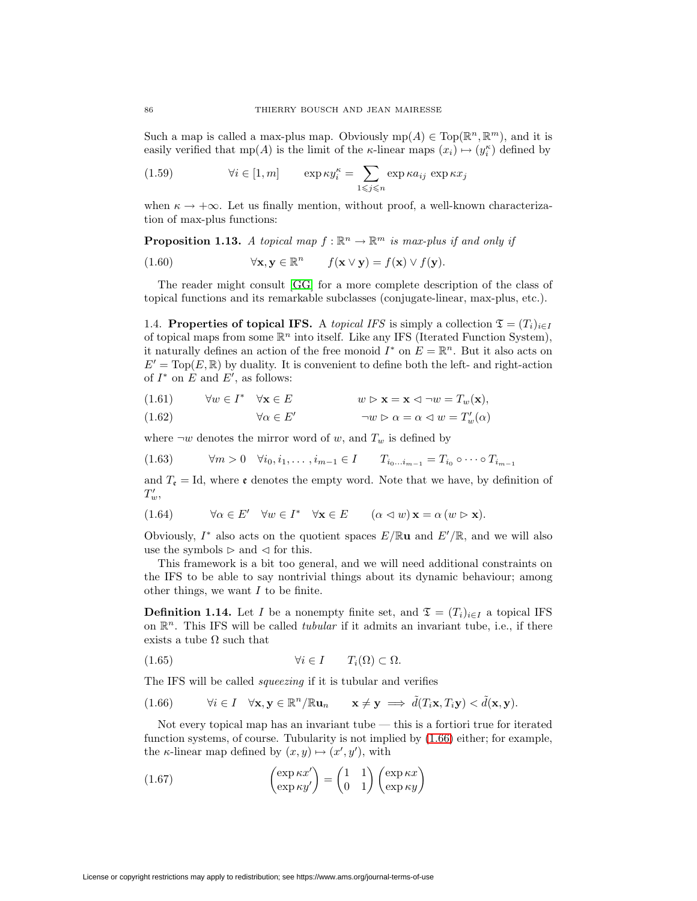<span id="page-9-1"></span>Such a map is called a max-plus map. Obviously  $mp(A) \in Top(\mathbb{R}^n, \mathbb{R}^m)$ , and it is easily verified that  $mp(A)$  is the limit of the *k*-linear maps  $(x_i) \mapsto (y_i^k)$  defined by

(1.59) 
$$
\forall i \in [1, m] \qquad \exp \kappa y_i^{\kappa} = \sum_{1 \leq j \leq n} \exp \kappa a_{ij} \exp \kappa x_j
$$

when  $\kappa \to +\infty$ . Let us finally mention, without proof, a well-known characterization of max-plus functions:

**Proposition 1.13.** A topical map  $f : \mathbb{R}^n \to \mathbb{R}^m$  is max-plus if and only if

(1.60) 
$$
\forall \mathbf{x}, \mathbf{y} \in \mathbb{R}^n \qquad f(\mathbf{x} \vee \mathbf{y}) = f(\mathbf{x}) \vee f(\mathbf{y}).
$$

The reader might consult [\[GG\]](#page-34-7) for a more complete description of the class of topical functions and its remarkable subclasses (conjugate-linear, max-plus, etc.).

1.4. **Properties of topical IFS.** A topical IFS is simply a collection  $\mathfrak{T} = (T_i)_{i \in I}$ of topical maps from some  $\mathbb{R}^n$  into itself. Like any IFS (Iterated Function System), it naturally defines an action of the free monoid  $I^*$  on  $E = \mathbb{R}^n$ . But it also acts on  $E' = \text{Top}(E, \mathbb{R})$  by duality. It is convenient to define both the left- and right-action of  $I^*$  on E and E', as follows:

(1.61) 
$$
\forall w \in I^* \quad \forall \mathbf{x} \in E \qquad w \triangleright \mathbf{x} = \mathbf{x} \triangleleft \neg w = T_w(\mathbf{x}),
$$

$$
(1.62) \qquad \forall \alpha \in E' \qquad \neg w \triangleright \alpha = \alpha \triangleleft w = T'_w(\alpha)
$$

<span id="page-9-2"></span>where  $\neg w$  denotes the mirror word of w, and  $T_w$  is defined by

$$
(1.63) \t\t \forall m > 0 \quad \forall i_0, i_1, \dots, i_{m-1} \in I \qquad T_{i_0 \dots i_{m-1}} = T_{i_0} \circ \dots \circ T_{i_{m-1}}
$$

and  $T_{\mathfrak{e}} = \mathrm{Id}$ , where  $\mathfrak{e}$  denotes the empty word. Note that we have, by definition of  $T_w',$ 

(1.64) 
$$
\forall \alpha \in E' \quad \forall w \in I^* \quad \forall \mathbf{x} \in E \qquad (\alpha \lhd w) \mathbf{x} = \alpha \, (w \rhd \mathbf{x}).
$$

Obviously,  $I^*$  also acts on the quotient spaces  $E/\mathbb{R}$ **u** and  $E'/\mathbb{R}$ , and we will also use the symbols  $\triangleright$  and  $\triangleleft$  for this.

This framework is a bit too general, and we will need additional constraints on the IFS to be able to say nontrivial things about its dynamic behaviour; among other things, we want  $I$  to be finite.

**Definition 1.14.** Let I be a nonempty finite set, and  $\mathfrak{T} = (T_i)_{i \in I}$  a topical IFS on  $\mathbb{R}^n$ . This IFS will be called *tubular* if it admits an invariant tube, i.e., if there exists a tube  $\Omega$  such that

$$
(1.65) \t\t\t \forall i \in I \t\t T_i(\Omega) \subset \Omega.
$$

<span id="page-9-0"></span>The IFS will be called *squeezing* if it is tubular and verifies

(1.66) 
$$
\forall i \in I \quad \forall \mathbf{x}, \mathbf{y} \in \mathbb{R}^n / \mathbb{R} \mathbf{u}_n \qquad \mathbf{x} \neq \mathbf{y} \implies \tilde{d}(T_i \mathbf{x}, T_i \mathbf{y}) < \tilde{d}(\mathbf{x}, \mathbf{y}).
$$

Not every topical map has an invariant tube — this is a fortiori true for iterated function systems, of course. Tubularity is not implied by [\(1.66\)](#page-9-0) either; for example, the  $\kappa$ -linear map defined by  $(x, y) \mapsto (x', y')$ , with

(1.67) 
$$
\begin{pmatrix} \exp \kappa x' \\ \exp \kappa y' \end{pmatrix} = \begin{pmatrix} 1 & 1 \\ 0 & 1 \end{pmatrix} \begin{pmatrix} \exp \kappa x \\ \exp \kappa y \end{pmatrix}
$$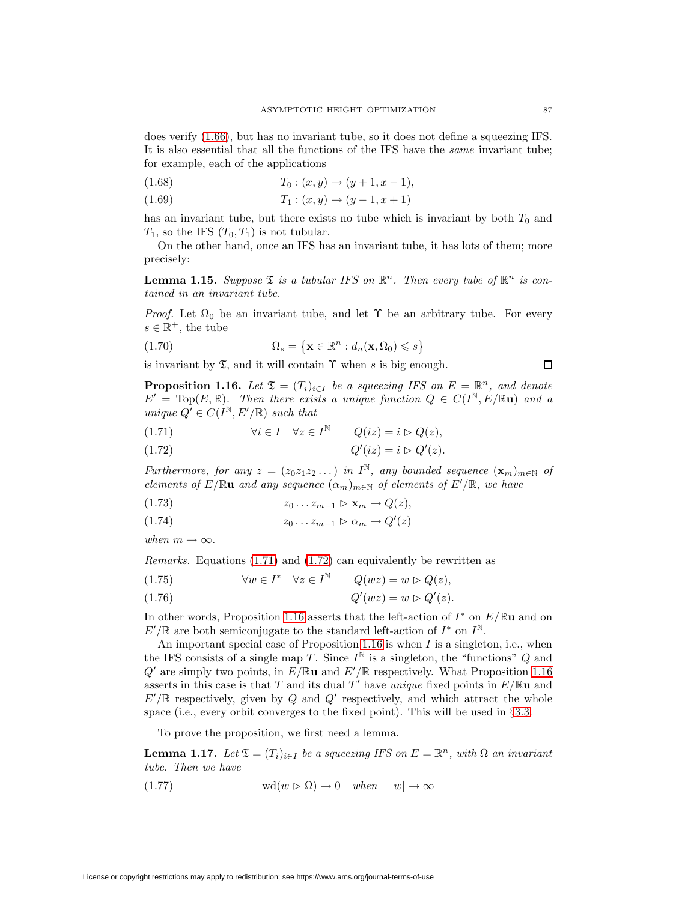does verify [\(1.66\)](#page-9-0), but has no invariant tube, so it does not define a squeezing IFS. It is also essential that all the functions of the IFS have the same invariant tube; for example, each of the applications

$$
(1.68) \t\t T_0: (x, y) \mapsto (y + 1, x - 1),
$$

$$
(1.69) \t\t T_1: (x, y) \mapsto (y - 1, x + 1)
$$

has an invariant tube, but there exists no tube which is invariant by both  $T_0$  and  $T_1$ , so the IFS  $(T_0, T_1)$  is not tubular.

<span id="page-10-4"></span>On the other hand, once an IFS has an invariant tube, it has lots of them; more precisely:

**Lemma 1.15.** Suppose  $\mathfrak{T}$  is a tubular IFS on  $\mathbb{R}^n$ . Then every tube of  $\mathbb{R}^n$  is contained in an invariant tube.

*Proof.* Let  $\Omega_0$  be an invariant tube, and let  $\Upsilon$  be an arbitrary tube. For every  $s \in \mathbb{R}^+$ , the tube

(1.70) 
$$
\Omega_s = \left\{ \mathbf{x} \in \mathbb{R}^n : d_n(\mathbf{x}, \Omega_0) \leqslant s \right\}
$$

is invariant by  $\mathfrak T$ , and it will contain  $\Upsilon$  when s is big enough.

**Proposition 1.16.** Let  $\mathfrak{T} = (T_i)_{i \in I}$  be a squeezing IFS on  $E = \mathbb{R}^n$ , and denote  $E' = \text{Top}(E, \mathbb{R})$ . Then there exists a unique function  $Q \in C(I^{\mathbb{N}}, E/\mathbb{R}u)$  and a unique  $Q' \in C(I^{\mathbb{N}}, E'/\mathbb{R})$  such that

<span id="page-10-1"></span><span id="page-10-0"></span>(1.71) 
$$
\forall i \in I \quad \forall z \in I^{\mathbb{N}} \qquad Q(iz) = i \triangleright Q(z),
$$

$$
(1.72) \tQ'(iz) = i \rhd Q'(z).
$$

<span id="page-10-5"></span>Furthermore, for any  $z = (z_0z_1z_2 \dots)$  in  $I^{\mathbb{N}}$ , any bounded sequence  $(\mathbf{x}_m)_{m \in \mathbb{N}}$  of elements of  $E/\mathbb{R}$ **u** and any sequence  $(\alpha_m)_{m\in\mathbb{N}}$  of elements of  $E'/\mathbb{R}$ , we have

<span id="page-10-2"></span>
$$
(1.73) \t\t\t z_0 \ldots z_{m-1} \rhd \mathbf{x}_m \to Q(z),
$$

$$
(1.74) \t z_0 \dots z_{m-1} \rhd \alpha_m \to Q'(z)
$$

when  $m \to \infty$ .

Remarks. Equations [\(1.71\)](#page-10-0) and [\(1.72\)](#page-10-1) can equivalently be rewritten as

(1.75) 
$$
\forall w \in I^* \quad \forall z \in I^{\mathbb{N}} \qquad Q(wz) = w \rhd Q(z),
$$

$$
(1.76) \tQ'(wz) = w \triangleright Q'(z).
$$

In other words, Proposition [1.16](#page-10-2) asserts that the left-action of I<sup>∗</sup> on E/R**u** and on  $E'/\mathbb{R}$  are both semiconjugate to the standard left-action of  $I^*$  on  $I^{\mathbb{N}}$ .

An important special case of Proposition [1.16](#page-10-2) is when  $I$  is a singleton, i.e., when the IFS consists of a single map T. Since  $I^{\mathbb{N}}$  is a singleton, the "functions" Q and  $Q'$  are simply two points, in  $E/\mathbb{R}$ **u** and  $E'/\mathbb{R}$  respectively. What Proposition [1.16](#page-10-2) asserts in this case is that T and its dual T' have *unique* fixed points in  $E/\mathbb{R}u$  and  $E'/\mathbb{R}$  respectively, given by Q and Q' respectively, and which attract the whole space (i.e., every orbit converges to the fixed point). This will be used in §[3.3.](#page-24-0)

To prove the proposition, we first need a lemma.

<span id="page-10-3"></span>**Lemma 1.17.** Let  $\mathfrak{T} = (T_i)_{i \in I}$  be a squeezing IFS on  $E = \mathbb{R}^n$ , with  $\Omega$  an invariant tube. Then we have

(1.77) 
$$
\text{wd}(w \triangleright \Omega) \to 0 \quad when \quad |w| \to \infty
$$

 $\Box$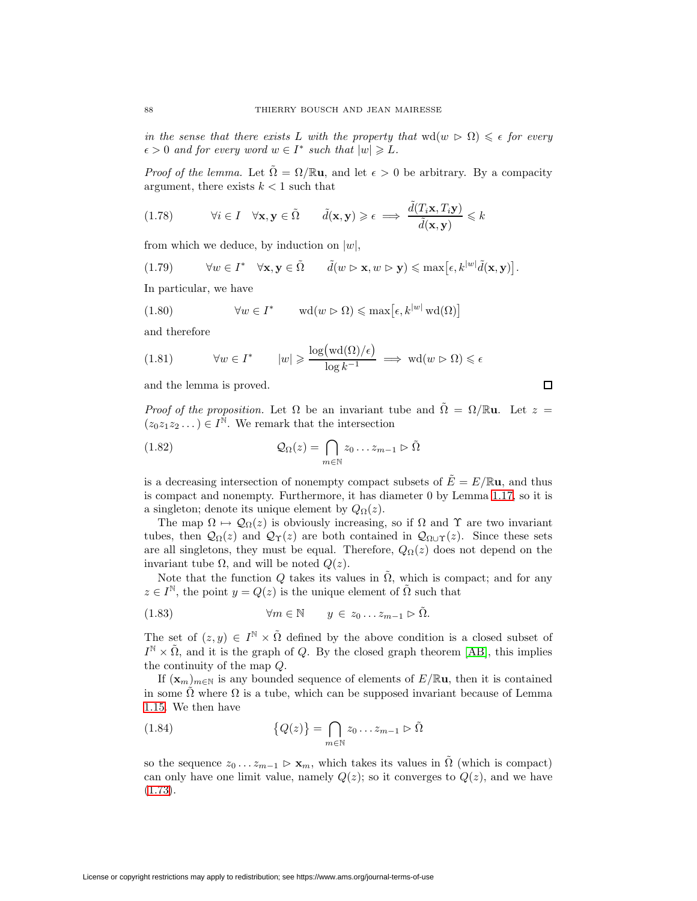in the sense that there exists L with the property that  $\text{wd}(w \triangleright \Omega) \leq \epsilon$  for every  $\epsilon > 0$  and for every word  $w \in I^*$  such that  $|w| \geq L$ .

*Proof of the lemma.* Let  $\tilde{\Omega} = \Omega / \mathbb{R} \mathbf{u}$ , and let  $\epsilon > 0$  be arbitrary. By a compacity argument, there exists  $k < 1$  such that

$$
(1.78) \qquad \forall i \in I \quad \forall \mathbf{x}, \mathbf{y} \in \tilde{\Omega} \qquad \tilde{d}(\mathbf{x}, \mathbf{y}) \geq \epsilon \implies \frac{\tilde{d}(T_i \mathbf{x}, T_i \mathbf{y})}{\tilde{d}(\mathbf{x}, \mathbf{y})} \leq k
$$

from which we deduce, by induction on  $|w|$ ,

$$
(1.79) \qquad \forall w \in I^* \quad \forall \mathbf{x}, \mathbf{y} \in \tilde{\Omega} \qquad \tilde{d}(w \rhd \mathbf{x}, w \rhd \mathbf{y}) \leq \max[\epsilon, k^{|w|} \tilde{d}(\mathbf{x}, \mathbf{y})].
$$

In particular, we have

(1.80) 
$$
\forall w \in I^* \qquad \text{wd}(w \triangleright \Omega) \leq \max[\epsilon, k^{|w|} \text{wd}(\Omega)]
$$

and therefore

$$
(1.81) \qquad \forall w \in I^* \qquad |w| \geqslant \frac{\log(\text{wd}(\Omega)/\epsilon)}{\log k^{-1}} \implies \text{wd}(w \rhd \Omega) \leqslant \epsilon
$$

and the lemma is proved.

*Proof of the proposition.* Let  $\Omega$  be an invariant tube and  $\tilde{\Omega} = \Omega / \mathbb{R}$ **u**. Let  $z =$  $(z_0z_1z_2\ldots) \in I^{\mathbb{N}}$ . We remark that the intersection

 $\mathsf{\Pi}$ 

(1.82) 
$$
\mathcal{Q}_{\Omega}(z) = \bigcap_{m \in \mathbb{N}} z_0 \dots z_{m-1} \triangleright \tilde{\Omega}
$$

is a decreasing intersection of nonempty compact subsets of  $\tilde{E} = E/\mathbb{R}$ **u**, and thus is compact and nonempty. Furthermore, it has diameter 0 by Lemma [1.17,](#page-10-3) so it is a singleton; denote its unique element by  $Q_{\Omega}(z)$ .

The map  $\Omega \mapsto \mathcal{Q}_{\Omega}(z)$  is obviously increasing, so if  $\Omega$  and  $\Upsilon$  are two invariant tubes, then  $\mathcal{Q}_{\Omega}(z)$  and  $\mathcal{Q}_{\Upsilon}(z)$  are both contained in  $\mathcal{Q}_{\Omega\cup\Upsilon}(z)$ . Since these sets are all singletons, they must be equal. Therefore,  $Q_{\Omega}(z)$  does not depend on the invariant tube Ω, and will be noted  $Q(z)$ .

Note that the function Q takes its values in  $\Omega$ , which is compact; and for any  $z \in I^{\mathbb{N}}$ , the point  $y = Q(z)$  is the unique element of  $\tilde{\Omega}$  such that

(1.83) 
$$
\forall m \in \mathbb{N} \qquad y \in z_0 \dots z_{m-1} \triangleright \tilde{\Omega}.
$$

The set of  $(z, y) \in I^{\mathbb{N}} \times \tilde{\Omega}$  defined by the above condition is a closed subset of  $I^{\mathbb{N}} \times \tilde{\Omega}$ , and it is the graph of Q. By the closed graph theorem [\[AB\]](#page-33-8), this implies the continuity of the map Q.

If  $(\mathbf{x}_m)_{m\in\mathbb{N}}$  is any bounded sequence of elements of  $E/\mathbb{R}$ **u**, then it is contained in some  $\tilde{\Omega}$  where  $\Omega$  is a tube, which can be supposed invariant because of Lemma [1.15.](#page-10-4) We then have

(1.84) 
$$
\{Q(z)\} = \bigcap_{m \in \mathbb{N}} z_0 \dots z_{m-1} \triangleright \tilde{\Omega}
$$

so the sequence  $z_0 \ldots z_{m-1} \triangleright \mathbf{x}_m$ , which takes its values in  $\tilde{\Omega}$  (which is compact) can only have one limit value, namely  $Q(z)$ ; so it converges to  $Q(z)$ , and we have [\(1.73\)](#page-10-5).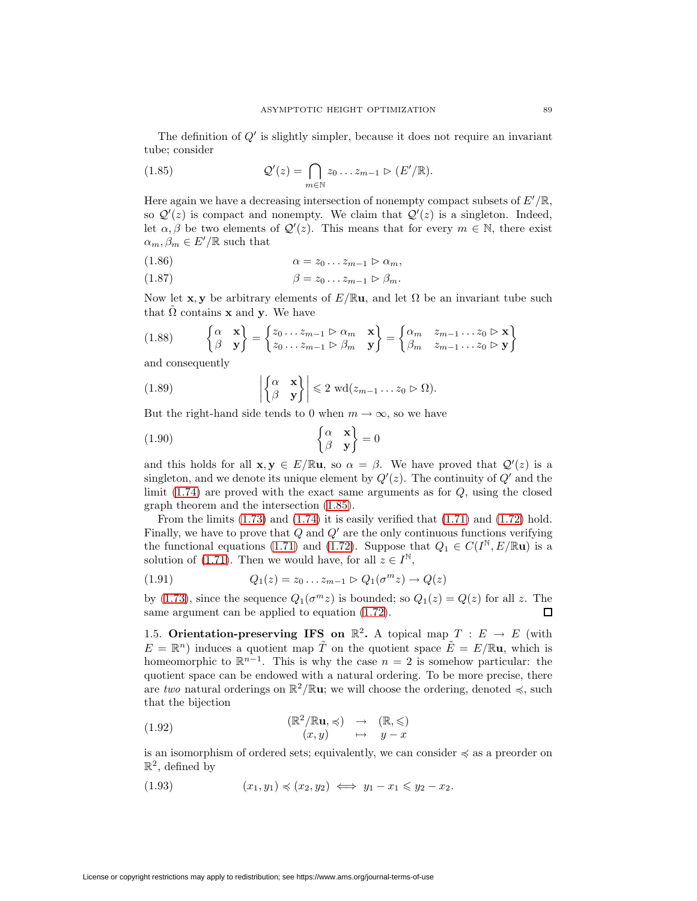<span id="page-12-0"></span>The definition of  $Q'$  is slightly simpler, because it does not require an invariant tube; consider

(1.85) 
$$
\mathcal{Q}'(z) = \bigcap_{m \in \mathbb{N}} z_0 \dots z_{m-1} \triangleright (E'/\mathbb{R}).
$$

Here again we have a decreasing intersection of nonempty compact subsets of  $E'/\mathbb{R}$ , so  $\mathcal{Q}'(z)$  is compact and nonempty. We claim that  $\mathcal{Q}'(z)$  is a singleton. Indeed, let  $\alpha, \beta$  be two elements of  $\mathcal{Q}'(z)$ . This means that for every  $m \in \mathbb{N}$ , there exist  $\alpha_m, \beta_m \in E'/\mathbb{R}$  such that

$$
(1.86) \qquad \qquad \alpha = z_0 \dots z_{m-1} \triangleright \alpha_m,
$$

$$
(1.87) \qquad \beta = z_0 \dots z_{m-1} \triangleright \beta_m.
$$

Now let **x**, **y** be arbitrary elements of  $E/\mathbb{R}$ **u**, and let  $\Omega$  be an invariant tube such that  $\Omega$  contains **x** and **y**. We have

$$
(1.88) \qquad \begin{Bmatrix} \alpha & \mathbf{x} \\ \beta & \mathbf{y} \end{Bmatrix} = \begin{Bmatrix} z_0 \dots z_{m-1} \triangleright \alpha_m & \mathbf{x} \\ z_0 \dots z_{m-1} \triangleright \beta_m & \mathbf{y} \end{Bmatrix} = \begin{Bmatrix} \alpha_m & z_{m-1} \dots z_0 \triangleright \mathbf{x} \\ \beta_m & z_{m-1} \dots z_0 \triangleright \mathbf{y} \end{Bmatrix}
$$

and consequently

(1.89) 
$$
\left|\begin{Bmatrix} \alpha & \mathbf{x} \\ \beta & \mathbf{y} \end{Bmatrix}\right| \leq 2 \text{ wd}(z_{m-1} \dots z_0 \triangleright \Omega).
$$

But the right-hand side tends to 0 when  $m \to \infty$ , so we have

$$
\begin{cases}\n\alpha & \mathbf{x} \\
\beta & \mathbf{y}\n\end{cases} = 0
$$

and this holds for all  $\mathbf{x}, \mathbf{y} \in E / \mathbb{R} \mathbf{u}$ , so  $\alpha = \beta$ . We have proved that  $\mathcal{Q}'(z)$  is a singleton, and we denote its unique element by  $Q'(z)$ . The continuity of  $Q'$  and the limit  $(1.74)$  are proved with the exact same arguments as for  $Q$ , using the closed graph theorem and the intersection [\(1.85\)](#page-12-0).

From the limits  $(1.73)$  and  $(1.74)$  it is easily verified that  $(1.71)$  and  $(1.72)$  hold. Finally, we have to prove that  $Q$  and  $Q'$  are the only continuous functions verifying the functional equations [\(1.71\)](#page-10-0) and [\(1.72\)](#page-10-1). Suppose that  $Q_1 \in C(I^{\mathbb{N}}, E/\mathbb{R} \mathbf{u})$  is a solution of [\(1.71\)](#page-10-0). Then we would have, for all  $z \in I^{\mathbb{N}}$ ,

(1.91) 
$$
Q_1(z) = z_0 ... z_{m-1} \triangleright Q_1(\sigma^m z) \to Q(z)
$$

by [\(1.73\)](#page-10-5), since the sequence  $Q_1(\sigma^m z)$  is bounded; so  $Q_1(z) = Q(z)$  for all z. The same argument can be applied to equation [\(1.72\)](#page-10-1). 口

1.5. **Orientation-preserving IFS on**  $\mathbb{R}^2$ . A topical map  $T : E \to E$  (with  $E = \mathbb{R}^n$  induces a quotient map  $\tilde{T}$  on the quotient space  $\tilde{E} = E/\mathbb{R}$ **u**, which is homeomorphic to  $\mathbb{R}^{n-1}$ . This is why the case  $n = 2$  is somehow particular: the quotient space can be endowed with a natural ordering. To be more precise, there are two natural orderings on  $\mathbb{R}^2/\mathbb{R}$ **u**; we will choose the ordering, denoted  $\preccurlyeq$ , such that the bijection

(1.92) 
$$
(\mathbb{R}^2/\mathbb{R}\mathbf{u}, \preccurlyeq) \rightarrow (\mathbb{R}, \preccurlyeq)
$$
  
\n $(x, y) \rightarrow y - x$ 

is an isomorphism of ordered sets; equivalently, we can consider  $\preccurlyeq$  as a preorder on  $\mathbb{R}^2$ , defined by

$$
(1.93) \qquad \qquad (x_1, y_1) \preccurlyeq (x_2, y_2) \iff y_1 - x_1 \leq y_2 - x_2.
$$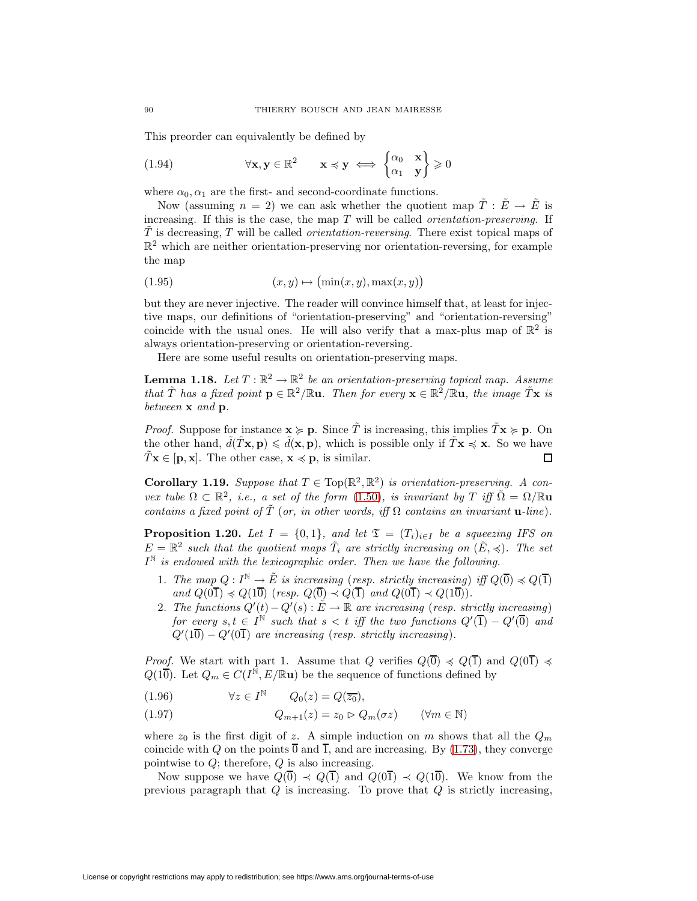This preorder can equivalently be defined by

(1.94) 
$$
\forall \mathbf{x}, \mathbf{y} \in \mathbb{R}^2 \qquad \mathbf{x} \preccurlyeq \mathbf{y} \iff \begin{Bmatrix} \alpha_0 & \mathbf{x} \\ \alpha_1 & \mathbf{y} \end{Bmatrix} \geq 0
$$

where  $\alpha_0, \alpha_1$  are the first- and second-coordinate functions.

Now (assuming  $n = 2$ ) we can ask whether the quotient map  $\tilde{T} : \tilde{E} \to \tilde{E}$  is increasing. If this is the case, the map  $T$  will be called *orientation-preserving*. If  $\overline{T}$  is decreasing,  $\overline{T}$  will be called *orientation-reversing*. There exist topical maps of  $\mathbb{R}^2$  which are neither orientation-preserving nor orientation-reversing, for example the map

$$
(1.95) \qquad \qquad (x, y) \mapsto (\min(x, y), \max(x, y))
$$

but they are never injective. The reader will convince himself that, at least for injective maps, our definitions of "orientation-preserving" and "orientation-reversing" coincide with the usual ones. He will also verify that a max-plus map of  $\mathbb{R}^2$  is always orientation-preserving or orientation-reversing.

Here are some useful results on orientation-preserving maps.

**Lemma 1.18.** Let  $T : \mathbb{R}^2 \to \mathbb{R}^2$  be an orientation-preserving topical map. Assume that  $\tilde{T}$  has a fixed point  $\mathbf{p} \in \mathbb{R}^2/\mathbb{R}$ **u**. Then for every  $\mathbf{x} \in \mathbb{R}^2/\mathbb{R}$ **u**, the image  $\tilde{T}$ **x** is between **x** and **p**.

*Proof.* Suppose for instance  $\mathbf{x} \ge \mathbf{p}$ . Since  $\tilde{T}$  is increasing, this implies  $\tilde{T} \mathbf{x} \ge \mathbf{p}$ . On the other hand,  $\tilde{d}(\tilde{T}\mathbf{x}, \mathbf{p}) \leq \tilde{d}(\mathbf{x}, \mathbf{p})$ , which is possible only if  $\tilde{T}\mathbf{x} \preccurlyeq \mathbf{x}$ . So we have  $T\mathbf{x} \in [\mathbf{p}, \mathbf{x}]$ . The other case,  $\mathbf{x} \preccurlyeq \mathbf{p}$ , is similar.  $\Box$ 

<span id="page-13-1"></span>**Corollary 1.19.** Suppose that  $T \in Top(\mathbb{R}^2, \mathbb{R}^2)$  is orientation-preserving. A convex tube  $\Omega \subset \mathbb{R}^2$ , i.e., a set of the form [\(1.50\)](#page-7-1), is invariant by T iff  $\tilde{\Omega} = \Omega / \mathbb{R}$ **u** contains a fixed point of  $\tilde{T}$  (or, in other words, iff  $\Omega$  contains an invariant **u**-line).

**Proposition 1.20.** Let  $I = \{0, 1\}$ , and let  $\mathfrak{T} = (T_i)_{i \in I}$  be a squeezing IFS on  $E = \mathbb{R}^2$  such that the quotient maps  $\tilde{T}_i$  are strictly increasing on  $(\tilde{E}, \preccurlyeq)$ . The set  $I^{\mathbb{N}}$  is endowed with the lexicographic order. Then we have the following.

- 1. The map  $Q: I^{\mathbb{N}} \to \tilde{E}$  is increasing (resp. strictly increasing) iff  $Q(\overline{0}) \preccurlyeq Q(\overline{1})$ and  $Q(0\overline{1}) \preccurlyeq Q(1\overline{0})$  (resp.  $Q(\overline{0}) \prec Q(\overline{1})$  and  $Q(0\overline{1}) \prec Q(1\overline{0})$ ).
- <span id="page-13-0"></span>2. The functions  $Q'(t) - Q'(s) : \tilde{E} \to \mathbb{R}$  are increasing (resp. strictly increasing) for every  $s,t \in I^{\mathbb{N}}$  such that  $s < t$  iff the two functions  $Q'(\overline{1}) - Q'(\overline{0})$  and  $Q'(1\overline{0}) - Q'(0\overline{1})$  are increasing (resp. strictly increasing).

*Proof.* We start with part 1. Assume that Q verifies  $Q(\overline{0}) \preccurlyeq Q(\overline{1})$  and  $Q(0\overline{1}) \preccurlyeq$  $Q(1\overline{0})$ . Let  $Q_m \in C(I^{\mathbb{N}}, E/\mathbb{R}$ **u**) be the sequence of functions defined by

∀z ∈ I<sup>N</sup> (1.96) Q0(z) = Q(z0),

$$
(1.97) \tQ_{m+1}(z) = z_0 \rhd Q_m(\sigma z) \t\t (\forall m \in \mathbb{N})
$$

where  $z_0$  is the first digit of z. A simple induction on m shows that all the  $Q_m$ coincide with Q on the points  $\overline{0}$  and  $\overline{1}$ , and are increasing. By [\(1.73\)](#page-10-5), they converge pointwise to  $Q$ ; therefore,  $Q$  is also increasing.

Now suppose we have  $Q(\overline{0}) \prec Q(\overline{1})$  and  $Q(0\overline{1}) \prec Q(1\overline{0})$ . We know from the previous paragraph that  $Q$  is increasing. To prove that  $Q$  is strictly increasing,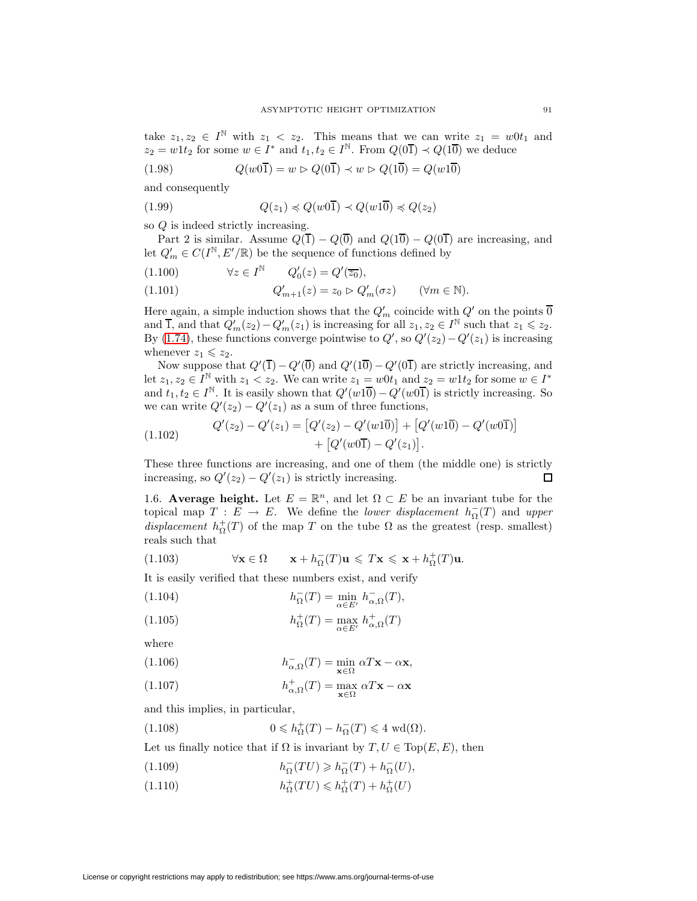take  $z_1, z_2 \in I^{\mathbb{N}}$  with  $z_1 < z_2$ . This means that we can write  $z_1 = w0t_1$  and  $z_2 = w1t_2$  for some  $w \in I^*$  and  $t_1, t_2 \in I^{\mathbb{N}}$ . From  $Q(0\overline{1}) \prec Q(1\overline{0})$  we deduce

$$
(1.98) \qquad \qquad Q(w0\overline{1}) = w \rhd Q(0\overline{1}) \prec w \rhd Q(1\overline{0}) = Q(w1\overline{0})
$$

and consequently

$$
(1.99) \tQ(z_1) \preccurlyeq Q(w0\overline{1}) \preccurlyeq Q(w1\overline{0}) \preccurlyeq Q(z_2)
$$

so Q is indeed strictly increasing.

Part 2 is similar. Assume  $Q(\overline{1}) - Q(\overline{0})$  and  $Q(1\overline{0}) - Q(0\overline{1})$  are increasing, and let  $Q'_m \in C(I^{\mathbb{N}}, E'/\mathbb{R})$  be the sequence of functions defined by

$$
(1.100) \qquad \forall z \in I^{\mathbb{N}} \qquad Q'_0(z) = Q'(\overline{z_0}),
$$

$$
(1.101) \tQ'_{m+1}(z) = z_0 \triangleright Q'_m(\sigma z) \t (\forall m \in \mathbb{N}).
$$

Here again, a simple induction shows that the  $Q'_m$  coincide with  $Q'$  on the points  $\overline{0}$ and  $\overline{1}$ , and that  $Q'_m(z_2) - Q'_m(z_1)$  is increasing for all  $z_1, z_2 \in I^{\mathbb{N}}$  such that  $z_1 \leq z_2$ . By [\(1.74\)](#page-10-2), these functions converge pointwise to  $Q'$ , so  $Q'(z_2) - Q'(z_1)$  is increasing whenever  $z_1 \leq z_2$ .

Now suppose that  $Q'(\overline{1}) - Q'(\overline{0})$  and  $Q'(1\overline{0}) - Q'(0\overline{1})$  are strictly increasing, and let  $z_1, z_2 \in I^{\mathbb{N}}$  with  $z_1 < z_2$ . We can write  $z_1 = w0t_1$  and  $z_2 = w1t_2$  for some  $w \in I^*$ and  $t_1, t_2 \in I^{\mathbb{N}}$ . It is easily shown that  $Q'(w1\overline{0}) - Q'(w0\overline{1})$  is strictly increasing. So we can write  $Q'(z_2) - Q'(z_1)$  as a sum of three functions,

(1.102) 
$$
Q'(z_2) - Q'(z_1) = [Q'(z_2) - Q'(w1\overline{0})] + [Q'(w1\overline{0}) - Q'(w0\overline{1})] + [Q'(w0\overline{1}) - Q'(z_1)].
$$

These three functions are increasing, and one of them (the middle one) is strictly increasing, so  $Q'(z_2) - Q'(z_1)$  is strictly increasing. п

<span id="page-14-3"></span>1.6. **Average height.** Let  $E = \mathbb{R}^n$ , and let  $\Omega \subset E$  be an invariant tube for the topical map  $T : E \to E$ . We define the *lower displacement*  $h_{\Omega}^{-}(T)$  and *upper* displacement  $h_{\Omega}^{+}(T)$  of the map T on the tube  $\Omega$  as the greatest (resp. smallest) reals such that

(1.103) 
$$
\forall \mathbf{x} \in \Omega \qquad \mathbf{x} + h_{\Omega}^{-}(T)\mathbf{u} \leqslant T\mathbf{x} \leqslant \mathbf{x} + h_{\Omega}^{+}(T)\mathbf{u}.
$$

It is easily verified that these numbers exist, and verify

(1.104) 
$$
h_{\Omega}^{-}(T) = \min_{\alpha \in E'} h_{\alpha,\Omega}^{-}(T),
$$

(1.105) 
$$
h_{\Omega}^{+}(T) = \max_{\alpha \in E'} h_{\alpha,\Omega}^{+}(T)
$$

where

(1.106) 
$$
h_{\alpha,\Omega}^{-}(T) = \min_{\mathbf{x}\in\Omega} \alpha T\mathbf{x} - \alpha \mathbf{x},
$$

(1.107) 
$$
h_{\alpha,\Omega}^+(T) = \max_{\mathbf{x}\in\Omega} \alpha T\mathbf{x} - \alpha \mathbf{x}
$$

<span id="page-14-2"></span>and this implies, in particular,

(1.108) 
$$
0 \leq h_{\Omega}^{+}(T) - h_{\Omega}^{-}(T) \leq 4 \text{ wd}(\Omega).
$$

<span id="page-14-0"></span>Let us finally notice that if  $\Omega$  is invariant by  $T, U \in Top(E, E)$ , then

<span id="page-14-1"></span>h<sup>−</sup> <sup>Ω</sup> (T U) > h<sup>−</sup> <sup>Ω</sup> (T ) + h<sup>−</sup> <sup>Ω</sup> (1.109) (U),

(1.110) 
$$
h_{\Omega}^+(TU) \leqslant h_{\Omega}^+(T) + h_{\Omega}^+(U)
$$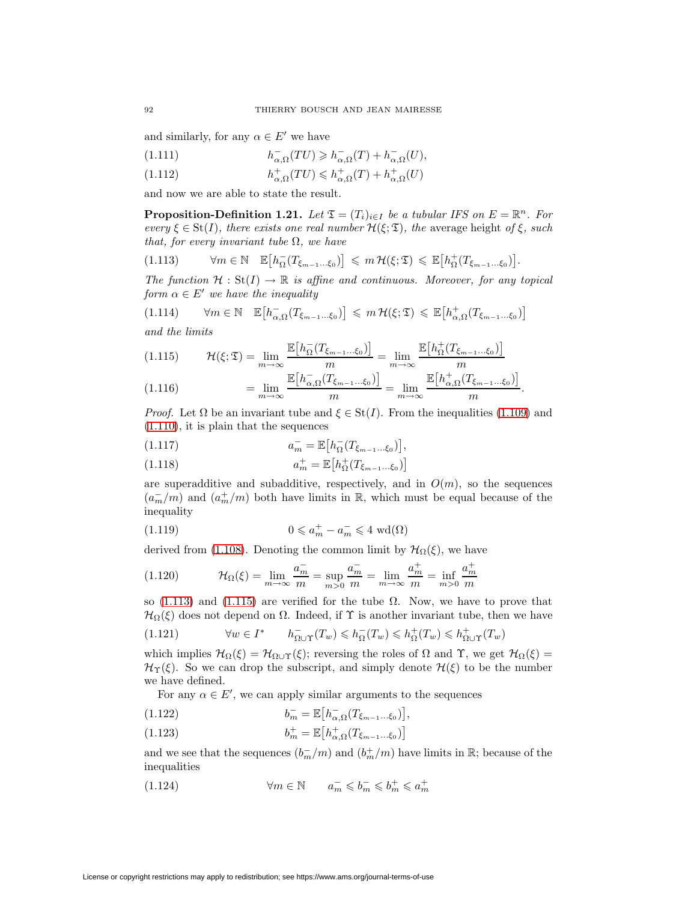and similarly, for any  $\alpha \in E'$  we have

(1.111) 
$$
h_{\alpha,\Omega}^-(TU) \geq h_{\alpha,\Omega}^-(T) + h_{\alpha,\Omega}^-(U),
$$

(1.112) 
$$
h_{\alpha,\Omega}^+(TU) \leqslant h_{\alpha,\Omega}^+(T) + h_{\alpha,\Omega}^+(U)
$$

<span id="page-15-5"></span>and now we are able to state the result.

**Proposition-Definition 1.21.** Let  $\mathfrak{T} = (T_i)_{i \in I}$  be a tubular IFS on  $E = \mathbb{R}^n$ . For every  $\xi \in St(I)$ , there exists one real number  $\mathcal{H}(\xi; \mathfrak{T})$ , the average height of  $\xi$ , such that, for every invariant tube  $\Omega$ , we have

<span id="page-15-0"></span>
$$
(1.113) \qquad \forall m \in \mathbb{N} \quad \mathbb{E}\big[h_{\Omega}^{-}(T_{\xi_{m-1}...\xi_0})\big] \leq m \mathcal{H}(\xi;\mathfrak{T}) \leq \mathbb{E}\big[h_{\Omega}^{+}(T_{\xi_{m-1}...\xi_0})\big].
$$

<span id="page-15-2"></span>The function  $\mathcal{H}: \text{St}(I) \to \mathbb{R}$  is affine and continuous. Moreover, for any topical form  $\alpha \in E'$  we have the inequality

$$
(1.114) \qquad \forall m \in \mathbb{N} \quad \mathbb{E}\big[h_{\alpha,\Omega}^-(T_{\xi_{m-1}\dots\xi_0})\big] \leq m \,\mathcal{H}(\xi;\mathfrak{T}) \leq \mathbb{E}\big[h_{\alpha,\Omega}^+(T_{\xi_{m-1}\dots\xi_0})\big]
$$

<span id="page-15-1"></span>and the limits

$$
(1.115) \qquad \mathcal{H}(\xi; \mathfrak{T}) = \lim_{m \to \infty} \frac{\mathbb{E}\big[h_{\Omega}^{-}(T_{\xi_{m-1}\dots\xi_0})\big]}{m} = \lim_{m \to \infty} \frac{\mathbb{E}\big[h_{\Omega}^{+}(T_{\xi_{m-1}\dots\xi_0})\big]}{m}
$$
\n
$$
\mathbb{E}\big[h_{\infty}^{-}(T_{\xi_{m-1}\dots\xi_0})\big] \qquad \mathbb{E}\big[h_{\infty}^{+}(T_{\xi_{m-1}\dots\xi_0})\big]
$$

<span id="page-15-3"></span>(1.116) 
$$
= \lim_{m \to \infty} \frac{\mathbb{E}\left[h_{\alpha,\Omega}^-(T_{\xi_{m-1}\dots,\xi_0})\right]}{m} = \lim_{m \to \infty} \frac{\mathbb{E}\left[h_{\alpha,\Omega}^+(T_{\xi_{m-1}\dots,\xi_0})\right]}{m}.
$$

*Proof.* Let  $\Omega$  be an invariant tube and  $\xi \in \text{St}(I)$ . From the inequalities [\(1.109\)](#page-14-0) and [\(1.110\)](#page-14-1), it is plain that the sequences

$$
(1.117) \t\t a_m^- = \mathbb{E}\big[h_{\Omega}^-(T_{\xi_{m-1}\dots\xi_0})\big],
$$

(1.118) 
$$
a_m^+ = \mathbb{E}\big[ h_\Omega^+(T_{\xi_{m-1}...\xi_0}) \big]
$$

are superadditive and subadditive, respectively, and in  $O(m)$ , so the sequences  $(a_m^-/m)$  and  $(a_m^+/m)$  both have limits in R, which must be equal because of the inequality

<span id="page-15-4"></span>(1.119) 
$$
0 \leqslant a_m^+ - a_m^- \leqslant 4 \text{ wd}(\Omega)
$$

derived from [\(1.108\)](#page-14-2). Denoting the common limit by  $\mathcal{H}_{\Omega}(\xi)$ , we have

(1.120) 
$$
\mathcal{H}_{\Omega}(\xi) = \lim_{m \to \infty} \frac{a_m^-}{m} = \sup_{m > 0} \frac{a_m^-}{m} = \lim_{m \to \infty} \frac{a_m^+}{m} = \inf_{m > 0} \frac{a_m^+}{m}
$$

so [\(1.113\)](#page-15-0) and [\(1.115\)](#page-15-1) are verified for the tube  $\Omega$ . Now, we have to prove that  $\mathcal{H}_{\Omega}(\xi)$  does not depend on  $\Omega$ . Indeed, if  $\Upsilon$  is another invariant tube, then we have

(1.121) 
$$
\forall w \in I^* \qquad h_{\Omega \cup \Upsilon}^-(T_w) \leq h_{\Omega}^-(T_w) \leq h_{\Omega}^+(T_w) \leq h_{\Omega \cup \Upsilon}^+(T_w)
$$

which implies  $\mathcal{H}_{\Omega}(\xi) = \mathcal{H}_{\Omega \cup \Upsilon}(\xi)$ ; reversing the roles of  $\Omega$  and  $\Upsilon$ , we get  $\mathcal{H}_{\Omega}(\xi) =$  $\mathcal{H}_{\Upsilon}(\xi)$ . So we can drop the subscript, and simply denote  $\mathcal{H}(\xi)$  to be the number we have defined.

For any  $\alpha \in E'$ , we can apply similar arguments to the sequences

$$
(1.122) \t\t\t b_m^- = \mathbb{E}\big[h_{\alpha,\Omega}^-(T_{\xi_{m-1}\dots,\xi_0})\big],
$$

(1.123) 
$$
b_m^+ = \mathbb{E}\big[b_{\alpha,\Omega}^+(T_{\xi_{m-1}\dots\xi_0})\big]
$$

and we see that the sequences  $(b_m^-/m)$  and  $(b_m^+/m)$  have limits in  $\mathbb{R}$ ; because of the inequalities

(1.124) 
$$
\forall m \in \mathbb{N} \qquad a_m^- \leqslant b_m^- \leqslant b_m^+ \leqslant a_m^+
$$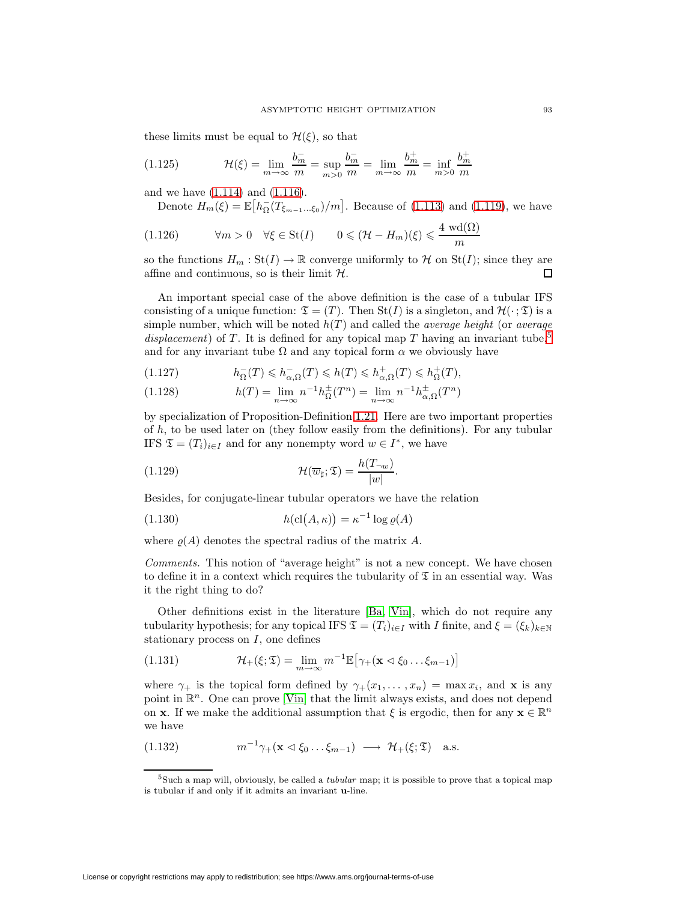these limits must be equal to  $\mathcal{H}(\xi)$ , so that

(1.125) 
$$
\mathcal{H}(\xi) = \lim_{m \to \infty} \frac{b_m^-}{m} = \sup_{m > 0} \frac{b_m^-}{m} = \lim_{m \to \infty} \frac{b_m^+}{m} = \inf_{m > 0} \frac{b_m^+}{m}
$$

and we have [\(1.114\)](#page-15-2) and [\(1.116\)](#page-15-3).

Denote  $H_m(\xi) = \mathbb{E}\big[h_{\Omega}^-(T_{\xi_{m-1}...\xi_0})/m\big]$ . Because of [\(1.113\)](#page-15-0) and [\(1.119\)](#page-15-4), we have

$$
(1.126) \qquad \forall m > 0 \quad \forall \xi \in \text{St}(I) \qquad 0 \leq (\mathcal{H} - H_m)(\xi) \leq \frac{4 \text{ wd}(\Omega)}{m}
$$

so the functions  $H_m : \text{St}(I) \to \mathbb{R}$  converge uniformly to H on  $\text{St}(I)$ ; since they are affine and continuous, so is their limit  $H$ . 口

An important special case of the above definition is the case of a tubular IFS consisting of a unique function:  $\mathfrak{T} = (T)$ . Then  $St(I)$  is a singleton, and  $\mathcal{H}(\cdot; \mathfrak{T})$  is a simple number, which will be noted  $h(T)$  and called the *average height* (or *average* displacement) of T. It is defined for any topical map T having an invariant tube,<sup>[5](#page-16-0)</sup> and for any invariant tube  $\Omega$  and any topical form  $\alpha$  we obviously have

(1.127) 
$$
h_{\Omega}^{-}(T) \leqslant h_{\alpha,\Omega}^{-}(T) \leqslant h(T) \leqslant h_{\alpha,\Omega}^{+}(T) \leqslant h_{\Omega}^{+}(T),
$$

(1.128) 
$$
h(T) = \lim_{n \to \infty} n^{-1} h_{\Omega}^{\pm}(T^n) = \lim_{n \to \infty} n^{-1} h_{\alpha, \Omega}^{\pm}(T^n)
$$

by specialization of Proposition-Definition [1.21.](#page-15-5) Here are two important properties of  $h$ , to be used later on (they follow easily from the definitions). For any tubular IFS  $\mathfrak{T} = (T_i)_{i \in I}$  and for any nonempty word  $w \in I^*$ , we have

<span id="page-16-2"></span>(1.129) 
$$
\mathcal{H}(\overline{w}_{\sharp}; \mathfrak{T}) = \frac{h(T_{\neg w})}{|w|}.
$$

<span id="page-16-3"></span>Besides, for conjugate-linear tubular operators we have the relation

(1.130) 
$$
h(\text{cl}(A,\kappa)) = \kappa^{-1} \log \varrho(A)
$$

where  $\rho(A)$  denotes the spectral radius of the matrix A.

Comments. This notion of "average height" is not a new concept. We have chosen to define it in a context which requires the tubularity of  $\mathfrak T$  in an essential way. Was it the right thing to do?

Other definitions exist in the literature [\[Ba,](#page-33-0) [Vin\]](#page-34-8), which do not require any tubularity hypothesis; for any topical IFS  $\mathfrak{T} = (T_i)_{i \in I}$  with I finite, and  $\xi = (\xi_k)_{k \in \mathbb{N}}$ stationary process on  $I$ , one defines

<span id="page-16-1"></span>(1.131) 
$$
\mathcal{H}_{+}(\xi;\mathfrak{T}) = \lim_{m \to \infty} m^{-1} \mathbb{E} \big[ \gamma_{+}(\mathbf{x} \lhd \xi_{0} \ldots \xi_{m-1}) \big]
$$

where  $\gamma_+$  is the topical form defined by  $\gamma_+(x_1,\ldots,x_n) = \max x_i$ , and **x** is any point in  $\mathbb{R}^n$ . One can prove [\[Vin\]](#page-34-8) that the limit always exists, and does not depend on **x**. If we make the additional assumption that  $\xi$  is ergodic, then for any  $\mathbf{x} \in \mathbb{R}^n$ we have

(1.132) 
$$
m^{-1}\gamma_+(\mathbf{x}\lhd\xi_0\ldots\xi_{m-1}) \longrightarrow \mathcal{H}_+(\xi;\mathfrak{T}) \quad \text{a.s.}
$$

<span id="page-16-0"></span> $5$ Such a map will, obviously, be called a *tubular* map; it is possible to prove that a topical map is tubular if and only if it admits an invariant **u**-line.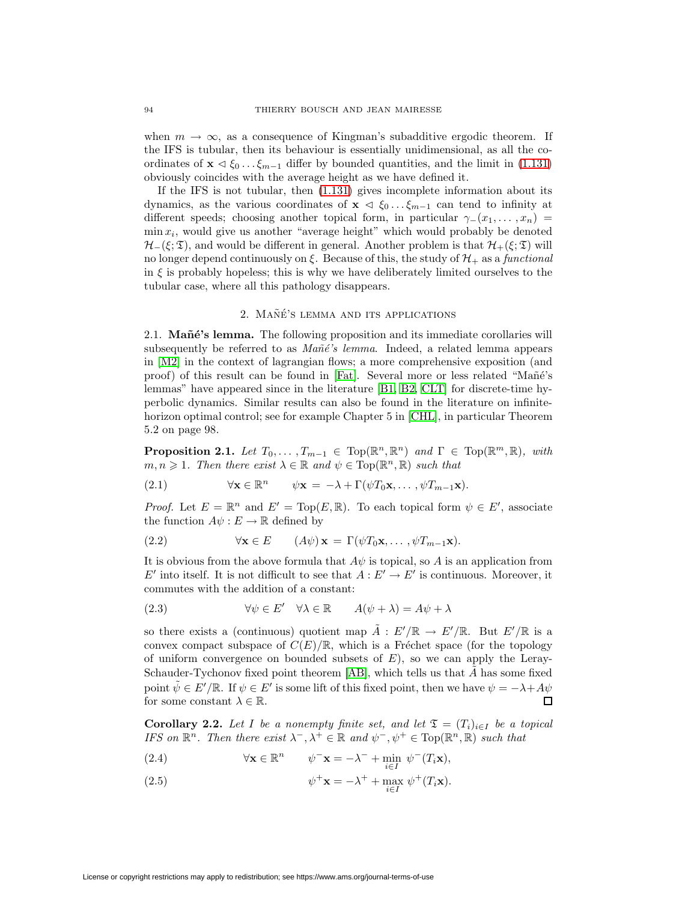when  $m \to \infty$ , as a consequence of Kingman's subadditive ergodic theorem. If the IFS is tubular, then its behaviour is essentially unidimensional, as all the coordinates of  $\mathbf{x} \triangleleft \xi_0 \dots \xi_{m-1}$  differ by bounded quantities, and the limit in [\(1.131\)](#page-16-1) obviously coincides with the average height as we have defined it.

If the IFS is not tubular, then [\(1.131\)](#page-16-1) gives incomplete information about its dynamics, as the various coordinates of  $\mathbf{x} \leq \xi_0 \dots \xi_{m-1}$  can tend to infinity at different speeds; choosing another topical form, in particular  $\gamma_-(x_1,\ldots,x_n)$  =  $\min x_i$ , would give us another "average height" which would probably be denoted  $\mathcal{H}_-(\xi;\mathfrak{T})$ , and would be different in general. Another problem is that  $\mathcal{H}_+(\xi;\mathfrak{T})$  will no longer depend continuously on  $\xi$ . Because of this, the study of  $\mathcal{H}_+$  as a functional in  $\xi$  is probably hopeless; this is why we have deliberately limited ourselves to the tubular case, where all this pathology disappears.

# 2. MAÑÉ'S LEMMA AND ITS APPLICATIONS

2.1. **Mañé's lemma.** The following proposition and its immediate corollaries will subsequently be referred to as  $Mañé's lemma$ . Indeed, a related lemma appears in [\[M2\]](#page-34-9) in the context of lagrangian flows; a more comprehensive exposition (and proof) of this result can be found in [\[Fat\]](#page-34-10). Several more or less related "Mañé's lemmas" have appeared since in the literature [\[B1,](#page-33-10) [B2,](#page-33-11) [CLT\]](#page-33-12) for discrete-time hyperbolic dynamics. Similar results can also be found in the literature on infinitehorizon optimal control; see for example Chapter 5 in [\[CHL\]](#page-33-13), in particular Theorem 5.2 on page 98.

<span id="page-17-0"></span>**Proposition 2.1.** Let  $T_0, \ldots, T_{m-1} \in \text{Top}(\mathbb{R}^n, \mathbb{R}^n)$  and  $\Gamma \in \text{Top}(\mathbb{R}^m, \mathbb{R})$ , with  $m, n \geq 1$ . Then there exist  $\lambda \in \mathbb{R}$  and  $\psi \in Top(\mathbb{R}^n, \mathbb{R})$  such that

(2.1) 
$$
\forall \mathbf{x} \in \mathbb{R}^n \qquad \psi \mathbf{x} = -\lambda + \Gamma(\psi T_0 \mathbf{x}, \dots, \psi T_{m-1} \mathbf{x}).
$$

*Proof.* Let  $E = \mathbb{R}^n$  and  $E' = \text{Top}(E, \mathbb{R})$ . To each topical form  $\psi \in E'$ , associate the function  $A\psi : E \to \mathbb{R}$  defined by

(2.2) 
$$
\forall \mathbf{x} \in E \qquad (A\psi) \mathbf{x} = \Gamma(\psi T_0 \mathbf{x}, \dots, \psi T_{m-1} \mathbf{x}).
$$

It is obvious from the above formula that  $A\psi$  is topical, so A is an application from  $E'$  into itself. It is not difficult to see that  $A: E' \to E'$  is continuous. Moreover, it commutes with the addition of a constant:

(2.3) 
$$
\forall \psi \in E' \quad \forall \lambda \in \mathbb{R} \qquad A(\psi + \lambda) = A\psi + \lambda
$$

so there exists a (continuous) quotient map  $\tilde{A}: E'/\mathbb{R} \to E'/\mathbb{R}$ . But  $E'/\mathbb{R}$  is a convex compact subspace of  $C(E)/\mathbb{R}$ , which is a Fréchet space (for the topology of uniform convergence on bounded subsets of  $E$ ), so we can apply the Leray-Schauder-Tychonov fixed point theorem  $[AB]$ , which tells us that  $\tilde{A}$  has some fixed point  $\tilde{\psi} \in E'/\mathbb{R}$ . If  $\psi \in E'$  is some lift of this fixed point, then we have  $\psi = -\lambda + A\psi$ for some constant  $\lambda \in \mathbb{R}$ .

<span id="page-17-1"></span>**Corollary 2.2.** Let I be a nonempty finite set, and let  $\mathfrak{T} = (T_i)_{i \in I}$  be a topical IFS on  $\mathbb{R}^n$ . Then there exist  $\lambda^-$ ,  $\lambda^+ \in \mathbb{R}$  and  $\psi^-$ ,  $\psi^+ \in \text{Top}(\mathbb{R}^n, \mathbb{R})$  such that

<span id="page-17-2"></span>(2.4) 
$$
\forall \mathbf{x} \in \mathbb{R}^n \qquad \psi^- \mathbf{x} = -\lambda^- + \min_{i \in I} \ \psi^-(T_i \mathbf{x}),
$$

(2.5) 
$$
\psi^+ \mathbf{x} = -\lambda^+ + \max_{i \in I} \psi^+(T_i \mathbf{x}).
$$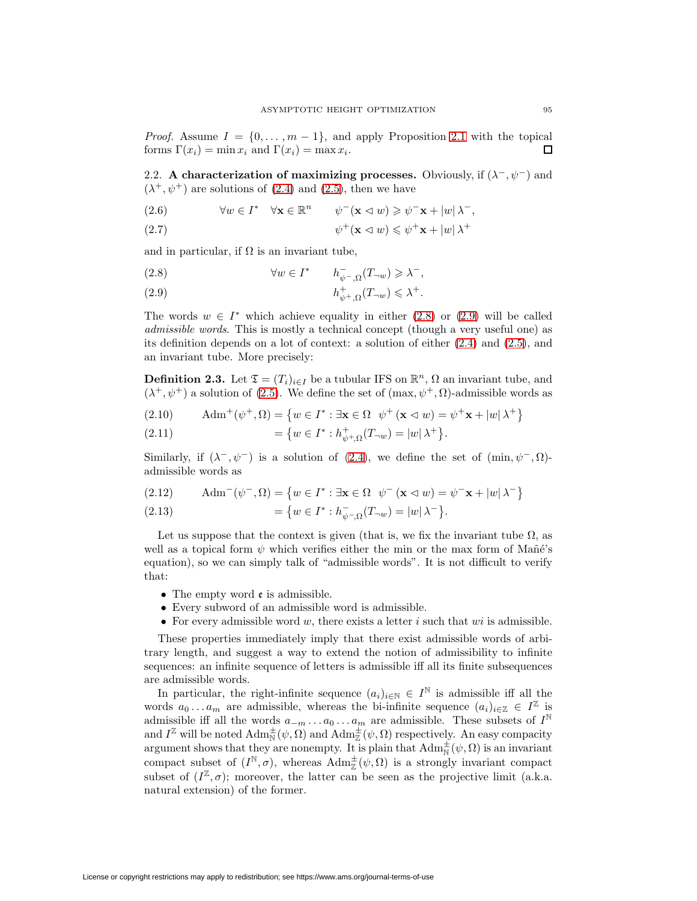*Proof.* Assume  $I = \{0, \ldots, m-1\}$ , and apply Proposition [2.1](#page-17-0) with the topical forms  $\Gamma(x_i) = \min x_i$  and  $\Gamma(x_i) = \max x_i$ . П

2.2. **A characterization of maximizing processes.** Obviously, if  $(\lambda^-, \psi^-)$  and  $(\lambda^+, \psi^+)$  are solutions of [\(2.4\)](#page-17-1) and [\(2.5\)](#page-17-2), then we have

 $\forall w \in I^* \quad \forall \mathbf{x} \in \mathbb{R}^n \qquad \psi^-(\mathbf{x} \triangleleft w) \geqslant \psi^-\mathbf{x} + |w| \lambda^-,$ 

(2.7) 
$$
\psi^+({\bf x}\lhd w)\leqslant \psi^+{\bf x}+|w|\lambda^+
$$

<span id="page-18-0"></span>and in particular, if  $\Omega$  is an invariant tube,

<span id="page-18-1"></span>(2.8) 
$$
\forall w \in I^* \qquad h_{\psi^-,\Omega}^-(T_{\neg w}) \geq \lambda^-,
$$

h+ <sup>ψ</sup>+,Ω(T¬<sup>w</sup>) <sup>6</sup> <sup>λ</sup><sup>+</sup> (2.9) .

The words  $w \in I^*$  which achieve equality in either [\(2.8\)](#page-18-0) or [\(2.9\)](#page-18-1) will be called admissible words. This is mostly a technical concept (though a very useful one) as its definition depends on a lot of context: a solution of either [\(2.4\)](#page-17-1) and [\(2.5\)](#page-17-2), and an invariant tube. More precisely:

**Definition 2.3.** Let  $\mathfrak{T} = (T_i)_{i \in I}$  be a tubular IFS on  $\mathbb{R}^n$ ,  $\Omega$  an invariant tube, and  $(\lambda^+, \psi^+)$  a solution of [\(2.5\)](#page-17-2). We define the set of  $(\max, \psi^+, \Omega)$ -admissible words as

(2.10) 
$$
\text{Adm}^+(\psi^+, \Omega) = \{ w \in I^* : \exists \mathbf{x} \in \Omega \ \psi^+ (\mathbf{x} \triangleleft w) = \psi^+ \mathbf{x} + |w| \lambda^+ \}
$$

(2.11) 
$$
= \{ w \in I^* : h^+_{\psi^+, \Omega}(T_{\neg w}) = |w| \lambda^+ \}.
$$

Similarly, if  $(\lambda^-,\psi^-)$  is a solution of [\(2.4\)](#page-17-1), we define the set of  $(\min, \psi^-,\Omega)$ admissible words as

$$
(2.12) \qquad \text{Adm}^-(\psi^-, \Omega) = \left\{ w \in I^* : \exists \mathbf{x} \in \Omega \ \ \psi^- \left( \mathbf{x} \vartriangleleft w \right) = \psi^- \mathbf{x} + |w| \lambda^- \right\}
$$

(2.13) 
$$
= \{ w \in I^* : h_{\psi^-, \Omega}^-(T_{-\omega}) = |w| \lambda^- \}.
$$

Let us suppose that the context is given (that is, we fix the invariant tube  $\Omega$ , as well as a topical form  $\psi$  which verifies either the min or the max form of Mañé's equation), so we can simply talk of "admissible words". It is not difficult to verify that:

- The empty word  $\epsilon$  is admissible.
- Every subword of an admissible word is admissible.
- For every admissible word w, there exists a letter i such that  $wi$  is admissible.

These properties immediately imply that there exist admissible words of arbitrary length, and suggest a way to extend the notion of admissibility to infinite sequences: an infinite sequence of letters is admissible iff all its finite subsequences are admissible words.

<span id="page-18-2"></span>In particular, the right-infinite sequence  $(a_i)_{i\in\mathbb{N}} \in I^{\mathbb{N}}$  is admissible iff all the words  $a_0 \ldots a_m$  are admissible, whereas the bi-infinite sequence  $(a_i)_{i\in\mathbb{Z}} \in I^{\mathbb{Z}}$  is admissible iff all the words  $a_{-m} \ldots a_0 \ldots a_m$  are admissible. These subsets of  $I^{\mathbb{N}}$ and  $I^{\mathbb{Z}}$  will be noted  $\text{Adm}_{\overline{N}}^{\pm}(\psi, \Omega)$  and  $\text{Adm}_{\overline{\mathbb{Z}}}^{\pm}(\psi, \Omega)$  respectively. An easy compacity argument shows that they are nonempty. It is plain that  $\text{Adm}^{\pm}_{\text{N}}(\psi,\Omega)$  is an invariant compact subset of  $(I^{\mathbb{N}}, \sigma)$ , whereas  $\text{Adm}_{\mathbb{Z}}^{\pm}(\psi, \Omega)$  is a strongly invariant compact subset of  $(I^{\mathbb{Z}}, \sigma)$ ; moreover, the latter can be seen as the projective limit (a.k.a. natural extension) of the former.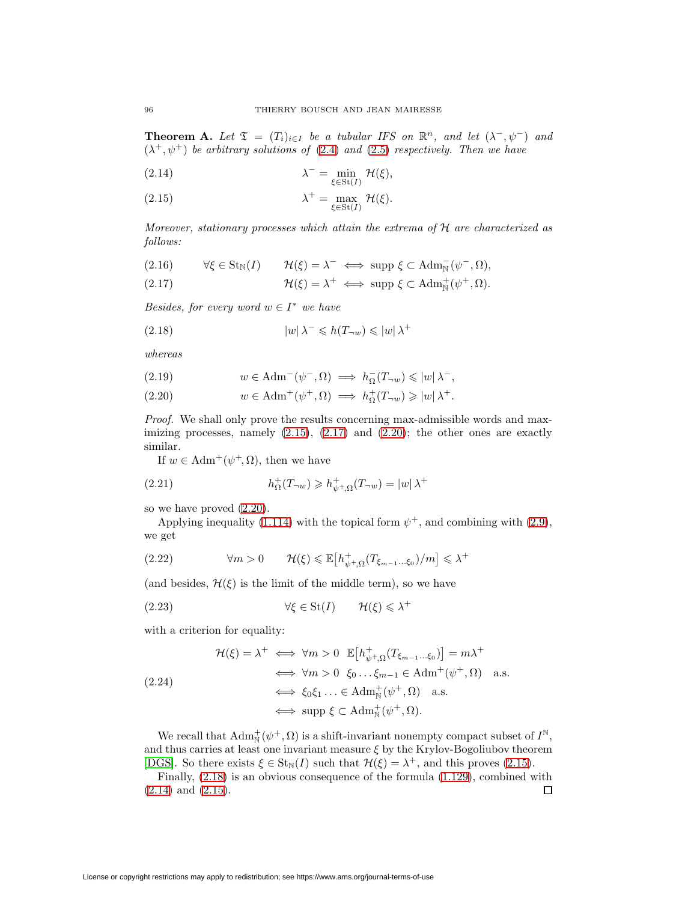<span id="page-19-4"></span>**Theorem A.** Let  $\mathfrak{T} = (T_i)_{i \in I}$  be a tubular IFS on  $\mathbb{R}^n$ , and let  $(\lambda^-, \psi^-)$  and  $(\lambda^+, \psi^+)$  be arbitrary solutions of [\(2.4\)](#page-17-1) and [\(2.5\)](#page-17-2) respectively. Then we have

<span id="page-19-0"></span>(2.14) 
$$
\lambda^{-} = \min_{\xi \in \text{St}(I)} \mathcal{H}(\xi),
$$

(2.15) 
$$
\lambda^+ = \max_{\xi \in \text{St}(I)} \mathcal{H}(\xi).
$$

Moreover, stationary processes which attain the extrema of H are characterized as follows:

<span id="page-19-1"></span>(2.16) 
$$
\forall \xi \in \text{St}_{\mathbb{N}}(I) \qquad \mathcal{H}(\xi) = \lambda^- \iff \text{supp } \xi \subset \text{Adm}_{\mathbb{N}}^-(\psi^-, \Omega),
$$

(2.17) 
$$
\mathcal{H}(\xi) = \lambda^+ \iff \text{supp } \xi \subset \text{Adm}_{\mathbb{N}}^+(\psi^+, \Omega).
$$

<span id="page-19-3"></span>Besides, for every word  $w \in I^*$  we have

(2.18) 
$$
|w|\lambda^{-} \leq h(T_{\neg w}) \leq |w|\lambda^{+}
$$

whereas

<span id="page-19-2"></span>(2.19) 
$$
w \in \text{Adm}^-(\psi^-, \Omega) \implies h_{\Omega}^-(T_{\neg w}) \leqslant |w| \lambda^-,
$$

(2.20) 
$$
w \in \text{Adm}^+(\psi^+, \Omega) \implies h^+_{\Omega}(T_{\neg w}) \geqslant |w| \lambda^+.
$$

Proof. We shall only prove the results concerning max-admissible words and maximizing processes, namely  $(2.15)$ ,  $(2.17)$  and  $(2.20)$ ; the other ones are exactly similar.

If  $w \in \text{Adm}^+(\psi^+, \Omega)$ , then we have

(2.21) 
$$
h_{\Omega}^{+}(T_{\neg w}) \geq h_{\psi^{+},\Omega}^{+}(T_{\neg w}) = |w| \lambda^{+}
$$

so we have proved [\(2.20\)](#page-19-2).

Applying inequality [\(1.114\)](#page-15-2) with the topical form  $\psi^+$ , and combining with [\(2.9\)](#page-18-1), we get

(2.22) 
$$
\forall m > 0 \qquad \mathcal{H}(\xi) \leq \mathbb{E}\big[h_{\psi^+, \Omega}^+(T_{\xi_{m-1}...\xi_0})/m\big] \leq \lambda^+
$$

(and besides,  $\mathcal{H}(\xi)$  is the limit of the middle term), so we have

(2.23) 
$$
\forall \xi \in \text{St}(I) \qquad \mathcal{H}(\xi) \leq \lambda^+
$$

with a criterion for equality:

$$
\mathcal{H}(\xi) = \lambda^+ \iff \forall m > 0 \quad \mathbb{E}\left[h_{\psi^+, \Omega}^+(T_{\xi_{m-1}...\xi_0})\right] = m\lambda^+\n\iff \forall m > 0 \quad \xi_0 \dots \xi_{m-1} \in \text{Adm}^+(\psi^+, \Omega) \quad \text{a.s.}
$$
\n
$$
\iff \xi_0 \xi_1 \dots \in \text{Adm}^+(\psi^+, \Omega) \quad \text{a.s.}
$$
\n
$$
\iff \text{supp } \xi \subset \text{Adm}^+(\psi^+, \Omega).
$$

We recall that  $\text{Adm}^+_{\mathbb{N}}(\psi^+,\Omega)$  is a shift-invariant nonempty compact subset of  $I^{\mathbb{N}},$ and thus carries at least one invariant measure  $\xi$  by the Krylov-Bogoliubov theorem [\[DGS\]](#page-33-5). So there exists  $\xi \in St_{\mathbb{N}}(I)$  such that  $\mathcal{H}(\xi) = \lambda^+$ , and this proves [\(2.15\)](#page-19-0).

Finally, [\(2.18\)](#page-19-3) is an obvious consequence of the formula [\(1.129\)](#page-16-2), combined with  $\Box$ [\(2.14\)](#page-19-4) and [\(2.15\)](#page-19-0).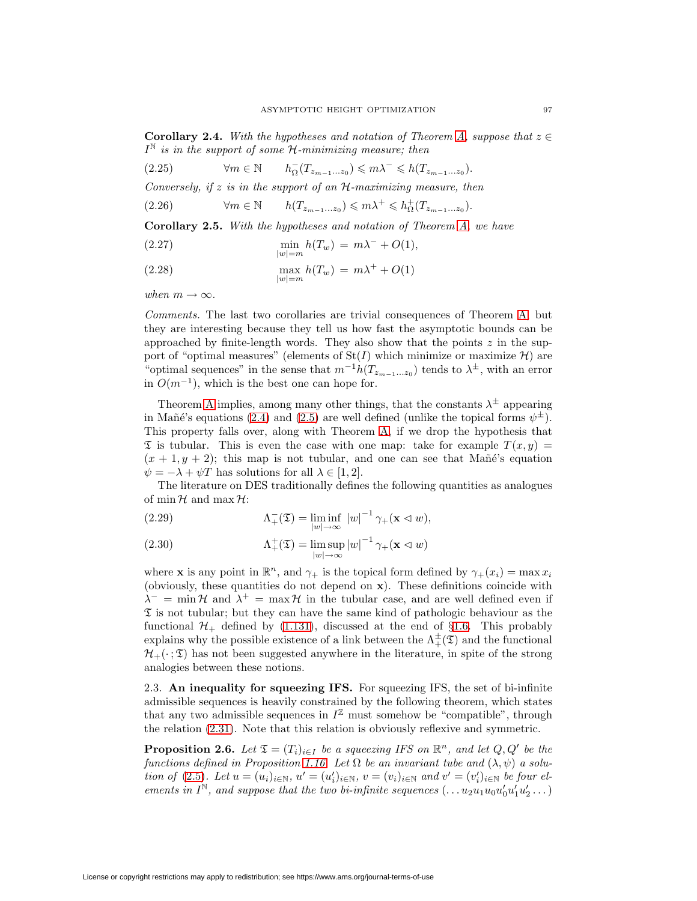**Corollary 2.4.** With the hypotheses and notation of Theorem [A,](#page-18-2) suppose that  $z \in \mathbb{R}$  $I^{\mathbb{N}}$  is in the support of some  $\mathcal{H}$ -minimizing measure; then

 $\forall m \in \mathbb{N}$  $(2.25)$   $\forall m \in \mathbb{N}$   $h_{\Omega}^-(T_{z_{m-1}...z_0}) \leq m\lambda^- \leq h(T_{z_{m-1}...z_0}).$ 

Conversely, if  $z$  is in the support of an  $H$ -maximizing measure, then

(2.26)  $\forall m \in \mathbb{N} \qquad h(T_{z_{m-1}...z_0}) \leq m\lambda^+ \leq h_{\Omega}^+(T_{z_{m-1}...z_0}).$ 

**Corollary 2.5.** With the hypotheses and notation of Theorem [A,](#page-18-2) we have

(2.27) 
$$
\min_{|w|=m} h(T_w) = m\lambda^{-} + O(1),
$$

(2.28) 
$$
\max_{|w|=m} h(T_w) = m\lambda^+ + O(1)
$$

when  $m \to \infty$ .

Comments. The last two corollaries are trivial consequences of Theorem [A,](#page-18-2) but they are interesting because they tell us how fast the asymptotic bounds can be approached by finite-length words. They also show that the points  $z$  in the support of "optimal measures" (elements of  $St(I)$  which minimize or maximize  $H$ ) are "optimal sequences" in the sense that  $m^{-1}h(T_{z_{m-1}...z_0})$  tends to  $\lambda^{\pm}$ , with an error in  $O(m^{-1})$ , which is the best one can hope for.

Theorem [A](#page-18-2) implies, among many other things, that the constants  $\lambda^{\pm}$  appearing in Mañé's equations [\(2.4\)](#page-17-1) and [\(2.5\)](#page-17-2) are well defined (unlike the topical forms  $\psi^{\pm}$ ). This property falls over, along with Theorem [A,](#page-18-2) if we drop the hypothesis that  $\mathfrak T$  is tubular. This is even the case with one map: take for example  $T(x, y) =$  $(x + 1, y + 2)$ ; this map is not tubular, and one can see that Mañé's equation  $\psi = -\lambda + \psi T$  has solutions for all  $\lambda \in [1, 2]$ .

The literature on DES traditionally defines the following quantities as analogues of  $\min \mathcal{H}$  and  $\max \mathcal{H}$ :

(2.29) 
$$
\Lambda_{+}^{-}(\mathfrak{T}) = \liminf_{|w| \to \infty} |w|^{-1} \gamma_{+}(\mathbf{x} \vartriangleleft w),
$$

(2.30) 
$$
\Lambda^+_{+}(\mathfrak{T}) = \limsup_{|w| \to \infty} |w|^{-1} \gamma_{+}(\mathbf{x} \vartriangleleft w)
$$

where **x** is any point in  $\mathbb{R}^n$ , and  $\gamma_+$  is the topical form defined by  $\gamma_+(x_i) = \max x_i$ (obviously, these quantities do not depend on **x**). These definitions coincide with  $\lambda^-$  = min H and  $\lambda^+$  = max H in the tubular case, and are well defined even if  $\mathfrak T$  is not tubular; but they can have the same kind of pathologic behaviour as the functional  $\mathcal{H}_+$  defined by [\(1.131\)](#page-16-1), discussed at the end of §[1.6.](#page-14-3) This probably explains why the possible existence of a link between the  $\Lambda^{\pm}_{+}(\mathfrak{T})$  and the functional  $\mathcal{H}_{+}(\cdot;\mathfrak{T})$  has not been suggested anywhere in the literature, in spite of the strong analogies between these notions.

2.3. **An inequality for squeezing IFS.** For squeezing IFS, the set of bi-infinite admissible sequences is heavily constrained by the following theorem, which states that any two admissible sequences in  $I^{\mathbb{Z}}$  must somehow be "compatible", through the relation [\(2.31\)](#page-21-0). Note that this relation is obviously reflexive and symmetric.

**Proposition 2.6.** Let  $\mathfrak{T} = (T_i)_{i \in I}$  be a squeezing IFS on  $\mathbb{R}^n$ , and let  $Q, Q'$  be the functions defined in Proposition [1.16.](#page-10-2) Let  $\Omega$  be an invariant tube and  $(\lambda, \psi)$  a solution of  $(2.5)$ . Let  $u = (u_i)_{i \in \mathbb{N}}$ ,  $u' = (u'_i)_{i \in \mathbb{N}}$ ,  $v = (v_i)_{i \in \mathbb{N}}$  and  $v' = (v'_i)_{i \in \mathbb{N}}$  be four elements in  $I^{\mathbb{N}}$ , and suppose that the two bi-infinite sequences  $(\ldots u_2u_1u_0u'_0u'_1u'_2\ldots)$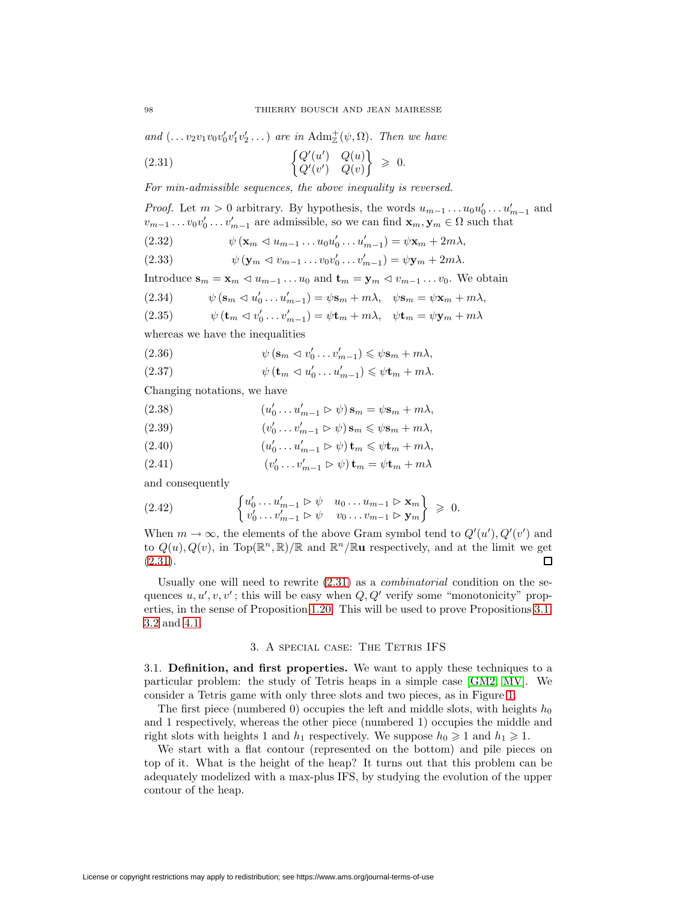and  $(\ldots v_2 v_1 v_0 v_0' v_1' v_2' \ldots)$  are in  $\text{Adm}_{\mathbb{Z}}^+(\psi, \Omega)$ . Then we have

<span id="page-21-0"></span>
$$
\begin{aligned}\n\left\{\n\begin{array}{ll}\nQ'(u') & Q(u) \\
Q'(v') & Q(v)\n\end{array}\n\right\} &\geqslant 0.\n\end{aligned}
$$

For min-admissible sequences, the above inequality is reversed.

*Proof.* Let  $m > 0$  arbitrary. By hypothesis, the words  $u_{m-1} \dots u_0 u'_0 \dots u'_{m-1}$  and  $v_{m-1} \dots v_0 v'_0 \dots v'_{m-1}$  are admissible, so we can find  $\mathbf{x}_m, \mathbf{y}_m \in \Omega$  such that

(2.32) 
$$
\psi(\mathbf{x}_m \lhd u_{m-1} \ldots u_0 u'_0 \ldots u'_{m-1}) = \psi \mathbf{x}_m + 2m\lambda,
$$

(2.33)  $\psi(\mathbf{y}_m \lhd v_{m-1} \ldots v_0 v'_0 \ldots v'_{m-1}) = \psi \mathbf{y}_m + 2m\lambda.$ 

Introduce  $\mathbf{s}_m = \mathbf{x}_m \triangleleft u_{m-1} \dots u_0$  and  $\mathbf{t}_m = \mathbf{y}_m \triangleleft v_{m-1} \dots v_0$ . We obtain

(2.34) 
$$
\psi(\mathbf{s}_m \lhd u'_0 \ldots u'_{m-1}) = \psi \mathbf{s}_m + m\lambda, \quad \psi \mathbf{s}_m = \psi \mathbf{x}_m + m\lambda,
$$

(2.35) 
$$
\psi(\mathbf{t}_m \lhd v'_0 \ldots v'_{m-1}) = \psi \mathbf{t}_m + m\lambda, \quad \psi \mathbf{t}_m = \psi \mathbf{y}_m + m\lambda
$$

whereas we have the inequalities

(2.36) 
$$
\psi(\mathbf{s}_m \lhd v'_0 \ldots v'_{m-1}) \leqslant \psi \mathbf{s}_m + m\lambda,
$$

(2.37) 
$$
\psi(\mathbf{t}_m \lhd u'_0 \ldots u'_{m-1}) \leq \psi \mathbf{t}_m + m\lambda.
$$

Changing notations, we have

- (2.38)  $(u'_0 \dots u'_{m-1} \triangleright \psi) \mathbf{s}_m = \psi \mathbf{s}_m + m\lambda,$
- (2.39)  $(v'_0 \dots v'_{m-1} \triangleright \psi) \mathbf{s}_m \leqslant \psi \mathbf{s}_m + m\lambda,$
- (2.40)  $(u'_0 \dots u'_{m-1} \triangleright \psi) \mathbf{t}_m \leq \psi \mathbf{t}_m + m\lambda,$
- (2.41)  $(v'_0 \dots v'_{m-1} \triangleright \psi) \mathbf{t}_m = \psi \mathbf{t}_m + m\lambda$

and consequently

$$
\begin{cases}\nu'_0 \dots u'_{m-1} \triangleright \psi & u_0 \dots u_{m-1} \triangleright \mathbf{x}_m \\
v'_0 \dots v'_{m-1} \triangleright \psi & v_0 \dots v_{m-1} \triangleright \mathbf{y}_m\n\end{cases} \geq 0.
$$

When  $m \to \infty$ , the elements of the above Gram symbol tend to  $Q'(u')$ ,  $Q'(v')$  and to  $Q(u), Q(v)$ , in Top( $\mathbb{R}^n, \mathbb{R}/\mathbb{R}$  and  $\mathbb{R}^n/\mathbb{R}$ **u** respectively, and at the limit we get  $(2.31).$  $(2.31).$  $\Box$ 

Usually one will need to rewrite  $(2.31)$  as a *combinatorial* condition on the sequences  $u, u', v, v'$ ; this will be easy when  $Q, Q'$  verify some "monotonicity" properties, in the sense of Proposition [1.20.](#page-13-0) This will be used to prove Propositions [3.1,](#page-25-0) [3.2](#page-27-0) and [4.1.](#page-30-0)

#### 3. A special case: The Tetris IFS

3.1. **Definition, and first properties.** We want to apply these techniques to a particular problem: the study of Tetris heaps in a simple case [\[GM2,](#page-34-1) [MV\]](#page-34-11). We consider a Tetris game with only three slots and two pieces, as in Figure [1.](#page-22-0)

The first piece (numbered 0) occupies the left and middle slots, with heights  $h_0$ and 1 respectively, whereas the other piece (numbered 1) occupies the middle and right slots with heights 1 and  $h_1$  respectively. We suppose  $h_0 \geq 1$  and  $h_1 \geq 1$ .

We start with a flat contour (represented on the bottom) and pile pieces on top of it. What is the height of the heap? It turns out that this problem can be adequately modelized with a max-plus IFS, by studying the evolution of the upper contour of the heap.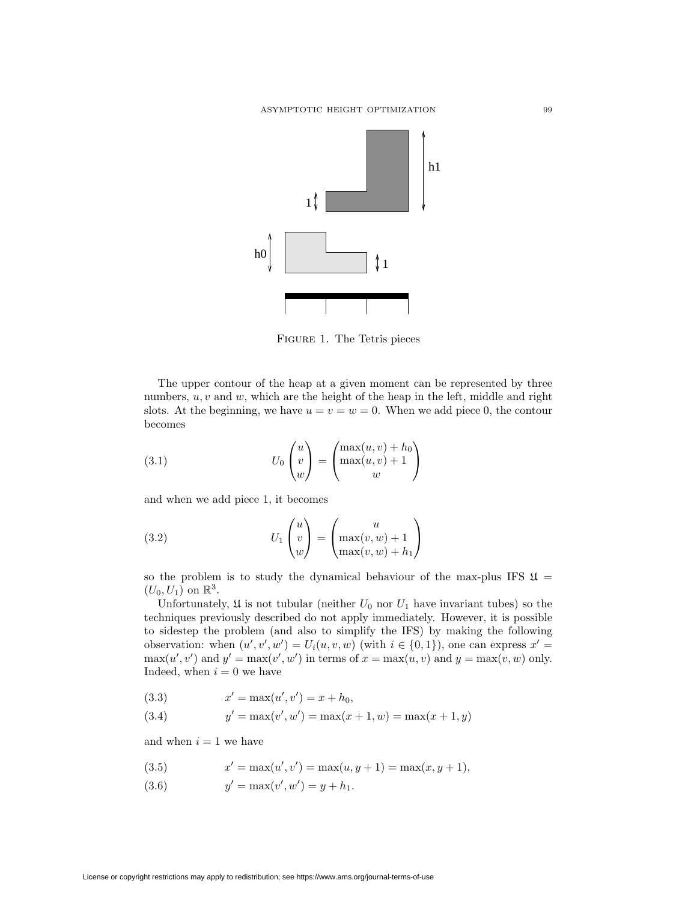

<span id="page-22-0"></span>Figure 1. The Tetris pieces

The upper contour of the heap at a given moment can be represented by three numbers,  $u, v$  and  $w$ , which are the height of the heap in the left, middle and right slots. At the beginning, we have  $u = v = w = 0$ . When we add piece 0, the contour becomes

(3.1) 
$$
U_0 \begin{pmatrix} u \\ v \\ w \end{pmatrix} = \begin{pmatrix} \max(u, v) + h_0 \\ \max(u, v) + 1 \\ w \end{pmatrix}
$$

and when we add piece 1, it becomes

(3.2) 
$$
U_1 \begin{pmatrix} u \\ v \\ w \end{pmatrix} = \begin{pmatrix} u \\ \max(v, w) + 1 \\ \max(v, w) + h_1 \end{pmatrix}
$$

so the problem is to study the dynamical behaviour of the max-plus IFS  $\mathfrak{U} =$  $(U_0, U_1)$  on  $\mathbb{R}^3$ .

Unfortunately,  $\mathfrak U$  is not tubular (neither  $U_0$  nor  $U_1$  have invariant tubes) so the techniques previously described do not apply immediately. However, it is possible to sidestep the problem (and also to simplify the IFS) by making the following observation: when  $(u', v', w') = U_i(u, v, w)$  (with  $i \in \{0, 1\}$ ), one can express  $x' =$  $\max(u', v')$  and  $y' = \max(v', w')$  in terms of  $x = \max(u, v)$  and  $y = \max(v, w)$  only. Indeed, when  $i = 0$  we have

(3.3) 
$$
x' = \max(u', v') = x + h_0,
$$

(3.4) 
$$
y' = \max(v', w') = \max(x + 1, w) = \max(x + 1, y)
$$

and when  $i = 1$  we have

(3.5) 
$$
x' = \max(u', v') = \max(u, y + 1) = \max(x, y + 1),
$$

(3.6)  $y' = \max(v', w') = y + h_1.$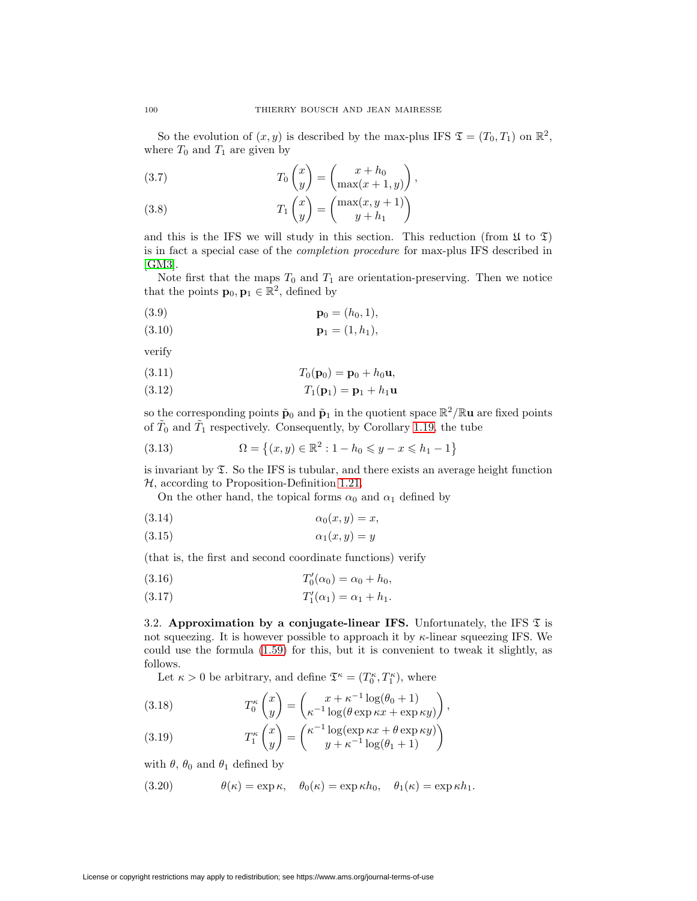So the evolution of  $(x, y)$  is described by the max-plus IFS  $\mathfrak{T} = (T_0, T_1)$  on  $\mathbb{R}^2$ , where  $T_0$  and  $T_1$  are given by

<span id="page-23-3"></span>(3.7) 
$$
T_0 \begin{pmatrix} x \\ y \end{pmatrix} = \begin{pmatrix} x + h_0 \\ \max(x + 1, y) \end{pmatrix},
$$

<span id="page-23-4"></span>(3.8) 
$$
T_1 \begin{pmatrix} x \\ y \end{pmatrix} = \begin{pmatrix} \max(x, y + 1) \\ y + h_1 \end{pmatrix}
$$

and this is the IFS we will study in this section. This reduction (from  $\mathfrak{U}$  to  $\mathfrak{I}$ ) is in fact a special case of the completion procedure for max-plus IFS described in [\[GM3\]](#page-34-12).

Note first that the maps  $T_0$  and  $T_1$  are orientation-preserving. Then we notice that the points  $\mathbf{p}_0, \mathbf{p}_1 \in \mathbb{R}^2$ , defined by

(3.9) 
$$
\mathbf{p}_0 = (h_0, 1),
$$

$$
(3.10) \t\t\t\t\tp1 = (1, h1),
$$

verify

(3.11) 
$$
T_0(\mathbf{p}_0) = \mathbf{p}_0 + h_0 \mathbf{u},
$$

$$
(3.12) \t\t T_1(\mathbf{p}_1) = \mathbf{p}_1 + h_1 \mathbf{u}
$$

<span id="page-23-0"></span>so the corresponding points  $\tilde{\mathbf{p}}_0$  and  $\tilde{\mathbf{p}}_1$  in the quotient space  $\mathbb{R}^2/\mathbb{R}$ **u** are fixed points of  $\tilde{T}_0$  and  $\tilde{T}_1$  respectively. Consequently, by Corollary [1.19,](#page-13-1) the tube

(3.13) 
$$
\Omega = \{(x, y) \in \mathbb{R}^2 : 1 - h_0 \leq y - x \leq h_1 - 1\}
$$

is invariant by  $\Sigma$ . So the IFS is tubular, and there exists an average height function  $H$ , according to Proposition-Definition [1.21.](#page-15-5)

On the other hand, the topical forms  $\alpha_0$  and  $\alpha_1$  defined by

$$
(3.14) \qquad \qquad \alpha_0(x,y) = x,
$$

$$
\alpha_1(x, y) = y
$$

(that is, the first and second coordinate functions) verify

(3.16) 
$$
T'_0(\alpha_0) = \alpha_0 + h_0,
$$

(3.17) 
$$
T'_1(\alpha_1) = \alpha_1 + h_1.
$$

3.2. **Approximation by a conjugate-linear IFS.** Unfortunately, the IFS  $\mathfrak{T}$  is not squeezing. It is however possible to approach it by  $\kappa$ -linear squeezing IFS. We could use the formula [\(1.59\)](#page-9-1) for this, but it is convenient to tweak it slightly, as follows.

Let  $\kappa > 0$  be arbitrary, and define  $\mathfrak{T}^{\kappa} = (T_0^{\kappa}, T_1^{\kappa})$ , where

<span id="page-23-1"></span>(3.18) 
$$
T_0^{\kappa} \begin{pmatrix} x \\ y \end{pmatrix} = \begin{pmatrix} x + \kappa^{-1} \log(\theta_0 + 1) \\ \kappa^{-1} \log(\theta \exp \kappa x + \exp \kappa y) \end{pmatrix},
$$

<span id="page-23-2"></span>(3.19) 
$$
T_1^{\kappa} \begin{pmatrix} x \\ y \end{pmatrix} = \begin{pmatrix} \kappa^{-1} \log(\exp \kappa x + \theta \exp \kappa y) \\ y + \kappa^{-1} \log(\theta_1 + 1) \end{pmatrix}
$$

with  $\theta$ ,  $\theta_0$  and  $\theta_1$  defined by

(3.20) 
$$
\theta(\kappa) = \exp \kappa, \quad \theta_0(\kappa) = \exp \kappa h_0, \quad \theta_1(\kappa) = \exp \kappa h_1.
$$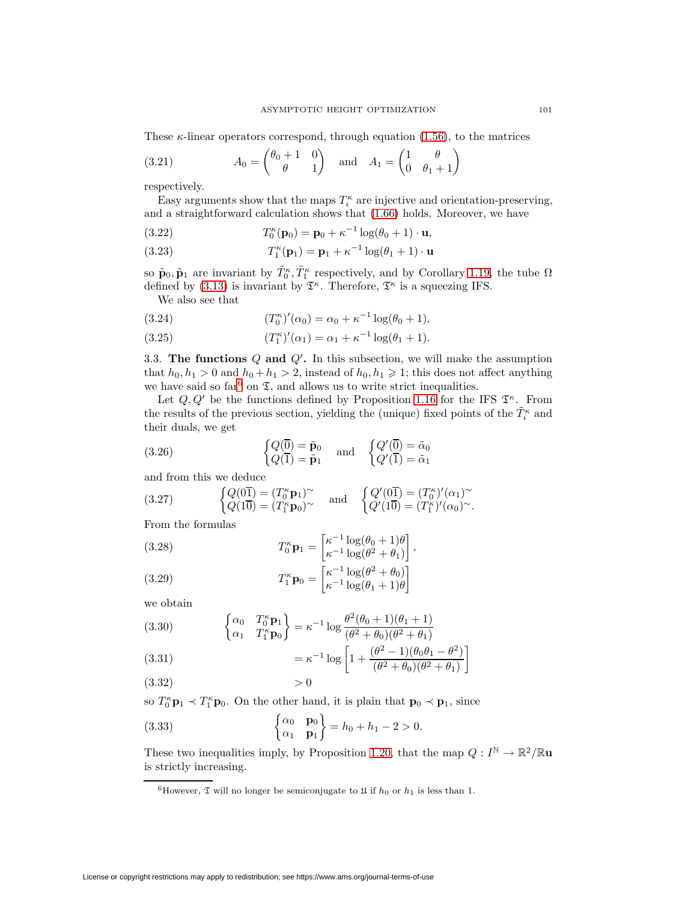<span id="page-24-2"></span>These  $\kappa$ -linear operators correspond, through equation [\(1.56\)](#page-8-1), to the matrices

(3.21) 
$$
A_0 = \begin{pmatrix} \theta_0 + 1 & 0 \\ \theta & 1 \end{pmatrix} \text{ and } A_1 = \begin{pmatrix} 1 & \theta \\ 0 & \theta_1 + 1 \end{pmatrix}
$$

respectively.

Easy arguments show that the maps  $T_i^{\kappa}$  are injective and orientation-preserving, and a straightforward calculation shows that [\(1.66\)](#page-9-0) holds. Moreover, we have

(3.22) 
$$
T_0^{\kappa}(\mathbf{p}_0) = \mathbf{p}_0 + \kappa^{-1} \log(\theta_0 + 1) \cdot \mathbf{u},
$$

(3.23) 
$$
T_1^{\kappa}(\mathbf{p}_1) = \mathbf{p}_1 + \kappa^{-1} \log(\theta_1 + 1) \cdot \mathbf{u}
$$

so  $\tilde{\mathbf{p}}_0, \tilde{\mathbf{p}}_1$  are invariant by  $\tilde{T}_0^{\kappa}, \tilde{T}_1^{\kappa}$  respectively, and by Corollary [1.19,](#page-13-1) the tube  $\Omega$ defined by [\(3.13\)](#page-23-0) is invariant by  $\mathfrak{T}^{\kappa}$ . Therefore,  $\mathfrak{T}^{\kappa}$  is a squeezing IFS.

We also see that

(3.24) 
$$
(T_0^{\kappa})'(\alpha_0) = \alpha_0 + \kappa^{-1} \log(\theta_0 + 1),
$$

(3.25) 
$$
(T_1^{\kappa})'(\alpha_1) = \alpha_1 + \kappa^{-1} \log(\theta_1 + 1).
$$

<span id="page-24-0"></span>3.3. **The functions** Q and Q'. In this subsection, we will make the assumption that  $h_0, h_1 > 0$  and  $h_0 + h_1 > 2$ , instead of  $h_0, h_1 \geq 1$ ; this does not affect anything we have said so  $\text{far}^6$  $\text{far}^6$  on  $\mathfrak{I}$ , and allows us to write strict inequalities.

Let  $Q, Q'$  be the functions defined by Proposition [1.16](#page-10-2) for the IFS  $\mathfrak{T}^{\kappa}$ . From the results of the previous section, yielding the (unique) fixed points of the  $\tilde{T}^{\kappa}_i$  and their duals, we get

(3.26) 
$$
\begin{cases} Q(\overline{0}) = \tilde{\mathbf{p}}_0 \\ Q(\overline{1}) = \tilde{\mathbf{p}}_1 \end{cases} \text{ and } \begin{cases} Q'(\overline{0}) = \tilde{\alpha}_0 \\ Q'(\overline{1}) = \tilde{\alpha}_1 \end{cases}
$$

and from this we deduce

(3.27) 
$$
\begin{cases} Q(0\overline{1}) = (T_0^{\kappa} \mathbf{p}_1)^{\sim} \\ Q(1\overline{0}) = (T_1^{\kappa} \mathbf{p}_0)^{\sim} \end{cases} \text{ and } \begin{cases} Q'(0\overline{1}) = (T_0^{\kappa})'(\alpha_1)^{\sim} \\ Q'(1\overline{0}) = (T_1^{\kappa})'(\alpha_0)^{\sim} . \end{cases}
$$

From the formulas

(3.28)  
\n
$$
T_0^{\kappa} \mathbf{p}_1 = \begin{bmatrix} \kappa^{-1} \log(\theta_0 + 1)\theta \\ \kappa^{-1} \log(\theta^2 + \theta_1) \end{bmatrix},
$$
\n
$$
T_1^{\kappa} \mathbf{p}_0 = \begin{bmatrix} \kappa^{-1} \log(\theta^2 + \theta_0) \\ \kappa^{-1} \log(\theta_1 + 1)\theta \end{bmatrix}
$$

we obtain

(3.30) 
$$
\begin{cases} \alpha_0 & T_0^{\kappa} \mathbf{p}_1 \\ \alpha_1 & T_1^{\kappa} \mathbf{p}_0 \end{cases} = \kappa^{-1} \log \frac{\theta^2 (\theta_0 + 1)(\theta_1 + 1)}{(\theta^2 + \theta_0)(\theta^2 + \theta_1)}
$$

(3.31) 
$$
= \kappa^{-1} \log \left[ 1 + \frac{(\theta^2 - 1)(\theta_0 \theta_1 - \theta^2)}{(\theta^2 + \theta_0)(\theta^2 + \theta_1)} \right]
$$

$$
(3.32) \t\t\t>0
$$

so  $T_0^{\kappa} \mathbf{p}_1 \prec T_1^{\kappa} \mathbf{p}_0$ . On the other hand, it is plain that  $\mathbf{p}_0 \prec \mathbf{p}_1$ , since

(3.33) 
$$
\begin{cases} \alpha_0 & \mathbf{p}_0 \\ \alpha_1 & \mathbf{p}_1 \end{cases} = h_0 + h_1 - 2 > 0.
$$

These two inequalities imply, by Proposition [1.20,](#page-13-0) that the map  $Q: I^{\mathbb{N}} \to \mathbb{R}^2/\mathbb{R}$ **u** is strictly increasing.

<span id="page-24-1"></span><sup>&</sup>lt;sup>6</sup>However,  $\mathfrak T$  will no longer be semiconjugate to  $\mathfrak U$  if  $h_0$  or  $h_1$  is less than 1.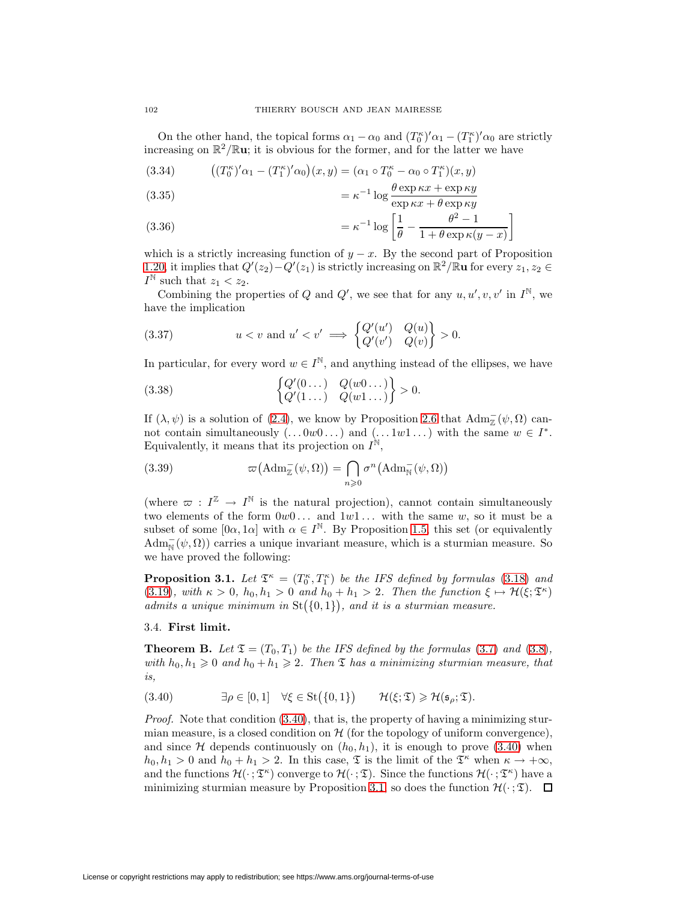On the other hand, the topical forms  $\alpha_1 - \alpha_0$  and  $(T_0^{\kappa})' \alpha_1 - (T_1^{\kappa})' \alpha_0$  are strictly increasing on  $\mathbb{R}^2/\mathbb{R}$ **u**; it is obvious for the former, and for the latter we have

(3.34) 
$$
((T_0^{\kappa})'\alpha_1 - (T_1^{\kappa})'\alpha_0)(x, y) = (\alpha_1 \circ T_0^{\kappa} - \alpha_0 \circ T_1^{\kappa})(x, y)
$$

(3.35) 
$$
= \kappa^{-1} \log \frac{\theta \exp \kappa x + \exp \kappa y}{\exp \kappa x + \theta \exp \kappa y}
$$

(3.36) 
$$
= \kappa^{-1} \log \left[ \frac{1}{\theta} - \frac{\theta^2 - 1}{1 + \theta \exp \kappa (y - x)} \right]
$$

which is a strictly increasing function of  $y - x$ . By the second part of Proposition [1.20,](#page-13-0) it implies that  $Q'(z_2) - Q'(z_1)$  is strictly increasing on  $\mathbb{R}^2/\mathbb{R}$ **u** for every  $z_1, z_2 \in$  $I^{\mathbb{N}}$  such that  $z_1 < z_2$ .

Combining the properties of Q and Q', we see that for any  $u, u', v, v'$  in  $I^{\mathbb{N}}$ , we have the implication

<span id="page-25-3"></span>(3.37) 
$$
u < v \text{ and } u' < v' \implies \begin{cases} Q'(u') & Q(u) \\ Q'(v') & Q(v) \end{cases} > 0.
$$

In particular, for every word  $w \in I^{\mathbb{N}}$ , and anything instead of the ellipses, we have

(3.38) 
$$
\begin{cases} Q'(0...) & Q(w0...) \\ Q'(1...) & Q(w1...) \end{cases} > 0.
$$

If  $(\lambda, \psi)$  is a solution of [\(2.4\)](#page-17-1), we know by Proposition [2.6](#page-21-0) that  $\text{Adm}_{\mathbb{Z}}^-(\psi, \Omega)$  cannot contain simultaneously  $(\ldots 0w0 \ldots)$  and  $(\ldots 1w1 \ldots)$  with the same  $w \in I^*$ . Equivalently, it means that its projection on  $I^{\mathbb{N}}$ ,

(3.39) 
$$
\varpi\big(\mathrm{Adm}_{\mathbb{Z}}^{-}(\psi,\Omega)\big)=\bigcap_{n\geqslant 0}\sigma^{n}\big(\mathrm{Adm}_{\mathbb{N}}^{-}(\psi,\Omega)\big)
$$

(where  $\varpi : I^{\mathbb{Z}} \to I^{\mathbb{N}}$  is the natural projection), cannot contain simultaneously two elements of the form  $0w0...$  and  $1w1...$  with the same w, so it must be a subset of some  $[0\alpha, 1\alpha]$  with  $\alpha \in I^{\mathbb{N}}$ . By Proposition [1.5,](#page-4-2) this set (or equivalently  $\text{Adm}_{\text{N}}(\psi,\Omega)$  carries a unique invariant measure, which is a sturmian measure. So we have proved the following:

<span id="page-25-0"></span>**Proposition 3.1.** Let  $\mathfrak{T}^{\kappa} = (T_0^{\kappa}, T_1^{\kappa})$  be the IFS defined by formulas [\(3.18\)](#page-23-1) and [\(3.19\)](#page-23-2), with  $\kappa > 0$ ,  $h_0, h_1 > 0$  and  $h_0 + h_1 > 2$ . Then the function  $\xi \mapsto \mathcal{H}(\xi; \mathfrak{T}^{\kappa})$ admits a unique minimum in  $St({0,1})$ , and it is a sturmian measure.

### <span id="page-25-2"></span>3.4. **First limit.**

**Theorem B.** Let  $\mathfrak{T} = (T_0, T_1)$  be the IFS defined by the formulas [\(3.7\)](#page-23-3) and [\(3.8\)](#page-23-4), with  $h_0, h_1 \geq 0$  and  $h_0 + h_1 \geq 2$ . Then  $\mathfrak T$  has a minimizing sturmian measure, that is,

<span id="page-25-1"></span>
$$
(3.40) \qquad \exists \rho \in [0,1] \quad \forall \xi \in \text{St}(\{0,1\}) \qquad \mathcal{H}(\xi;\mathfrak{T}) \geq \mathcal{H}(\mathfrak{s}_{\rho};\mathfrak{T}).
$$

Proof. Note that condition [\(3.40\)](#page-25-1), that is, the property of having a minimizing sturmian measure, is a closed condition on  $H$  (for the topology of uniform convergence), and since H depends continuously on  $(h_0, h_1)$ , it is enough to prove [\(3.40\)](#page-25-1) when  $h_0, h_1 > 0$  and  $h_0 + h_1 > 2$ . In this case,  $\mathfrak T$  is the limit of the  $\mathfrak T^{\kappa}$  when  $\kappa \to +\infty$ , and the functions  $\mathcal{H}(\cdot; \mathfrak{T}^{\kappa})$  converge to  $\mathcal{H}(\cdot; \mathfrak{T})$ . Since the functions  $\mathcal{H}(\cdot; \mathfrak{T}^{\kappa})$  have a minimizing sturmian measure by Proposition [3.1,](#page-25-0) so does the function  $\mathcal{H}(\cdot;\mathfrak{T})$ .  $\Box$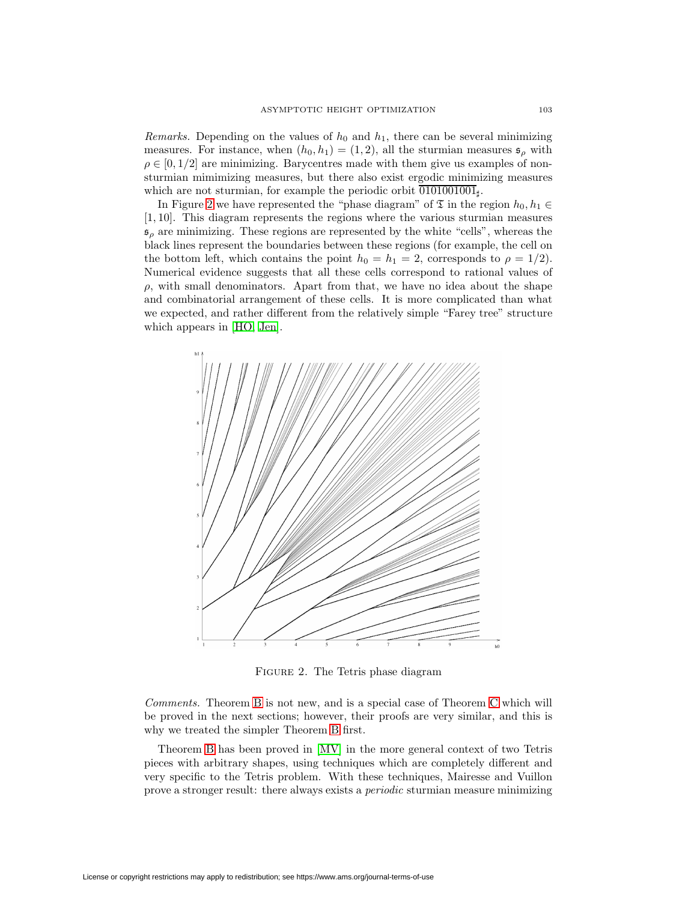Remarks. Depending on the values of  $h_0$  and  $h_1$ , there can be several minimizing measures. For instance, when  $(h_0, h_1) = (1, 2)$ , all the sturmian measures  $\mathfrak{s}_{\rho}$  with  $\rho \in [0, 1/2]$  are minimizing. Barycentres made with them give us examples of nonsturmian mimimizing measures, but there also exist ergodic minimizing measures which are not sturmian, for example the periodic orbit  $\overline{0101001001}_{\text{t}}$ .

In Figure [2](#page-26-0) we have represented the "phase diagram" of  $\mathfrak T$  in the region  $h_0, h_1 \in$ [1, 10]. This diagram represents the regions where the various sturmian measures  $s_\rho$  are minimizing. These regions are represented by the white "cells", whereas the black lines represent the boundaries between these regions (for example, the cell on the bottom left, which contains the point  $h_0 = h_1 = 2$ , corresponds to  $\rho = 1/2$ . Numerical evidence suggests that all these cells correspond to rational values of  $\rho$ , with small denominators. Apart from that, we have no idea about the shape and combinatorial arrangement of these cells. It is more complicated than what we expected, and rather different from the relatively simple "Farey tree" structure which appears in [\[HO,](#page-34-13) [Jen\]](#page-34-14).



<span id="page-26-0"></span>FIGURE 2. The Tetris phase diagram

Comments. Theorem [B](#page-25-2) is not new, and is a special case of Theorem [C](#page-28-0) which will be proved in the next sections; however, their proofs are very similar, and this is why we treated the simpler Theorem [B](#page-25-2) first.

Theorem [B](#page-25-2) has been proved in [\[MV\]](#page-34-11) in the more general context of two Tetris pieces with arbitrary shapes, using techniques which are completely different and very specific to the Tetris problem. With these techniques, Mairesse and Vuillon prove a stronger result: there always exists a periodic sturmian measure minimizing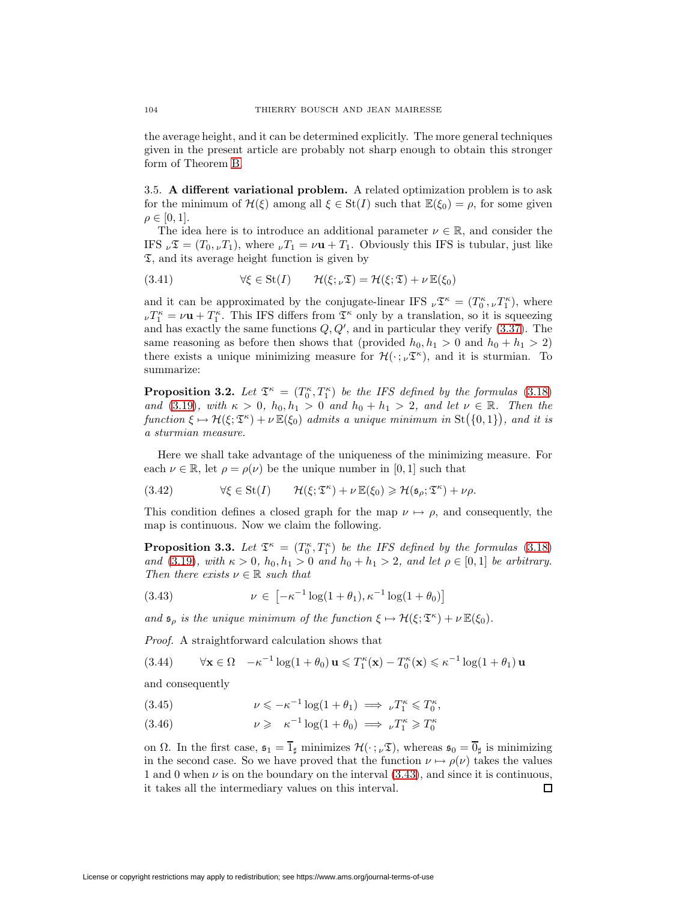the average height, and it can be determined explicitly. The more general techniques given in the present article are probably not sharp enough to obtain this stronger form of Theorem [B.](#page-25-2)

3.5. **A different variational problem.** A related optimization problem is to ask for the minimum of  $\mathcal{H}(\xi)$  among all  $\xi \in \mathrm{St}(I)$  such that  $\mathbb{E}(\xi_0) = \rho$ , for some given  $\rho \in [0,1].$ 

The idea here is to introduce an additional parameter  $\nu \in \mathbb{R}$ , and consider the IFS  $_{\nu}\mathfrak{T}=(T_0, _{\nu}T_1)$ , where  $_{\nu}T_1=\nu\mathbf{u}+T_1$ . Obviously this IFS is tubular, just like  $\mathfrak{I}$ , and its average height function is given by

(3.41) 
$$
\forall \xi \in \text{St}(I) \qquad \mathcal{H}(\xi; \nu \mathfrak{D}) = \mathcal{H}(\xi; \mathfrak{D}) + \nu \mathbb{E}(\xi_0)
$$

and it can be approximated by the conjugate-linear IFS  $_{\nu}\mathfrak{T}^{\kappa} = (T_0^{\kappa}, {\nu}T_1^{\kappa})$ , where  $\nu T_1^{\kappa} = \nu \mathbf{u} + T_1^{\kappa}$ . This IFS differs from  $\mathfrak{T}^{\kappa}$  only by a translation, so it is squeezing and has exactly the same functions  $Q, Q'$ , and in particular they verify  $(3.37)$ . The same reasoning as before then shows that (provided  $h_0, h_1 > 0$  and  $h_0 + h_1 > 2$ ) there exists a unique minimizing measure for  $\mathcal{H}(\cdot; \nu^{\mathfrak{T}^{\kappa}})$ , and it is sturmian. To summarize:

<span id="page-27-0"></span>**Proposition 3.2.** Let  $\mathfrak{T}^{\kappa} = (T_0^{\kappa}, T_1^{\kappa})$  be the IFS defined by the formulas [\(3.18\)](#page-23-1) and [\(3.19\)](#page-23-2), with  $\kappa > 0$ ,  $h_0, h_1 > 0$  and  $h_0 + h_1 > 2$ , and let  $\nu \in \mathbb{R}$ . Then the function  $\xi \mapsto \mathcal{H}(\xi; \mathfrak{T}^{\kappa}) + \nu \mathbb{E}(\xi_0)$  admits a unique minimum in  $\text{St}(\{0,1\})$ , and it is a sturmian measure.

Here we shall take advantage of the uniqueness of the minimizing measure. For each  $\nu \in \mathbb{R}$ , let  $\rho = \rho(\nu)$  be the unique number in [0, 1] such that

(3.42) 
$$
\forall \xi \in \text{St}(I) \qquad \mathcal{H}(\xi; \mathfrak{T}^{\kappa}) + \nu \mathbb{E}(\xi_0) \geq \mathcal{H}(\mathfrak{s}_{\rho}; \mathfrak{T}^{\kappa}) + \nu \rho.
$$

This condition defines a closed graph for the map  $\nu \mapsto \rho$ , and consequently, the map is continuous. Now we claim the following.

**Proposition 3.3.** Let  $\mathfrak{T}^{\kappa} = (T_0^{\kappa}, T_1^{\kappa})$  be the IFS defined by the formulas [\(3.18\)](#page-23-1) and [\(3.19\)](#page-23-2), with  $\kappa > 0$ ,  $h_0, h_1 > 0$  and  $h_0 + h_1 > 2$ , and let  $\rho \in [0, 1]$  be arbitrary. Then there exists  $\nu \in \mathbb{R}$  such that

<span id="page-27-1"></span>(3.43) 
$$
\nu \in \left[ -\kappa^{-1} \log(1 + \theta_1), \kappa^{-1} \log(1 + \theta_0) \right]
$$

and  $\mathfrak{s}_{\rho}$  is the unique minimum of the function  $\xi \mapsto \mathcal{H}(\xi; \mathfrak{T}^{\kappa}) + \nu \mathbb{E}(\xi_0)$ .

Proof. A straightforward calculation shows that

(3.44) 
$$
\forall \mathbf{x} \in \Omega \quad -\kappa^{-1} \log(1+\theta_0) \mathbf{u} \leq T_1^{\kappa}(\mathbf{x}) - T_0^{\kappa}(\mathbf{x}) \leq \kappa^{-1} \log(1+\theta_1) \mathbf{u}
$$

and consequently

(3.45) 
$$
\nu \leqslant -\kappa^{-1} \log(1+\theta_1) \implies \nu T_1^{\kappa} \leqslant T_0^{\kappa},
$$

(3.46) 
$$
\nu \geqslant \kappa^{-1} \log(1+\theta_0) \implies \nu T_1^{\kappa} \geqslant T_0^{\kappa}
$$

on  $\Omega$ . In the first case,  $\mathfrak{s}_1 = \overline{1}_\sharp$  minimizes  $\mathcal{H}(\cdot;\nu\mathfrak{T})$ , whereas  $\mathfrak{s}_0 = \overline{0}_\sharp$  is minimizing in the second case. So we have proved that the function  $\nu \mapsto \rho(\nu)$  takes the values 1 and 0 when  $\nu$  is on the boundary on the interval  $(3.43)$ , and since it is continuous, it takes all the intermediary values on this interval.  $\Box$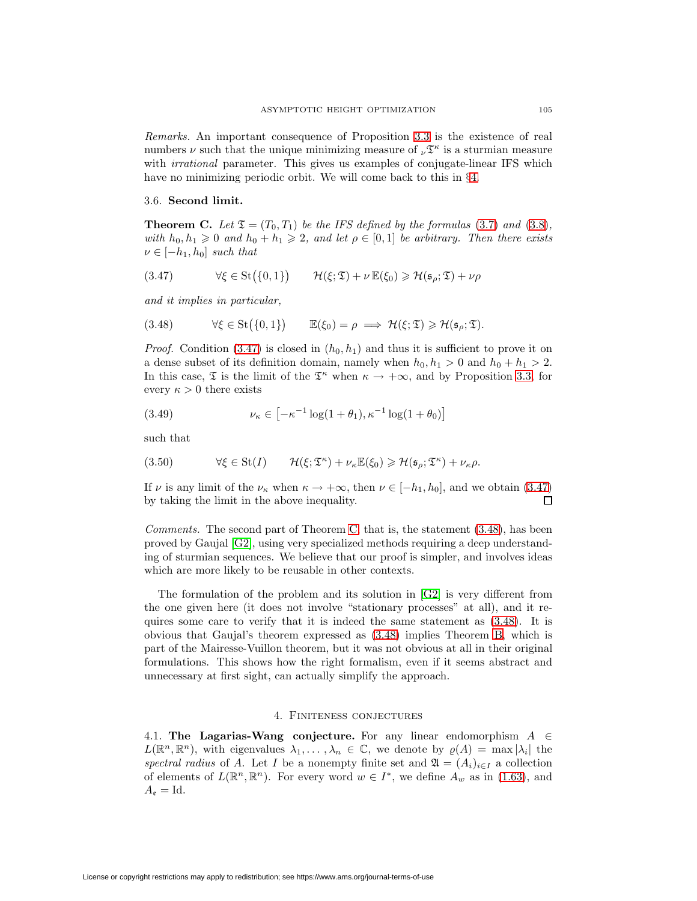Remarks. An important consequence of Proposition [3.3](#page-27-1) is the existence of real numbers  $\nu$  such that the unique minimizing measure of  $_{\nu} \mathfrak{T}^{\kappa}$  is a sturmian measure with *irrational* parameter. This gives us examples of conjugate-linear IFS which have no minimizing periodic orbit. We will come back to this in §[4.](#page-28-1)

#### <span id="page-28-0"></span>3.6. **Second limit.**

**Theorem C.** Let  $\mathfrak{T} = (T_0, T_1)$  be the IFS defined by the formulas [\(3.7\)](#page-23-3) and [\(3.8\)](#page-23-4), with  $h_0, h_1 \geq 0$  and  $h_0 + h_1 \geq 2$ , and let  $\rho \in [0, 1]$  be arbitrary. Then there exists  $\nu \in [-h_1, h_0]$  such that

<span id="page-28-2"></span>
$$
(3.47) \qquad \forall \xi \in \text{St}(\{0,1\}) \qquad \mathcal{H}(\xi;\mathfrak{T}) + \nu \mathbb{E}(\xi_0) \geq \mathcal{H}(\mathfrak{s}_{\rho};\mathfrak{T}) + \nu \rho
$$

<span id="page-28-3"></span>and it implies in particular,

(3.48)  $\forall \xi \in \text{St}(\{0,1\}) \qquad \mathbb{E}(\xi_0) = \rho \implies \mathcal{H}(\xi; \mathfrak{T}) \geq \mathcal{H}(\mathfrak{s}_{\rho}; \mathfrak{T}).$ 

*Proof.* Condition [\(3.47\)](#page-28-2) is closed in  $(h_0, h_1)$  and thus it is sufficient to prove it on a dense subset of its definition domain, namely when  $h_0, h_1 > 0$  and  $h_0 + h_1 > 2$ . In this case,  $\mathfrak T$  is the limit of the  $\mathfrak T^{\kappa}$  when  $\kappa \to +\infty$ , and by Proposition [3.3,](#page-27-1) for every  $\kappa > 0$  there exists

(3.49) 
$$
\nu_{\kappa} \in \left[ -\kappa^{-1} \log(1 + \theta_1), \kappa^{-1} \log(1 + \theta_0) \right]
$$

such that

(3.50) 
$$
\forall \xi \in \text{St}(I) \qquad \mathcal{H}(\xi; \mathfrak{T}^{\kappa}) + \nu_{\kappa} \mathbb{E}(\xi_0) \geq \mathcal{H}(\mathfrak{s}_{\rho}; \mathfrak{T}^{\kappa}) + \nu_{\kappa} \rho.
$$

If v is any limit of the  $\nu_{\kappa}$  when  $\kappa \to +\infty$ , then  $\nu \in [-h_1, h_0]$ , and we obtain [\(3.47\)](#page-28-2) by taking the limit in the above inequality. 口

Comments. The second part of Theorem [C,](#page-28-0) that is, the statement [\(3.48\)](#page-28-3), has been proved by Gaujal [\[G2\]](#page-34-15), using very specialized methods requiring a deep understanding of sturmian sequences. We believe that our proof is simpler, and involves ideas which are more likely to be reusable in other contexts.

The formulation of the problem and its solution in [\[G2\]](#page-34-15) is very different from the one given here (it does not involve "stationary processes" at all), and it requires some care to verify that it is indeed the same statement as [\(3.48\)](#page-28-3). It is obvious that Gaujal's theorem expressed as [\(3.48\)](#page-28-3) implies Theorem [B,](#page-25-2) which is part of the Mairesse-Vuillon theorem, but it was not obvious at all in their original formulations. This shows how the right formalism, even if it seems abstract and unnecessary at first sight, can actually simplify the approach.

#### 4. Finiteness conjectures

<span id="page-28-1"></span>4.1. **The Lagarias-Wang conjecture.** For any linear endomorphism  $A \in$  $L(\mathbb{R}^n, \mathbb{R}^n)$ , with eigenvalues  $\lambda_1, \ldots, \lambda_n \in \mathbb{C}$ , we denote by  $\varrho(A) = \max |\lambda_i|$  the spectral radius of A. Let I be a nonempty finite set and  $\mathfrak{A} = (A_i)_{i \in I}$  a collection of elements of  $L(\mathbb{R}^n, \mathbb{R}^n)$ . For every word  $w \in I^*$ , we define  $A_w$  as in [\(1.63\)](#page-9-2), and  $A_{\mathfrak{e}} = \mathrm{Id}.$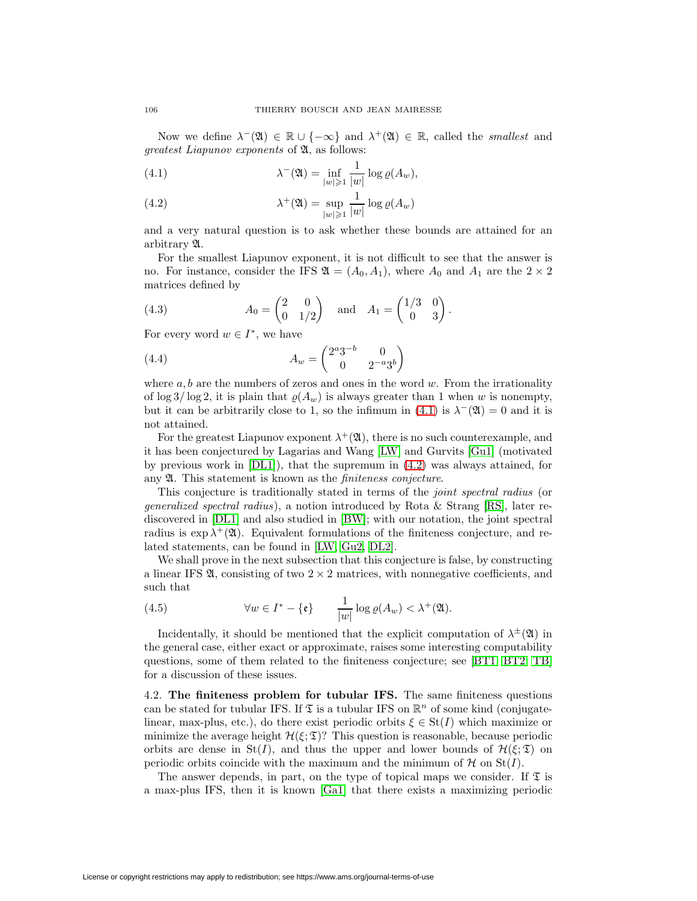<span id="page-29-0"></span>Now we define  $\lambda^{-}(X) \in \mathbb{R} \cup \{-\infty\}$  and  $\lambda^{+}(X) \in \mathbb{R}$ , called the *smallest* and greatest Liapunov exponents of A, as follows:

(4.1) 
$$
\lambda^{-}(\mathfrak{A}) = \inf_{|w| \geq 1} \frac{1}{|w|} \log \varrho(A_w),
$$

<span id="page-29-1"></span>(4.2) 
$$
\lambda^+(\mathfrak{A}) = \sup_{|w| \geq 1} \frac{1}{|w|} \log \varrho(A_w)
$$

and a very natural question is to ask whether these bounds are attained for an arbitrary A.

For the smallest Liapunov exponent, it is not difficult to see that the answer is no. For instance, consider the IFS  $\mathfrak{A} = (A_0, A_1)$ , where  $A_0$  and  $A_1$  are the  $2 \times 2$ matrices defined by

(4.3) 
$$
A_0 = \begin{pmatrix} 2 & 0 \\ 0 & 1/2 \end{pmatrix} \quad \text{and} \quad A_1 = \begin{pmatrix} 1/3 & 0 \\ 0 & 3 \end{pmatrix}.
$$

For every word  $w \in I^*$ , we have

(4.4) 
$$
A_w = \begin{pmatrix} 2^a 3^{-b} & 0 \\ 0 & 2^{-a} 3^b \end{pmatrix}
$$

where  $a, b$  are the numbers of zeros and ones in the word w. From the irrationality of  $\log 3/\log 2$ , it is plain that  $\varrho(A_w)$  is always greater than 1 when w is nonempty, but it can be arbitrarily close to 1, so the infimum in [\(4.1\)](#page-29-0) is  $\lambda^{-}(X) = 0$  and it is not attained.

For the greatest Liapunov exponent  $\lambda^+(\mathfrak{A})$ , there is no such counterexample, and it has been conjectured by Lagarias and Wang [\[LW\]](#page-34-16) and Gurvits [\[Gu1\]](#page-34-17) (motivated by previous work in  $[DL1]$ , that the supremum in  $(4.2)$  was always attained, for any  $\mathfrak A$ . This statement is known as the *finiteness conjecture*.

This conjecture is traditionally stated in terms of the joint spectral radius (or generalized spectral radius), a notion introduced by Rota & Strang [\[RS\]](#page-34-18), later rediscovered in [\[DL1\]](#page-33-3) and also studied in [\[BW\]](#page-33-14); with our notation, the joint spectral radius is  $\exp \lambda^+(\mathfrak{A})$ . Equivalent formulations of the finiteness conjecture, and related statements, can be found in [\[LW,](#page-34-16) [Gu2,](#page-34-19) [DL2\]](#page-33-15).

We shall prove in the next subsection that this conjecture is false, by constructing a linear IFS  $\mathfrak{A}$ , consisting of two  $2 \times 2$  matrices, with nonnegative coefficients, and such that

(4.5) 
$$
\forall w \in I^* - \{\mathfrak{e}\} \qquad \frac{1}{|w|} \log \varrho(A_w) < \lambda^+(\mathfrak{A}).
$$

Incidentally, it should be mentioned that the explicit computation of  $\lambda^{\pm}(\mathfrak{A})$  in the general case, either exact or approximate, raises some interesting computability questions, some of them related to the finiteness conjecture; see [\[BT1,](#page-33-16) [BT2,](#page-33-17) [TB\]](#page-34-20) for a discussion of these issues.

4.2. **The finiteness problem for tubular IFS.** The same finiteness questions can be stated for tubular IFS. If  $\mathfrak T$  is a tubular IFS on  $\mathbb R^n$  of some kind (conjugatelinear, max-plus, etc.), do there exist periodic orbits  $\xi \in St(I)$  which maximize or minimize the average height  $\mathcal{H}(\xi;\mathfrak{T})$ ? This question is reasonable, because periodic orbits are dense in St(I), and thus the upper and lower bounds of  $\mathcal{H}(\xi;\mathfrak{T})$  on periodic orbits coincide with the maximum and the minimum of  $H$  on  $St(I)$ .

The answer depends, in part, on the type of topical maps we consider. If  $\mathfrak T$  is a max-plus IFS, then it is known [\[Ga1\]](#page-34-21) that there exists a maximizing periodic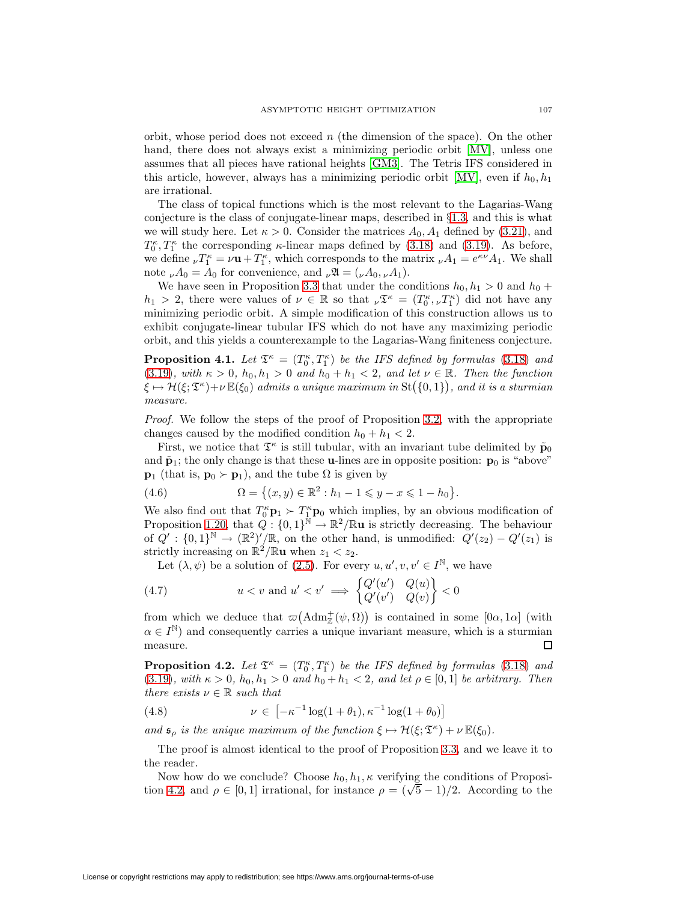orbit, whose period does not exceed  $n$  (the dimension of the space). On the other hand, there does not always exist a minimizing periodic orbit [\[MV\]](#page-34-11), unless one assumes that all pieces have rational heights [\[GM3\]](#page-34-12). The Tetris IFS considered in this article, however, always has a minimizing periodic orbit [\[MV\]](#page-34-11), even if  $h_0, h_1$ are irrational.

The class of topical functions which is the most relevant to the Lagarias-Wang conjecture is the class of conjugate-linear maps, described in §[1.3,](#page-8-2) and this is what we will study here. Let  $\kappa > 0$ . Consider the matrices  $A_0, A_1$  defined by [\(3.21\)](#page-24-2), and  $T_0^{\kappa}, T_1^{\kappa}$  the corresponding  $\kappa$ -linear maps defined by [\(3.18\)](#page-23-1) and [\(3.19\)](#page-23-2). As before, we define  $_{\nu}T_1^{\kappa} = \nu \mathbf{u} + T_1^{\kappa}$ , which corresponds to the matrix  $_{\nu}A_1 = e^{\kappa \nu}A_1$ . We shall note  $_{\nu}A_0 = A_0$  for convenience, and  $_{\nu}\mathfrak{A} = (\nu A_0, \nu A_1)$ .

We have seen in Proposition [3.3](#page-27-1) that under the conditions  $h_0, h_1 > 0$  and  $h_0 +$  $h_1 > 2$ , there were values of  $\nu \in \mathbb{R}$  so that  $\nu \mathfrak{T}^{\kappa} = (T_0^{\kappa}, \nu T_1^{\kappa})$  did not have any minimizing periodic orbit. A simple modification of this construction allows us to exhibit conjugate-linear tubular IFS which do not have any maximizing periodic orbit, and this yields a counterexample to the Lagarias-Wang finiteness conjecture.

<span id="page-30-0"></span>**Proposition 4.1.** Let  $\mathfrak{T}^{\kappa} = (T_0^{\kappa}, T_1^{\kappa})$  be the IFS defined by formulas [\(3.18\)](#page-23-1) and [\(3.19\)](#page-23-2), with  $\kappa > 0$ ,  $h_0, h_1 > 0$  and  $h_0 + h_1 < 2$ , and let  $\nu \in \mathbb{R}$ . Then the function  $\xi \mapsto \mathcal{H}(\xi;\mathfrak{T}^{\kappa})+\nu\,\mathbb{E}(\xi_0)$  admits a unique maximum in  $\mathrm{St}\big(\{0,1\}\big),$  and it is a sturmian measure.

*Proof.* We follow the steps of the proof of Proposition [3.2,](#page-27-0) with the appropriate changes caused by the modified condition  $h_0 + h_1 < 2$ .

First, we notice that  $\mathfrak{T}^{\kappa}$  is still tubular, with an invariant tube delimited by  $\tilde{\mathbf{p}}_0$ and  $\tilde{\mathbf{p}}_1$ ; the only change is that these **u**-lines are in opposite position:  $\mathbf{p}_0$  is "above" **p**<sub>1</sub> (that is, **p**<sub>0</sub>  $\succ$  **p**<sub>1</sub>), and the tube  $\Omega$  is given by

(4.6) 
$$
\Omega = \{(x, y) \in \mathbb{R}^2 : h_1 - 1 \leq y - x \leq 1 - h_0\}.
$$

We also find out that  $T_0^{\kappa} \mathbf{p}_1 \succ T_1^{\kappa} \mathbf{p}_0$  which implies, by an obvious modification of Proposition [1.20,](#page-13-0) that  $Q: \{0,1\}^{\mathbb{N}} \to \mathbb{R}^2/\mathbb{R}$ **u** is strictly decreasing. The behaviour of  $Q' : \{0,1\}^{\mathbb{N}} \to (\mathbb{R}^2)'/\mathbb{R}$ , on the other hand, is unmodified:  $Q'(z_2) - Q'(z_1)$  is strictly increasing on  $\mathbb{R}^2/\mathbb{R}$ **u** when  $z_1 < z_2$ .

Let  $(\lambda, \psi)$  be a solution of [\(2.5\)](#page-17-2). For every  $u, u', v, v' \in I^{\mathbb{N}}$ , we have

(4.7) 
$$
u < v \text{ and } u' < v' \implies \begin{cases} Q'(u') & Q(u) \\ Q'(v') & Q(v) \end{cases} < 0
$$

from which we deduce that  $\varpi(\text{Adm}_{\mathbb{Z}}^+(\psi,\Omega))$  is contained in some  $[0\alpha,1\alpha]$  (with  $\alpha \in I^{\mathbb{N}}$  and consequently carries a unique invariant measure, which is a sturmian measure. □

**Proposition 4.2.** Let  $\mathfrak{T}^{\kappa} = (T_0^{\kappa}, T_1^{\kappa})$  be the IFS defined by formulas [\(3.18\)](#page-23-1) and [\(3.19\)](#page-23-2), with  $\kappa > 0$ ,  $h_0, h_1 > 0$  and  $h_0 + h_1 < 2$ , and let  $\rho \in [0, 1]$  be arbitrary. Then there exists  $\nu \in \mathbb{R}$  such that

<span id="page-30-1"></span>(4.8) 
$$
\nu \in \left[ -\kappa^{-1} \log(1 + \theta_1), \kappa^{-1} \log(1 + \theta_0) \right]
$$

and  $\mathfrak{s}_{\rho}$  is the unique maximum of the function  $\xi \mapsto \mathcal{H}(\xi; \mathfrak{T}^{\kappa}) + \nu \mathbb{E}(\xi_0)$ .

The proof is almost identical to the proof of Proposition [3.3,](#page-27-1) and we leave it to the reader.

Now how do we conclude? Choose  $h_0, h_1, \kappa$  verifying the conditions of Proposi-Now now do we conclude: Choose  $n_0, n_1, \kappa$  vertifying the conditions of Proposition [4.2,](#page-30-1) and  $\rho \in [0, 1]$  irrational, for instance  $\rho = (\sqrt{5} - 1)/2$ . According to the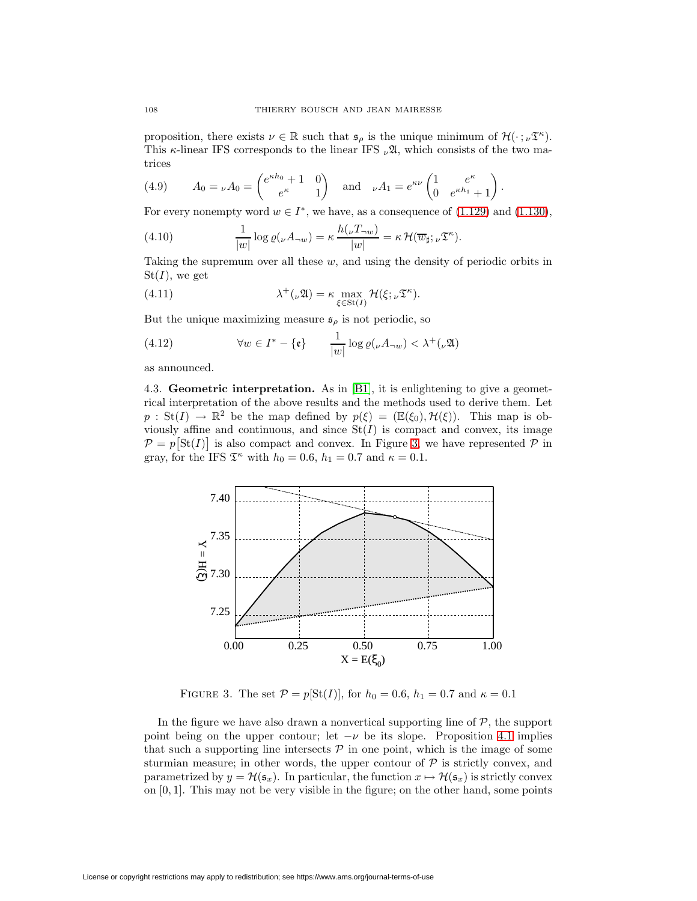proposition, there exists  $\nu \in \mathbb{R}$  such that  $\mathfrak{s}_{\rho}$  is the unique minimum of  $\mathcal{H}(\cdot; \nu \mathfrak{T}^{\kappa})$ . This  $\kappa$ -linear IFS corresponds to the linear IFS  $_{\nu}$ 2, which consists of the two matrices

(4.9) 
$$
A_0 = {}_{\nu}A_0 = \begin{pmatrix} e^{\kappa h_0} + 1 & 0 \ e^{\kappa h_0} & 1 \end{pmatrix} \text{ and } {}_{\nu}A_1 = e^{\kappa \nu} \begin{pmatrix} 1 & e^{\kappa h_1} \ 0 & e^{\kappa h_1} + 1 \end{pmatrix}.
$$

For every nonempty word  $w \in I^*$ , we have, as a consequence of  $(1.129)$  and  $(1.130)$ ,

(4.10) 
$$
\frac{1}{|w|} \log \varrho(\nu A_{\neg w}) = \kappa \frac{h(\nu T_{\neg w})}{|w|} = \kappa \mathcal{H}(\overline{w}_{\sharp}; \nu \mathfrak{T}^{\kappa}).
$$

Taking the supremum over all these  $w$ , and using the density of periodic orbits in  $St(I)$ , we get

(4.11) 
$$
\lambda^+(\nu \mathfrak{A}) = \kappa \max_{\xi \in \text{St}(I)} \mathcal{H}(\xi; \nu \mathfrak{T}^\kappa).
$$

But the unique maximizing measure  $\mathfrak{s}_{\rho}$  is not periodic, so

(4.12) 
$$
\forall w \in I^* - \{\mathfrak{e}\} \qquad \frac{1}{|w|} \log \varrho(\nu A_{\neg w}) < \lambda^+(\nu \mathfrak{A})
$$

as announced.

4.3. **Geometric interpretation.** As in [\[B1\]](#page-33-10), it is enlightening to give a geometrical interpretation of the above results and the methods used to derive them. Let  $p : St(I) \to \mathbb{R}^2$  be the map defined by  $p(\xi)=(\mathbb{E}(\xi_0), \mathcal{H}(\xi))$ . This map is obviously affine and continuous, and since  $St(I)$  is compact and convex, its image  $\mathcal{P} = p[\text{St}(I)]$  is also compact and convex. In Figure [3,](#page-31-0) we have represented  $\mathcal P$  in gray, for the IFS  $\mathfrak{T}^{\kappa}$  with  $h_0 = 0.6$ ,  $h_1 = 0.7$  and  $\kappa = 0.1$ .



FIGURE 3. The set  $P = p[St(I)],$  for  $h_0 = 0.6, h_1 = 0.7$  and  $\kappa = 0.1$ 

<span id="page-31-0"></span>In the figure we have also drawn a nonvertical supporting line of  $P$ , the support point being on the upper contour; let  $-\nu$  be its slope. Proposition [4.1](#page-30-0) implies that such a supporting line intersects  $P$  in one point, which is the image of some sturmian measure; in other words, the upper contour of  $P$  is strictly convex, and parametrized by  $y = \mathcal{H}(\mathfrak{s}_x)$ . In particular, the function  $x \mapsto \mathcal{H}(\mathfrak{s}_x)$  is strictly convex on  $[0, 1]$ . This may not be very visible in the figure; on the other hand, some points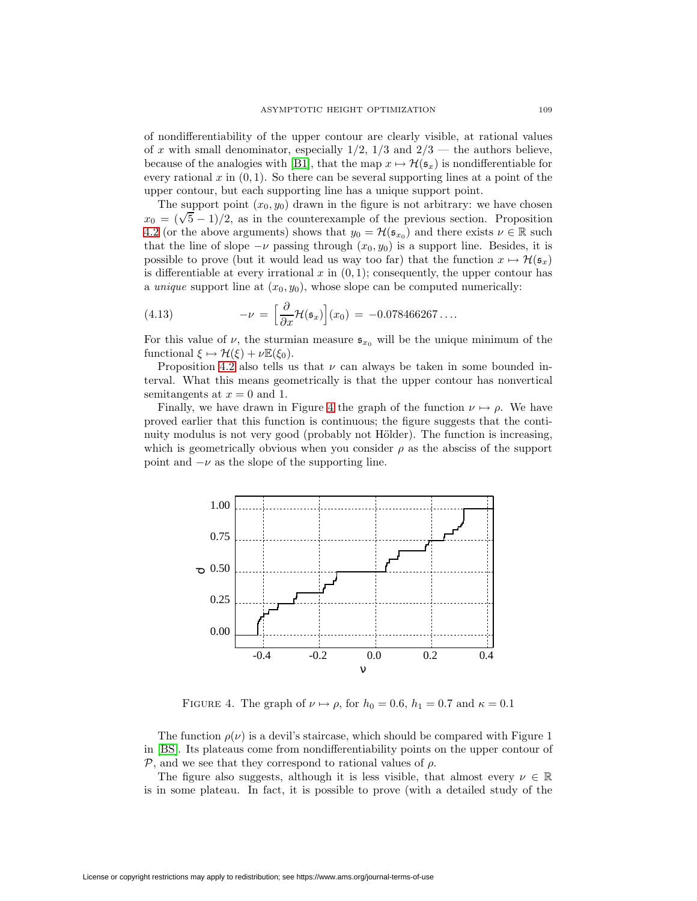of nondifferentiability of the upper contour are clearly visible, at rational values of x with small denominator, especially  $1/2$ ,  $1/3$  and  $2/3$  — the authors believe, because of the analogies with [\[B1\]](#page-33-10), that the map  $x \mapsto \mathcal{H}(\mathfrak{s}_x)$  is nondifferentiable for every rational x in  $(0, 1)$ . So there can be several supporting lines at a point of the upper contour, but each supporting line has a unique support point.

The support point  $(x_0, y_0)$  drawn in the figure is not arbitrary: we have chosen The support point  $(x_0, y_0)$  drawn in the ngure is not arbitrary: we have chosen  $x_0 = (\sqrt{5} - 1)/2$ , as in the counterexample of the previous section. Proposition [4.2](#page-30-1) (or the above arguments) shows that  $y_0 = \mathcal{H}(\mathfrak{s}_{x_0})$  and there exists  $\nu \in \mathbb{R}$  such that the line of slope  $-\nu$  passing through  $(x_0, y_0)$  is a support line. Besides, it is possible to prove (but it would lead us way too far) that the function  $x \mapsto \mathcal{H}(\mathfrak{s}_x)$ is differentiable at every irrational  $x$  in  $(0, 1)$ ; consequently, the upper contour has a unique support line at  $(x_0, y_0)$ , whose slope can be computed numerically:

(4.13) 
$$
-\nu = \left[\frac{\partial}{\partial x}\mathcal{H}(\mathfrak{s}_x)\right](x_0) = -0.078466267\dots
$$

For this value of  $\nu$ , the sturmian measure  $\mathfrak{s}_{x_0}$  will be the unique minimum of the functional  $\xi \mapsto \mathcal{H}(\xi) + \nu \mathbb{E}(\xi_0)$ .

Proposition [4.2](#page-30-1) also tells us that  $\nu$  can always be taken in some bounded interval. What this means geometrically is that the upper contour has nonvertical semitangents at  $x = 0$  and 1.

Finally, we have drawn in Figure [4](#page-32-0) the graph of the function  $\nu \mapsto \rho$ . We have proved earlier that this function is continuous; the figure suggests that the continuity modulus is not very good (probably not Hölder). The function is increasing, which is geometrically obvious when you consider  $\rho$  as the absciss of the support point and  $-\nu$  as the slope of the supporting line.



<span id="page-32-0"></span>FIGURE 4. The graph of  $\nu \mapsto \rho$ , for  $h_0 = 0.6$ ,  $h_1 = 0.7$  and  $\kappa = 0.1$ 

The function  $\rho(\nu)$  is a devil's staircase, which should be compared with Figure 1 in [\[BS\]](#page-33-7). Its plateaus come from nondifferentiability points on the upper contour of  $P$ , and we see that they correspond to rational values of  $\rho$ .

The figure also suggests, although it is less visible, that almost every  $\nu \in \mathbb{R}$ is in some plateau. In fact, it is possible to prove (with a detailed study of the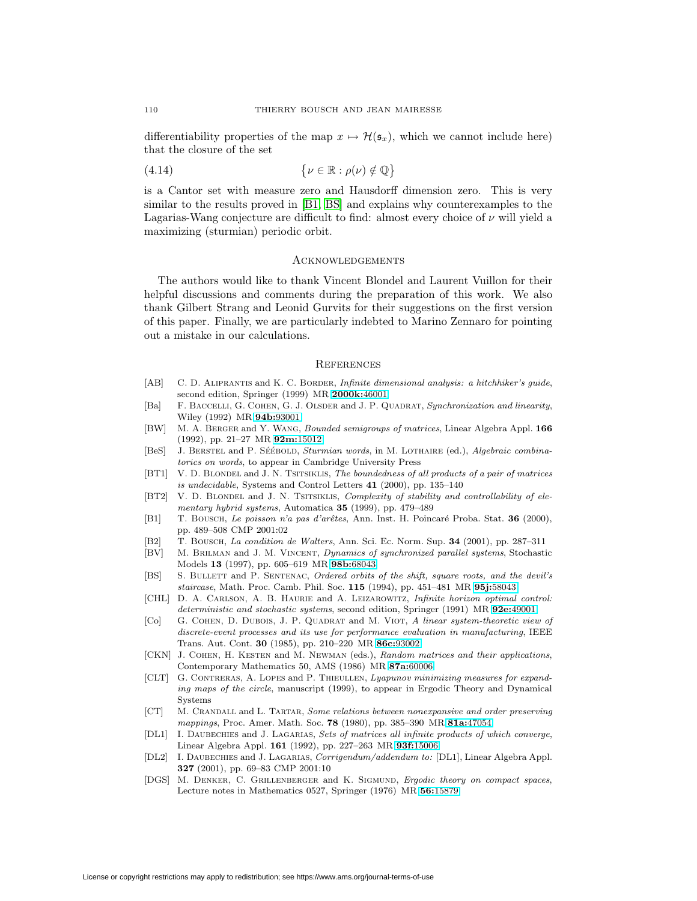differentiability properties of the map  $x \mapsto \mathcal{H}(\mathfrak{s}_x)$ , which we cannot include here) that the closure of the set

$$
(4.14) \qquad \qquad \{ \nu \in \mathbb{R} : \rho(\nu) \notin \mathbb{Q} \}
$$

is a Cantor set with measure zero and Hausdorff dimension zero. This is very similar to the results proved in [\[B1,](#page-33-10) [BS\]](#page-33-7) and explains why counterexamples to the Lagarias-Wang conjecture are difficult to find: almost every choice of  $\nu$  will yield a maximizing (sturmian) periodic orbit.

### **ACKNOWLEDGEMENTS**

The authors would like to thank Vincent Blondel and Laurent Vuillon for their helpful discussions and comments during the preparation of this work. We also thank Gilbert Strang and Leonid Gurvits for their suggestions on the first version of this paper. Finally, we are particularly indebted to Marino Zennaro for pointing out a mistake in our calculations.

#### **REFERENCES**

- <span id="page-33-8"></span>[AB] C. D. ALIPRANTIS and K. C. BORDER, Infinite dimensional analysis: a hitchhiker's guide, second edition, Springer (1999) MR **[2000k:](http://www.ams.org/mathscinet-getitem?mr=2000k:46001)**46001
- <span id="page-33-0"></span>[Ba] F. BACCELLI, G. COHEN, G. J. OLSDER and J. P. QUADRAT, Synchronization and linearity, Wiley (1992) MR **94b:**[93001](http://www.ams.org/mathscinet-getitem?mr=94b:93001)
- <span id="page-33-14"></span>[BW] M. A. Berger and Y. Wang, Bounded semigroups of matrices, Linear Algebra Appl. **166** (1992), pp. 21–27 MR **92m:**[15012](http://www.ams.org/mathscinet-getitem?mr=92m:15012)
- <span id="page-33-6"></span>[BeS] J. BERSTEL and P. SÉÉBOLD, Sturmian words, in M. LOTHAIRE (ed.), Algebraic combinatorics on words, to appear in Cambridge University Press
- <span id="page-33-16"></span>[BT1] V. D. BLONDEL and J. N. TSITSIKLIS, The boundedness of all products of a pair of matrices is undecidable, Systems and Control Letters **41** (2000), pp. 135–140
- <span id="page-33-17"></span>[BT2] V. D. BLONDEL and J. N. TSITSIKLIS, Complexity of stability and controllability of elementary hybrid systems, Automatica **35** (1999), pp. 479–489
- <span id="page-33-10"></span>[B1] T. Bousch, Le poisson n'a pas d'arêtes, Ann. Inst. H. Poincaré Proba. Stat. **36** (2000), pp. 489–508 CMP 2001:02
- <span id="page-33-11"></span>[B2] T. Bousch, La condition de Walters, Ann. Sci. Ec. Norm. Sup. **34** (2001), pp. 287–311
- <span id="page-33-2"></span>[BV] M. Brilman and J. M. Vincent, Dynamics of synchronized parallel systems, Stochastic Models **13** (1997), pp. 605–619 MR **98b:**[68043](http://www.ams.org/mathscinet-getitem?mr=98b:68043)
- <span id="page-33-7"></span>[BS] S. BULLETT and P. SENTENAC, Ordered orbits of the shift, square roots, and the devil's staircase, Math. Proc. Camb. Phil. Soc. **115** (1994), pp. 451–481 MR **95j:**[58043](http://www.ams.org/mathscinet-getitem?mr=95j:58043)
- <span id="page-33-13"></span>[CHL] D. A. CARLSON, A. B. HAURIE and A. LEIZAROWITZ, Infinite horizon optimal control: deterministic and stochastic systems, second edition, Springer (1991) MR **92e:**[49001](http://www.ams.org/mathscinet-getitem?mr=92e:49001)
- <span id="page-33-1"></span>[Co] G. COHEN, D. DUBOIS, J. P. QUADRAT and M. VIOT, A linear system-theoretic view of discrete-event processes and its use for performance evaluation in manufacturing, IEEE Trans. Aut. Cont. **30** (1985), pp. 210–220 MR **86c:**[93002](http://www.ams.org/mathscinet-getitem?mr=86c:93002)
- <span id="page-33-4"></span>[CKN] J. COHEN, H. KESTEN and M. NEWMAN (eds.), Random matrices and their applications, Contemporary Mathematics 50, AMS (1986) MR **87a:**[60006](http://www.ams.org/mathscinet-getitem?mr=87a:60006)
- <span id="page-33-12"></span>[CLT] G. Contreras, A. Lopes and P. Thieullen, Lyapunov minimizing measures for expanding maps of the circle, manuscript (1999), to appear in Ergodic Theory and Dynamical Systems
- <span id="page-33-9"></span>[CT] M. Crandall and L. Tartar, Some relations between nonexpansive and order preserving mappings, Proc. Amer. Math. Soc. **78** (1980), pp. 385–390 MR **81a:**[47054](http://www.ams.org/mathscinet-getitem?mr=81a:47054)
- <span id="page-33-3"></span>[DL1] I. DAUBECHIES and J. LAGARIAS, Sets of matrices all infinite products of which converge, Linear Algebra Appl. **161** (1992), pp. 227–263 MR **93f:**[15006](http://www.ams.org/mathscinet-getitem?mr=93f:15006)
- <span id="page-33-15"></span>[DL2] I. Daubechies and J. Lagarias, Corrigendum/addendum to: [DL1], Linear Algebra Appl. **327** (2001), pp. 69–83 CMP 2001:10
- <span id="page-33-5"></span>[DGS] M. DENKER, C. GRILLENBERGER and K. SIGMUND, Ergodic theory on compact spaces, Lecture notes in Mathematics 0527, Springer (1976) MR **56:**[15879](http://www.ams.org/mathscinet-getitem?mr=56:15879)